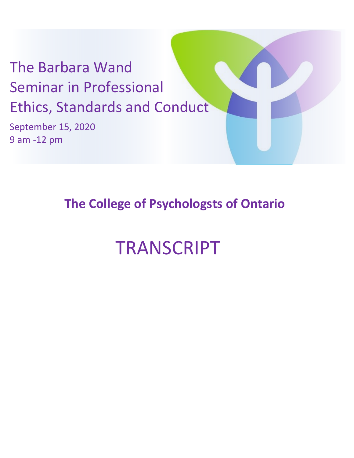## The Barbara Wand Seminar in Professional Ethics, Standards and Conduct

September 15, 2020 9 am -12 pm

## **The College of Psychologsts of Ontario**

## TRANSCRIPT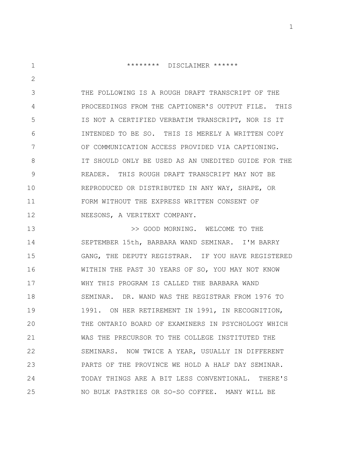1 2 3 4 5 6 7 8 9 10 11 12 \*\*\*\*\*\*\*\* DISCLAIMER \*\*\*\*\*\* THE FOLLOWING IS A ROUGH DRAFT TRANSCRIPT OF THE PROCEEDINGS FROM THE CAPTIONER'S OUTPUT FILE. THIS IS NOT A CERTIFIED VERBATIM TRANSCRIPT, NOR IS IT INTENDED TO BE SO. THIS IS MERELY A WRITTEN COPY OF COMMUNICATION ACCESS PROVIDED VIA CAPTIONING. IT SHOULD ONLY BE USED AS AN UNEDITED GUIDE FOR THE READER. THIS ROUGH DRAFT TRANSCRIPT MAY NOT BE REPRODUCED OR DISTRIBUTED IN ANY WAY, SHAPE, OR FORM WITHOUT THE EXPRESS WRITTEN CONSENT OF NEESONS, A VERITEXT COMPANY.

13 14 15 16 17 18 19 20 21 22 23 24 25 >> GOOD MORNING. WELCOME TO THE SEPTEMBER 15th, BARBARA WAND SEMINAR. I'M BARRY GANG, THE DEPUTY REGISTRAR. IF YOU HAVE REGISTERED WITHIN THE PAST 30 YEARS OF SO, YOU MAY NOT KNOW WHY THIS PROGRAM IS CALLED THE BARBARA WAND SEMINAR. DR. WAND WAS THE REGISTRAR FROM 1976 TO 1991. ON HER RETIREMENT IN 1991, IN RECOGNITION, THE ONTARIO BOARD OF EXAMINERS IN PSYCHOLOGY WHICH WAS THE PRECURSOR TO THE COLLEGE INSTITUTED THE SEMINARS. NOW TWICE A YEAR, USUALLY IN DIFFERENT PARTS OF THE PROVINCE WE HOLD A HALF DAY SEMINAR. TODAY THINGS ARE A BIT LESS CONVENTIONAL. THERE'S NO BULK PASTRIES OR SO-SO COFFEE. MANY WILL BE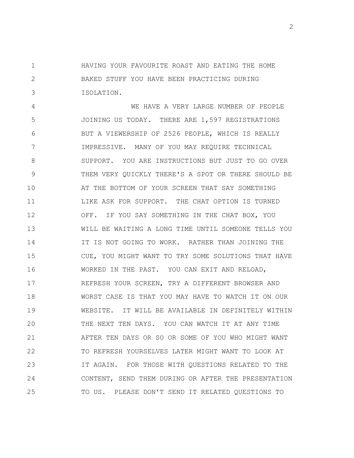1 2 3 HAVING YOUR FAVOURITE ROAST AND EATING THE HOME BAKED STUFF YOU HAVE BEEN PRACTICING DURING ISOLATION.

4 5 6 7 8 9 10 11 12 13 14 15 16 17 18 19 20 21 22 23 24 25 WE HAVE A VERY LARGE NUMBER OF PEOPLE JOINING US TODAY. THERE ARE 1,597 REGISTRATIONS BUT A VIEWERSHIP OF 2526 PEOPLE, WHICH IS REALLY IMPRESSIVE. MANY OF YOU MAY REQUIRE TECHNICAL SUPPORT. YOU ARE INSTRUCTIONS BUT JUST TO GO OVER THEM VERY QUICKLY THERE'S A SPOT OR THERE SHOULD BE AT THE BOTTOM OF YOUR SCREEN THAT SAY SOMETHING LIKE ASK FOR SUPPORT. THE CHAT OPTION IS TURNED OFF. IF YOU SAY SOMETHING IN THE CHAT BOX, YOU WILL BE WAITING A LONG TIME UNTIL SOMEONE TELLS YOU IT IS NOT GOING TO WORK. RATHER THAN JOINING THE CUE, YOU MIGHT WANT TO TRY SOME SOLUTIONS THAT HAVE WORKED IN THE PAST. YOU CAN EXIT AND RELOAD, REFRESH YOUR SCREEN, TRY A DIFFERENT BROWSER AND WORST CASE IS THAT YOU MAY HAVE TO WATCH IT ON OUR WEBSITE. IT WILL BE AVAILABLE IN DEFINITELY WITHIN THE NEXT TEN DAYS. YOU CAN WATCH IT AT ANY TIME AFTER TEN DAYS OR SO OR SOME OF YOU WHO MIGHT WANT TO REFRESH YOURSELVES LATER MIGHT WANT TO LOOK AT IT AGAIN. FOR THOSE WITH QUESTIONS RELATED TO THE CONTENT, SEND THEM DURING OR AFTER THE PRESENTATION TO US. PLEASE DON'T SEND IT RELATED QUESTIONS TO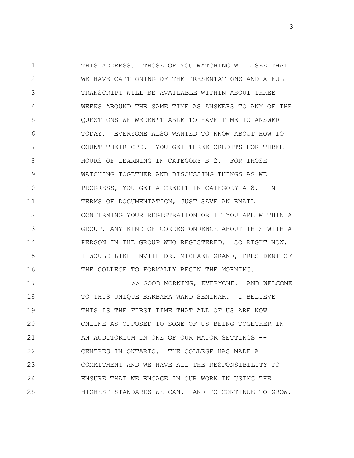1 2 3 4 5 6 7 8 9 10 11 12 13 14 15 16 THIS ADDRESS. THOSE OF YOU WATCHING WILL SEE THAT WE HAVE CAPTIONING OF THE PRESENTATIONS AND A FULL TRANSCRIPT WILL BE AVAILABLE WITHIN ABOUT THREE WEEKS AROUND THE SAME TIME AS ANSWERS TO ANY OF THE QUESTIONS WE WEREN'T ABLE TO HAVE TIME TO ANSWER TODAY. EVERYONE ALSO WANTED TO KNOW ABOUT HOW TO COUNT THEIR CPD. YOU GET THREE CREDITS FOR THREE HOURS OF LEARNING IN CATEGORY B 2. FOR THOSE WATCHING TOGETHER AND DISCUSSING THINGS AS WE PROGRESS, YOU GET A CREDIT IN CATEGORY A 8. IN TERMS OF DOCUMENTATION, JUST SAVE AN EMAIL CONFIRMING YOUR REGISTRATION OR IF YOU ARE WITHIN A GROUP, ANY KIND OF CORRESPONDENCE ABOUT THIS WITH A PERSON IN THE GROUP WHO REGISTERED. SO RIGHT NOW, I WOULD LIKE INVITE DR. MICHAEL GRAND, PRESIDENT OF THE COLLEGE TO FORMALLY BEGIN THE MORNING.

17 18 19 20 21 22 23 24 25 >> GOOD MORNING, EVERYONE. AND WELCOME TO THIS UNIQUE BARBARA WAND SEMINAR. I BELIEVE THIS IS THE FIRST TIME THAT ALL OF US ARE NOW ONLINE AS OPPOSED TO SOME OF US BEING TOGETHER IN AN AUDITORIUM IN ONE OF OUR MAJOR SETTINGS -- CENTRES IN ONTARIO. THE COLLEGE HAS MADE A COMMITMENT AND WE HAVE ALL THE RESPONSIBILITY TO ENSURE THAT WE ENGAGE IN OUR WORK IN USING THE HIGHEST STANDARDS WE CAN. AND TO CONTINUE TO GROW,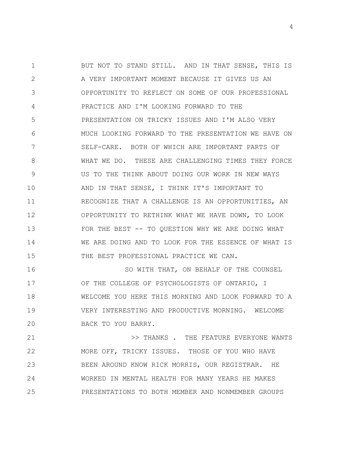1 2 3 4 5 6 7 8 9 10 11 12 13 14 15 BUT NOT TO STAND STILL. AND IN THAT SENSE, THIS IS A VERY IMPORTANT MOMENT BECAUSE IT GIVES US AN OPPORTUNITY TO REFLECT ON SOME OF OUR PROFESSIONAL PRACTICE AND I'M LOOKING FORWARD TO THE PRESENTATION ON TRICKY ISSUES AND I'M ALSO VERY MUCH LOOKING FORWARD TO THE PRESENTATION WE HAVE ON SELF-CARE. BOTH OF WHICH ARE IMPORTANT PARTS OF WHAT WE DO. THESE ARE CHALLENGING TIMES THEY FORCE US TO THE THINK ABOUT DOING OUR WORK IN NEW WAYS AND IN THAT SENSE, I THINK IT'S IMPORTANT TO RECOGNIZE THAT A CHALLENGE IS AN OPPORTUNITIES, AN OPPORTUNITY TO RETHINK WHAT WE HAVE DOWN, TO LOOK FOR THE BEST -- TO OUESTION WHY WE ARE DOING WHAT WE ARE DOING AND TO LOOK FOR THE ESSENCE OF WHAT IS THE BEST PROFESSIONAL PRACTICE WE CAN.

16 17 18 19 20 SO WITH THAT, ON BEHALF OF THE COUNSEL OF THE COLLEGE OF PSYCHOLOGISTS OF ONTARIO, I WELCOME YOU HERE THIS MORNING AND LOOK FORWARD TO A VERY INTERESTING AND PRODUCTIVE MORNING. WELCOME BACK TO YOU BARRY.

21 22 23 24 25 >> THANKS . THE FEATURE EVERYONE WANTS MORE OFF, TRICKY ISSUES. THOSE OF YOU WHO HAVE BEEN AROUND KNOW RICK MORRIS, OUR REGISTRAR. HE WORKED IN MENTAL HEALTH FOR MANY YEARS HE MAKES PRESENTATIONS TO BOTH MEMBER AND NONMEMBER GROUPS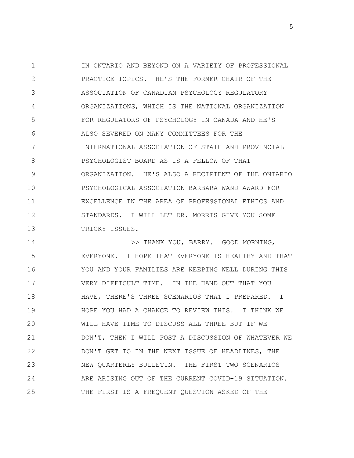1 2 3 4 5 6 7 8 9 10 11 12 13 IN ONTARIO AND BEYOND ON A VARIETY OF PROFESSIONAL PRACTICE TOPICS. HE'S THE FORMER CHAIR OF THE ASSOCIATION OF CANADIAN PSYCHOLOGY REGULATORY ORGANIZATIONS, WHICH IS THE NATIONAL ORGANIZATION FOR REGULATORS OF PSYCHOLOGY IN CANADA AND HE'S ALSO SEVERED ON MANY COMMITTEES FOR THE INTERNATIONAL ASSOCIATION OF STATE AND PROVINCIAL PSYCHOLOGIST BOARD AS IS A FELLOW OF THAT ORGANIZATION. HE'S ALSO A RECIPIENT OF THE ONTARIO PSYCHOLOGICAL ASSOCIATION BARBARA WAND AWARD FOR EXCELLENCE IN THE AREA OF PROFESSIONAL ETHICS AND STANDARDS. I WILL LET DR. MORRIS GIVE YOU SOME TRICKY ISSUES.

14 15 16 17 18 19 20 21 22 23 24 25 >> THANK YOU, BARRY. GOOD MORNING, EVERYONE. I HOPE THAT EVERYONE IS HEALTHY AND THAT YOU AND YOUR FAMILIES ARE KEEPING WELL DURING THIS VERY DIFFICULT TIME. IN THE HAND OUT THAT YOU HAVE, THERE'S THREE SCENARIOS THAT I PREPARED. I HOPE YOU HAD A CHANCE TO REVIEW THIS. I THINK WE WILL HAVE TIME TO DISCUSS ALL THREE BUT IF WE DON'T, THEN I WILL POST A DISCUSSION OF WHATEVER WE DON'T GET TO IN THE NEXT ISSUE OF HEADLINES, THE NEW QUARTERLY BULLETIN. THE FIRST TWO SCENARIOS ARE ARISING OUT OF THE CURRENT COVID-19 SITUATION. THE FIRST IS A FREQUENT QUESTION ASKED OF THE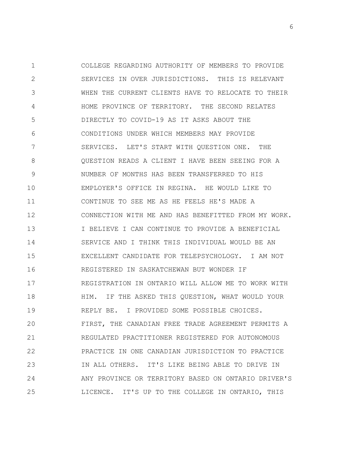1 2 3 4 5 6 7 8 9 10 11 12 13 14 15 16 17 18 19 20 21 22 23 24 25 COLLEGE REGARDING AUTHORITY OF MEMBERS TO PROVIDE SERVICES IN OVER JURISDICTIONS. THIS IS RELEVANT WHEN THE CURRENT CLIENTS HAVE TO RELOCATE TO THEIR HOME PROVINCE OF TERRITORY. THE SECOND RELATES DIRECTLY TO COVID-19 AS IT ASKS ABOUT THE CONDITIONS UNDER WHICH MEMBERS MAY PROVIDE SERVICES. LET'S START WITH QUESTION ONE. THE QUESTION READS A CLIENT I HAVE BEEN SEEING FOR A NUMBER OF MONTHS HAS BEEN TRANSFERRED TO HIS EMPLOYER'S OFFICE IN REGINA. HE WOULD LIKE TO CONTINUE TO SEE ME AS HE FEELS HE'S MADE A CONNECTION WITH ME AND HAS BENEFITTED FROM MY WORK. I BELIEVE I CAN CONTINUE TO PROVIDE A BENEFICIAL SERVICE AND I THINK THIS INDIVIDUAL WOULD BE AN EXCELLENT CANDIDATE FOR TELEPSYCHOLOGY. I AM NOT REGISTERED IN SASKATCHEWAN BUT WONDER IF REGISTRATION IN ONTARIO WILL ALLOW ME TO WORK WITH HIM. IF THE ASKED THIS QUESTION, WHAT WOULD YOUR REPLY BE. I PROVIDED SOME POSSIBLE CHOICES. FIRST, THE CANADIAN FREE TRADE AGREEMENT PERMITS A REGULATED PRACTITIONER REGISTERED FOR AUTONOMOUS PRACTICE IN ONE CANADIAN JURISDICTION TO PRACTICE IN ALL OTHERS. IT'S LIKE BEING ABLE TO DRIVE IN ANY PROVINCE OR TERRITORY BASED ON ONTARIO DRIVER'S LICENCE. IT'S UP TO THE COLLEGE IN ONTARIO, THIS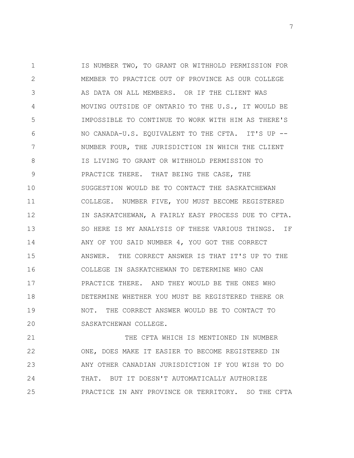1 2 3 4 5 6 7 8 9 10 11 12 13 14 15 16 17 18 19 20 IS NUMBER TWO, TO GRANT OR WITHHOLD PERMISSION FOR MEMBER TO PRACTICE OUT OF PROVINCE AS OUR COLLEGE AS DATA ON ALL MEMBERS. OR IF THE CLIENT WAS MOVING OUTSIDE OF ONTARIO TO THE U.S., IT WOULD BE IMPOSSIBLE TO CONTINUE TO WORK WITH HIM AS THERE'S NO CANADA-U.S. EQUIVALENT TO THE CFTA. IT'S UP -- NUMBER FOUR, THE JURISDICTION IN WHICH THE CLIENT IS LIVING TO GRANT OR WITHHOLD PERMISSION TO PRACTICE THERE. THAT BEING THE CASE, THE SUGGESTION WOULD BE TO CONTACT THE SASKATCHEWAN COLLEGE. NUMBER FIVE, YOU MUST BECOME REGISTERED IN SASKATCHEWAN, A FAIRLY EASY PROCESS DUE TO CFTA. SO HERE IS MY ANALYSIS OF THESE VARIOUS THINGS. IF ANY OF YOU SAID NUMBER 4, YOU GOT THE CORRECT ANSWER. THE CORRECT ANSWER IS THAT IT'S UP TO THE COLLEGE IN SASKATCHEWAN TO DETERMINE WHO CAN PRACTICE THERE. AND THEY WOULD BE THE ONES WHO DETERMINE WHETHER YOU MUST BE REGISTERED THERE OR NOT. THE CORRECT ANSWER WOULD BE TO CONTACT TO SASKATCHEWAN COLLEGE.

21 22 23 24 25 THE CFTA WHICH IS MENTIONED IN NUMBER ONE, DOES MAKE IT EASIER TO BECOME REGISTERED IN ANY OTHER CANADIAN JURISDICTION IF YOU WISH TO DO THAT. BUT IT DOESN'T AUTOMATICALLY AUTHORIZE PRACTICE IN ANY PROVINCE OR TERRITORY. SO THE CFTA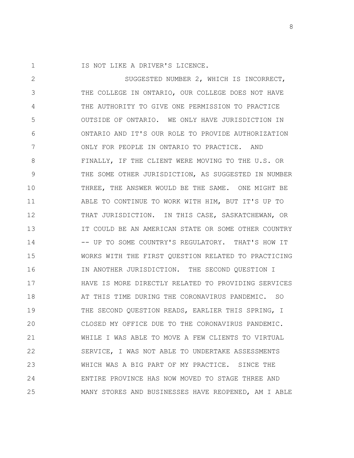1 IS NOT LIKE A DRIVER'S LICENCE.

2 3 4 5 6 7 8 9 10 11 12 13 14 15 16 17 18 19 20 21 22 23 24 25 SUGGESTED NUMBER 2, WHICH IS INCORRECT, THE COLLEGE IN ONTARIO, OUR COLLEGE DOES NOT HAVE THE AUTHORITY TO GIVE ONE PERMISSION TO PRACTICE OUTSIDE OF ONTARIO. WE ONLY HAVE JURISDICTION IN ONTARIO AND IT'S OUR ROLE TO PROVIDE AUTHORIZATION ONLY FOR PEOPLE IN ONTARIO TO PRACTICE. AND FINALLY, IF THE CLIENT WERE MOVING TO THE U.S. OR THE SOME OTHER JURISDICTION, AS SUGGESTED IN NUMBER THREE, THE ANSWER WOULD BE THE SAME. ONE MIGHT BE ABLE TO CONTINUE TO WORK WITH HIM, BUT IT'S UP TO THAT JURISDICTION. IN THIS CASE, SASKATCHEWAN, OR IT COULD BE AN AMERICAN STATE OR SOME OTHER COUNTRY -- UP TO SOME COUNTRY'S REGULATORY. THAT'S HOW IT WORKS WITH THE FIRST QUESTION RELATED TO PRACTICING IN ANOTHER JURISDICTION. THE SECOND QUESTION I HAVE IS MORE DIRECTLY RELATED TO PROVIDING SERVICES AT THIS TIME DURING THE CORONAVIRUS PANDEMIC. SO THE SECOND QUESTION READS, EARLIER THIS SPRING, I CLOSED MY OFFICE DUE TO THE CORONAVIRUS PANDEMIC. WHILE I WAS ABLE TO MOVE A FEW CLIENTS TO VIRTUAL SERVICE, I WAS NOT ABLE TO UNDERTAKE ASSESSMENTS WHICH WAS A BIG PART OF MY PRACTICE. SINCE THE ENTIRE PROVINCE HAS NOW MOVED TO STAGE THREE AND MANY STORES AND BUSINESSES HAVE REOPENED, AM I ABLE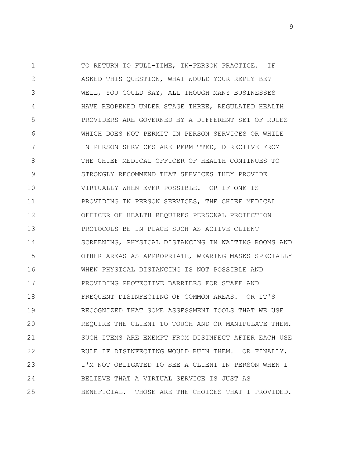1 2 3 4 5 6 7 8 9 10 11 12 13 14 15 16 17 18 19 20 21 22 23 24 25 TO RETURN TO FULL-TIME, IN-PERSON PRACTICE. IF ASKED THIS QUESTION, WHAT WOULD YOUR REPLY BE? WELL, YOU COULD SAY, ALL THOUGH MANY BUSINESSES HAVE REOPENED UNDER STAGE THREE, REGULATED HEALTH PROVIDERS ARE GOVERNED BY A DIFFERENT SET OF RULES WHICH DOES NOT PERMIT IN PERSON SERVICES OR WHILE IN PERSON SERVICES ARE PERMITTED, DIRECTIVE FROM THE CHIEF MEDICAL OFFICER OF HEALTH CONTINUES TO STRONGLY RECOMMEND THAT SERVICES THEY PROVIDE VIRTUALLY WHEN EVER POSSIBLE. OR IF ONE IS PROVIDING IN PERSON SERVICES, THE CHIEF MEDICAL OFFICER OF HEALTH REQUIRES PERSONAL PROTECTION PROTOCOLS BE IN PLACE SUCH AS ACTIVE CLIENT SCREENING, PHYSICAL DISTANCING IN WAITING ROOMS AND OTHER AREAS AS APPROPRIATE, WEARING MASKS SPECIALLY WHEN PHYSICAL DISTANCING IS NOT POSSIBLE AND PROVIDING PROTECTIVE BARRIERS FOR STAFF AND FREQUENT DISINFECTING OF COMMON AREAS. OR IT'S RECOGNIZED THAT SOME ASSESSMENT TOOLS THAT WE USE REQUIRE THE CLIENT TO TOUCH AND OR MANIPULATE THEM. SUCH ITEMS ARE EXEMPT FROM DISINFECT AFTER EACH USE RULE IF DISINFECTING WOULD RUIN THEM. OR FINALLY, I'M NOT OBLIGATED TO SEE A CLIENT IN PERSON WHEN I BELIEVE THAT A VIRTUAL SERVICE IS JUST AS BENEFICIAL. THOSE ARE THE CHOICES THAT I PROVIDED.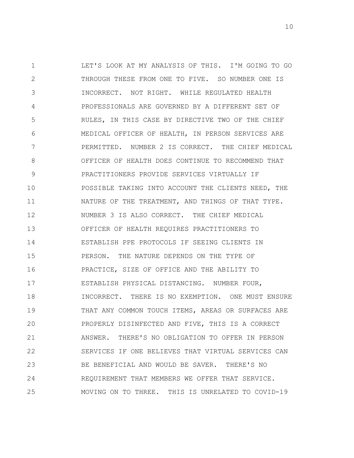1 2 3 4 5 6 7 8 9 10 11 12 13 14 15 16 17 18 19 20 21 22 23 24 25 LET'S LOOK AT MY ANALYSIS OF THIS. I'M GOING TO GO THROUGH THESE FROM ONE TO FIVE. SO NUMBER ONE IS INCORRECT. NOT RIGHT. WHILE REGULATED HEALTH PROFESSIONALS ARE GOVERNED BY A DIFFERENT SET OF RULES, IN THIS CASE BY DIRECTIVE TWO OF THE CHIEF MEDICAL OFFICER OF HEALTH, IN PERSON SERVICES ARE PERMITTED. NUMBER 2 IS CORRECT. THE CHIEF MEDICAL OFFICER OF HEALTH DOES CONTINUE TO RECOMMEND THAT PRACTITIONERS PROVIDE SERVICES VIRTUALLY IF POSSIBLE TAKING INTO ACCOUNT THE CLIENTS NEED, THE NATURE OF THE TREATMENT, AND THINGS OF THAT TYPE. NUMBER 3 IS ALSO CORRECT. THE CHIEF MEDICAL OFFICER OF HEALTH REQUIRES PRACTITIONERS TO ESTABLISH PPE PROTOCOLS IF SEEING CLIENTS IN PERSON. THE NATURE DEPENDS ON THE TYPE OF PRACTICE, SIZE OF OFFICE AND THE ABILITY TO ESTABLISH PHYSICAL DISTANCING. NUMBER FOUR, INCORRECT. THERE IS NO EXEMPTION. ONE MUST ENSURE THAT ANY COMMON TOUCH ITEMS, AREAS OR SURFACES ARE PROPERLY DISINFECTED AND FIVE, THIS IS A CORRECT ANSWER. THERE'S NO OBLIGATION TO OFFER IN PERSON SERVICES IF ONE BELIEVES THAT VIRTUAL SERVICES CAN BE BENEFICIAL AND WOULD BE SAVER. THERE'S NO REQUIREMENT THAT MEMBERS WE OFFER THAT SERVICE. MOVING ON TO THREE. THIS IS UNRELATED TO COVID-19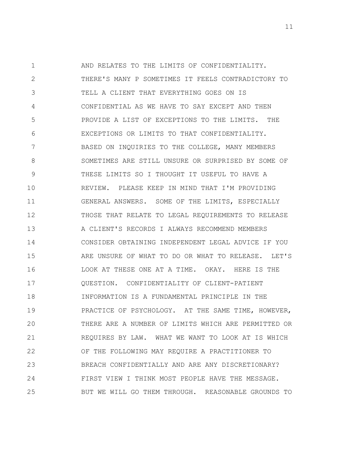1 2 3 4 5 6 7 8 9 10 11 12 13 14 15 16 17 18 19 20 21 22 23 24 25 AND RELATES TO THE LIMITS OF CONFIDENTIALITY. THERE'S MANY P SOMETIMES IT FEELS CONTRADICTORY TO TELL A CLIENT THAT EVERYTHING GOES ON IS CONFIDENTIAL AS WE HAVE TO SAY EXCEPT AND THEN PROVIDE A LIST OF EXCEPTIONS TO THE LIMITS. THE EXCEPTIONS OR LIMITS TO THAT CONFIDENTIALITY. BASED ON INQUIRIES TO THE COLLEGE, MANY MEMBERS SOMETIMES ARE STILL UNSURE OR SURPRISED BY SOME OF THESE LIMITS SO I THOUGHT IT USEFUL TO HAVE A REVIEW. PLEASE KEEP IN MIND THAT I'M PROVIDING GENERAL ANSWERS. SOME OF THE LIMITS, ESPECIALLY THOSE THAT RELATE TO LEGAL REQUIREMENTS TO RELEASE A CLIENT'S RECORDS I ALWAYS RECOMMEND MEMBERS CONSIDER OBTAINING INDEPENDENT LEGAL ADVICE IF YOU ARE UNSURE OF WHAT TO DO OR WHAT TO RELEASE. LET'S LOOK AT THESE ONE AT A TIME. OKAY. HERE IS THE QUESTION. CONFIDENTIALITY OF CLIENT-PATIENT INFORMATION IS A FUNDAMENTAL PRINCIPLE IN THE PRACTICE OF PSYCHOLOGY. AT THE SAME TIME, HOWEVER, THERE ARE A NUMBER OF LIMITS WHICH ARE PERMITTED OR REQUIRES BY LAW. WHAT WE WANT TO LOOK AT IS WHICH OF THE FOLLOWING MAY REQUIRE A PRACTITIONER TO BREACH CONFIDENTIALLY AND ARE ANY DISCRETIONARY? FIRST VIEW I THINK MOST PEOPLE HAVE THE MESSAGE. BUT WE WILL GO THEM THROUGH. REASONABLE GROUNDS TO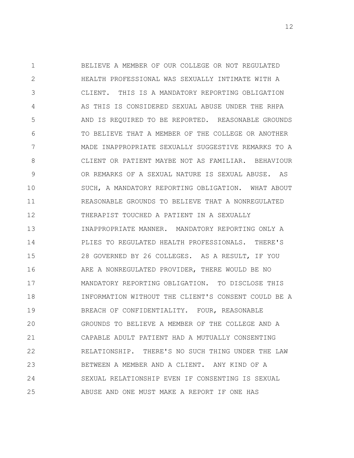1 2 3 4 5 6 7 8 9 10 11 12 13 14 15 16 17 18 19 20 21 22 23 24 25 BELIEVE A MEMBER OF OUR COLLEGE OR NOT REGULATED HEALTH PROFESSIONAL WAS SEXUALLY INTIMATE WITH A CLIENT. THIS IS A MANDATORY REPORTING OBLIGATION AS THIS IS CONSIDERED SEXUAL ABUSE UNDER THE RHPA AND IS REQUIRED TO BE REPORTED. REASONABLE GROUNDS TO BELIEVE THAT A MEMBER OF THE COLLEGE OR ANOTHER MADE INAPPROPRIATE SEXUALLY SUGGESTIVE REMARKS TO A CLIENT OR PATIENT MAYBE NOT AS FAMILIAR. BEHAVIOUR OR REMARKS OF A SEXUAL NATURE IS SEXUAL ABUSE. AS SUCH, A MANDATORY REPORTING OBLIGATION. WHAT ABOUT REASONABLE GROUNDS TO BELIEVE THAT A NONREGULATED THERAPIST TOUCHED A PATIENT IN A SEXUALLY INAPPROPRIATE MANNER. MANDATORY REPORTING ONLY A PLIES TO REGULATED HEALTH PROFESSIONALS. THERE'S 28 GOVERNED BY 26 COLLEGES. AS A RESULT, IF YOU ARE A NONREGULATED PROVIDER, THERE WOULD BE NO MANDATORY REPORTING OBLIGATION. TO DISCLOSE THIS INFORMATION WITHOUT THE CLIENT'S CONSENT COULD BE A BREACH OF CONFIDENTIALITY. FOUR, REASONABLE GROUNDS TO BELIEVE A MEMBER OF THE COLLEGE AND A CAPABLE ADULT PATIENT HAD A MUTUALLY CONSENTING RELATIONSHIP. THERE'S NO SUCH THING UNDER THE LAW BETWEEN A MEMBER AND A CLIENT. ANY KIND OF A SEXUAL RELATIONSHIP EVEN IF CONSENTING IS SEXUAL ABUSE AND ONE MUST MAKE A REPORT IF ONE HAS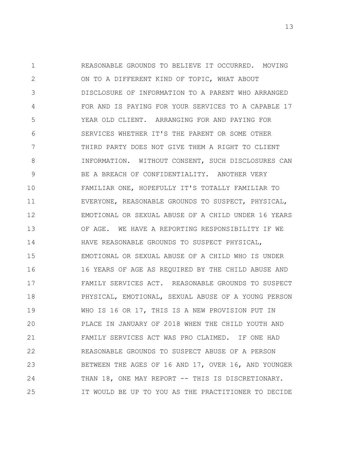1 2 3 4 5 6 7 8 9 10 11 12 13 14 15 16 17 18 19 20 21 22 23 24 25 REASONABLE GROUNDS TO BELIEVE IT OCCURRED. MOVING ON TO A DIFFERENT KIND OF TOPIC, WHAT ABOUT DISCLOSURE OF INFORMATION TO A PARENT WHO ARRANGED FOR AND IS PAYING FOR YOUR SERVICES TO A CAPABLE 17 YEAR OLD CLIENT. ARRANGING FOR AND PAYING FOR SERVICES WHETHER IT'S THE PARENT OR SOME OTHER THIRD PARTY DOES NOT GIVE THEM A RIGHT TO CLIENT INFORMATION. WITHOUT CONSENT, SUCH DISCLOSURES CAN BE A BREACH OF CONFIDENTIALITY. ANOTHER VERY FAMILIAR ONE, HOPEFULLY IT'S TOTALLY FAMILIAR TO EVERYONE, REASONABLE GROUNDS TO SUSPECT, PHYSICAL, EMOTIONAL OR SEXUAL ABUSE OF A CHILD UNDER 16 YEARS OF AGE. WE HAVE A REPORTING RESPONSIBILITY IF WE HAVE REASONABLE GROUNDS TO SUSPECT PHYSICAL, EMOTIONAL OR SEXUAL ABUSE OF A CHILD WHO IS UNDER 16 YEARS OF AGE AS REQUIRED BY THE CHILD ABUSE AND FAMILY SERVICES ACT. REASONABLE GROUNDS TO SUSPECT PHYSICAL, EMOTIONAL, SEXUAL ABUSE OF A YOUNG PERSON WHO IS 16 OR 17, THIS IS A NEW PROVISION PUT IN PLACE IN JANUARY OF 2018 WHEN THE CHILD YOUTH AND FAMILY SERVICES ACT WAS PRO CLAIMED. IF ONE HAD REASONABLE GROUNDS TO SUSPECT ABUSE OF A PERSON BETWEEN THE AGES OF 16 AND 17, OVER 16, AND YOUNGER THAN 18, ONE MAY REPORT -- THIS IS DISCRETIONARY. IT WOULD BE UP TO YOU AS THE PRACTITIONER TO DECIDE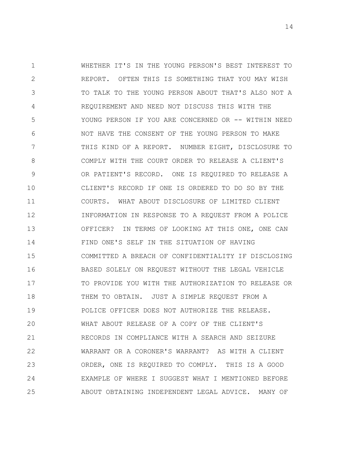1 2 3 4 5 6 7 8 9 10 11 12 13 14 15 16 17 18 19 20 21 22 23 24 25 WHETHER IT'S IN THE YOUNG PERSON'S BEST INTEREST TO REPORT. OFTEN THIS IS SOMETHING THAT YOU MAY WISH TO TALK TO THE YOUNG PERSON ABOUT THAT'S ALSO NOT A REQUIREMENT AND NEED NOT DISCUSS THIS WITH THE YOUNG PERSON IF YOU ARE CONCERNED OR -- WITHIN NEED NOT HAVE THE CONSENT OF THE YOUNG PERSON TO MAKE THIS KIND OF A REPORT. NUMBER EIGHT, DISCLOSURE TO COMPLY WITH THE COURT ORDER TO RELEASE A CLIENT'S OR PATIENT'S RECORD. ONE IS REQUIRED TO RELEASE A CLIENT'S RECORD IF ONE IS ORDERED TO DO SO BY THE COURTS. WHAT ABOUT DISCLOSURE OF LIMITED CLIENT INFORMATION IN RESPONSE TO A REQUEST FROM A POLICE OFFICER? IN TERMS OF LOOKING AT THIS ONE, ONE CAN FIND ONE'S SELF IN THE SITUATION OF HAVING COMMITTED A BREACH OF CONFIDENTIALITY IF DISCLOSING BASED SOLELY ON REQUEST WITHOUT THE LEGAL VEHICLE TO PROVIDE YOU WITH THE AUTHORIZATION TO RELEASE OR THEM TO OBTAIN. JUST A SIMPLE REQUEST FROM A POLICE OFFICER DOES NOT AUTHORIZE THE RELEASE. WHAT ABOUT RELEASE OF A COPY OF THE CLIENT'S RECORDS IN COMPLIANCE WITH A SEARCH AND SEIZURE WARRANT OR A CORONER'S WARRANT? AS WITH A CLIENT ORDER, ONE IS REQUIRED TO COMPLY. THIS IS A GOOD EXAMPLE OF WHERE I SUGGEST WHAT I MENTIONED BEFORE ABOUT OBTAINING INDEPENDENT LEGAL ADVICE. MANY OF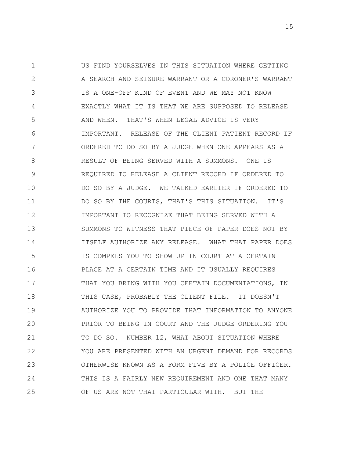1 2 3 4 5 6 7 8 9 10 11 12 13 14 15 16 17 18 19 20 21 22 23 24 25 US FIND YOURSELVES IN THIS SITUATION WHERE GETTING A SEARCH AND SEIZURE WARRANT OR A CORONER'S WARRANT IS A ONE-OFF KIND OF EVENT AND WE MAY NOT KNOW EXACTLY WHAT IT IS THAT WE ARE SUPPOSED TO RELEASE AND WHEN. THAT'S WHEN LEGAL ADVICE IS VERY IMPORTANT. RELEASE OF THE CLIENT PATIENT RECORD IF ORDERED TO DO SO BY A JUDGE WHEN ONE APPEARS AS A RESULT OF BEING SERVED WITH A SUMMONS. ONE IS REQUIRED TO RELEASE A CLIENT RECORD IF ORDERED TO DO SO BY A JUDGE. WE TALKED EARLIER IF ORDERED TO DO SO BY THE COURTS, THAT'S THIS SITUATION. IT'S IMPORTANT TO RECOGNIZE THAT BEING SERVED WITH A SUMMONS TO WITNESS THAT PIECE OF PAPER DOES NOT BY ITSELF AUTHORIZE ANY RELEASE. WHAT THAT PAPER DOES IS COMPELS YOU TO SHOW UP IN COURT AT A CERTAIN PLACE AT A CERTAIN TIME AND IT USUALLY REQUIRES THAT YOU BRING WITH YOU CERTAIN DOCUMENTATIONS, IN THIS CASE, PROBABLY THE CLIENT FILE. IT DOESN'T AUTHORIZE YOU TO PROVIDE THAT INFORMATION TO ANYONE PRIOR TO BEING IN COURT AND THE JUDGE ORDERING YOU TO DO SO. NUMBER 12, WHAT ABOUT SITUATION WHERE YOU ARE PRESENTED WITH AN URGENT DEMAND FOR RECORDS OTHERWISE KNOWN AS A FORM FIVE BY A POLICE OFFICER. THIS IS A FAIRLY NEW REQUIREMENT AND ONE THAT MANY OF US ARE NOT THAT PARTICULAR WITH. BUT THE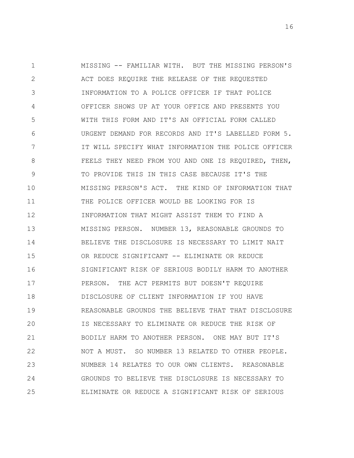1 2 3 4 5 6 7 8 9 10 11 12 13 14 15 16 17 18 19 20 21 22 23 24 25 MISSING -- FAMILIAR WITH. BUT THE MISSING PERSON'S ACT DOES REQUIRE THE RELEASE OF THE REQUESTED INFORMATION TO A POLICE OFFICER IF THAT POLICE OFFICER SHOWS UP AT YOUR OFFICE AND PRESENTS YOU WITH THIS FORM AND IT'S AN OFFICIAL FORM CALLED URGENT DEMAND FOR RECORDS AND IT'S LABELLED FORM 5. IT WILL SPECIFY WHAT INFORMATION THE POLICE OFFICER FEELS THEY NEED FROM YOU AND ONE IS REQUIRED, THEN, TO PROVIDE THIS IN THIS CASE BECAUSE IT'S THE MISSING PERSON'S ACT. THE KIND OF INFORMATION THAT THE POLICE OFFICER WOULD BE LOOKING FOR IS INFORMATION THAT MIGHT ASSIST THEM TO FIND A MISSING PERSON. NUMBER 13, REASONABLE GROUNDS TO BELIEVE THE DISCLOSURE IS NECESSARY TO LIMIT NAIT OR REDUCE SIGNIFICANT -- ELIMINATE OR REDUCE SIGNIFICANT RISK OF SERIOUS BODILY HARM TO ANOTHER PERSON. THE ACT PERMITS BUT DOESN'T REQUIRE DISCLOSURE OF CLIENT INFORMATION IF YOU HAVE REASONABLE GROUNDS THE BELIEVE THAT THAT DISCLOSURE IS NECESSARY TO ELIMINATE OR REDUCE THE RISK OF BODILY HARM TO ANOTHER PERSON. ONE MAY BUT IT'S NOT A MUST. SO NUMBER 13 RELATED TO OTHER PEOPLE. NUMBER 14 RELATES TO OUR OWN CLIENTS. REASONABLE GROUNDS TO BELIEVE THE DISCLOSURE IS NECESSARY TO ELIMINATE OR REDUCE A SIGNIFICANT RISK OF SERIOUS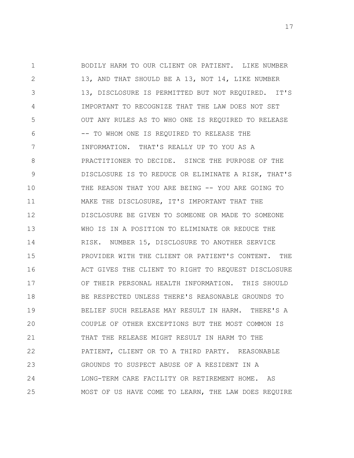1 2 3 4 5 6 7 8 9 10 11 12 13 14 15 16 17 18 19 20 21 22 23 24 25 BODILY HARM TO OUR CLIENT OR PATIENT. LIKE NUMBER 13, AND THAT SHOULD BE A 13, NOT 14, LIKE NUMBER 13, DISCLOSURE IS PERMITTED BUT NOT REQUIRED. IT'S IMPORTANT TO RECOGNIZE THAT THE LAW DOES NOT SET OUT ANY RULES AS TO WHO ONE IS REQUIRED TO RELEASE -- TO WHOM ONE IS REQUIRED TO RELEASE THE INFORMATION. THAT'S REALLY UP TO YOU AS A PRACTITIONER TO DECIDE. SINCE THE PURPOSE OF THE DISCLOSURE IS TO REDUCE OR ELIMINATE A RISK, THAT'S THE REASON THAT YOU ARE BEING -- YOU ARE GOING TO MAKE THE DISCLOSURE, IT'S IMPORTANT THAT THE DISCLOSURE BE GIVEN TO SOMEONE OR MADE TO SOMEONE WHO IS IN A POSITION TO ELIMINATE OR REDUCE THE RISK. NUMBER 15, DISCLOSURE TO ANOTHER SERVICE PROVIDER WITH THE CLIENT OR PATIENT'S CONTENT. THE ACT GIVES THE CLIENT TO RIGHT TO REQUEST DISCLOSURE OF THEIR PERSONAL HEALTH INFORMATION. THIS SHOULD BE RESPECTED UNLESS THERE'S REASONABLE GROUNDS TO BELIEF SUCH RELEASE MAY RESULT IN HARM. THERE'S A COUPLE OF OTHER EXCEPTIONS BUT THE MOST COMMON IS THAT THE RELEASE MIGHT RESULT IN HARM TO THE PATIENT, CLIENT OR TO A THIRD PARTY. REASONABLE GROUNDS TO SUSPECT ABUSE OF A RESIDENT IN A LONG-TERM CARE FACILITY OR RETIREMENT HOME. AS MOST OF US HAVE COME TO LEARN, THE LAW DOES REQUIRE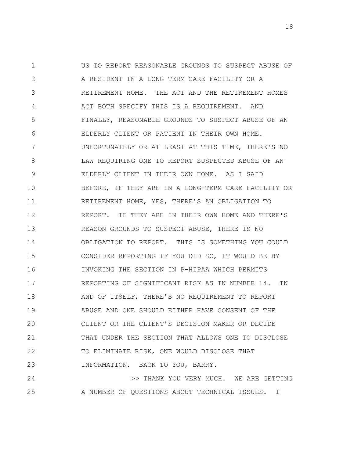1 2 3 4 5 6 7 8 9 10 11 12 13 14 15 16 17 18 19 20 21 22 23 US TO REPORT REASONABLE GROUNDS TO SUSPECT ABUSE OF A RESIDENT IN A LONG TERM CARE FACILITY OR A RETIREMENT HOME. THE ACT AND THE RETIREMENT HOMES ACT BOTH SPECIFY THIS IS A REQUIREMENT. AND FINALLY, REASONABLE GROUNDS TO SUSPECT ABUSE OF AN ELDERLY CLIENT OR PATIENT IN THEIR OWN HOME. UNFORTUNATELY OR AT LEAST AT THIS TIME, THERE'S NO LAW REQUIRING ONE TO REPORT SUSPECTED ABUSE OF AN ELDERLY CLIENT IN THEIR OWN HOME. AS I SAID BEFORE, IF THEY ARE IN A LONG-TERM CARE FACILITY OR RETIREMENT HOME, YES, THERE'S AN OBLIGATION TO REPORT. IF THEY ARE IN THEIR OWN HOME AND THERE'S REASON GROUNDS TO SUSPECT ABUSE, THERE IS NO OBLIGATION TO REPORT. THIS IS SOMETHING YOU COULD CONSIDER REPORTING IF YOU DID SO, IT WOULD BE BY INVOKING THE SECTION IN P-HIPAA WHICH PERMITS REPORTING OF SIGNIFICANT RISK AS IN NUMBER 14. IN AND OF ITSELF, THERE'S NO REQUIREMENT TO REPORT ABUSE AND ONE SHOULD EITHER HAVE CONSENT OF THE CLIENT OR THE CLIENT'S DECISION MAKER OR DECIDE THAT UNDER THE SECTION THAT ALLOWS ONE TO DISCLOSE TO ELIMINATE RISK, ONE WOULD DISCLOSE THAT INFORMATION. BACK TO YOU, BARRY.

24 25 >> THANK YOU VERY MUCH. WE ARE GETTING A NUMBER OF QUESTIONS ABOUT TECHNICAL ISSUES. I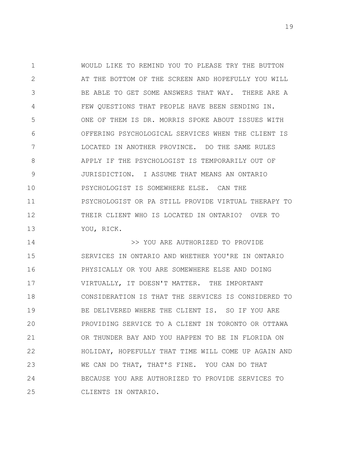1 2 3 4 5 6 7 8 9 10 11 12 13 WOULD LIKE TO REMIND YOU TO PLEASE TRY THE BUTTON AT THE BOTTOM OF THE SCREEN AND HOPEFULLY YOU WILL BE ABLE TO GET SOME ANSWERS THAT WAY. THERE ARE A FEW QUESTIONS THAT PEOPLE HAVE BEEN SENDING IN. ONE OF THEM IS DR. MORRIS SPOKE ABOUT ISSUES WITH OFFERING PSYCHOLOGICAL SERVICES WHEN THE CLIENT IS LOCATED IN ANOTHER PROVINCE. DO THE SAME RULES APPLY IF THE PSYCHOLOGIST IS TEMPORARILY OUT OF JURISDICTION. I ASSUME THAT MEANS AN ONTARIO PSYCHOLOGIST IS SOMEWHERE ELSE. CAN THE PSYCHOLOGIST OR PA STILL PROVIDE VIRTUAL THERAPY TO THEIR CLIENT WHO IS LOCATED IN ONTARIO? OVER TO YOU, RICK.

14 15 16 17 18 19 20 21 22 23 24 25 >> YOU ARE AUTHORIZED TO PROVIDE SERVICES IN ONTARIO AND WHETHER YOU'RE IN ONTARIO PHYSICALLY OR YOU ARE SOMEWHERE ELSE AND DOING VIRTUALLY, IT DOESN'T MATTER. THE IMPORTANT CONSIDERATION IS THAT THE SERVICES IS CONSIDERED TO BE DELIVERED WHERE THE CLIENT IS. SO IF YOU ARE PROVIDING SERVICE TO A CLIENT IN TORONTO OR OTTAWA OR THUNDER BAY AND YOU HAPPEN TO BE IN FLORIDA ON HOLIDAY, HOPEFULLY THAT TIME WILL COME UP AGAIN AND WE CAN DO THAT, THAT'S FINE. YOU CAN DO THAT BECAUSE YOU ARE AUTHORIZED TO PROVIDE SERVICES TO CLIENTS IN ONTARIO.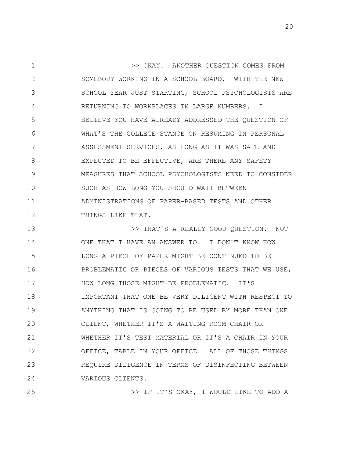1 2 3 4 5 6 7 8 9 10 11 12 >> OKAY. ANOTHER QUESTION COMES FROM SOMEBODY WORKING IN A SCHOOL BOARD. WITH THE NEW SCHOOL YEAR JUST STARTING, SCHOOL PSYCHOLOGISTS ARE RETURNING TO WORKPLACES IN LARGE NUMBERS. I BELIEVE YOU HAVE ALREADY ADDRESSED THE QUESTION OF WHAT'S THE COLLEGE STANCE ON RESUMING IN PERSONAL ASSESSMENT SERVICES, AS LONG AS IT WAS SAFE AND EXPECTED TO BE EFFECTIVE, ARE THERE ANY SAFETY MEASURES THAT SCHOOL PSYCHOLOGISTS NEED TO CONSIDER SUCH AS HOW LONG YOU SHOULD WAIT BETWEEN ADMINISTRATIONS OF PAPER-BASED TESTS AND OTHER THINGS LIKE THAT.

13 14 15 16 17 18 19 20 21 22 23 24 >> THAT'S A REALLY GOOD QUESTION. NOT ONE THAT I HAVE AN ANSWER TO. I DON'T KNOW HOW LONG A PIECE OF PAPER MIGHT BE CONTINUED TO BE PROBLEMATIC OR PIECES OF VARIOUS TESTS THAT WE USE, HOW LONG THOSE MIGHT BE PROBLEMATIC. IT'S IMPORTANT THAT ONE BE VERY DILIGENT WITH RESPECT TO ANYTHING THAT IS GOING TO BE USED BY MORE THAN ONE CLIENT, WHETHER IT'S A WAITING ROOM CHAIR OR WHETHER IT'S TEST MATERIAL OR IT'S A CHAIR IN YOUR OFFICE, TABLE IN YOUR OFFICE. ALL OF THOSE THINGS REQUIRE DILIGENCE IN TERMS OF DISINFECTING BETWEEN VARIOUS CLIENTS.

25

>> IF IT'S OKAY, I WOULD LIKE TO ADD A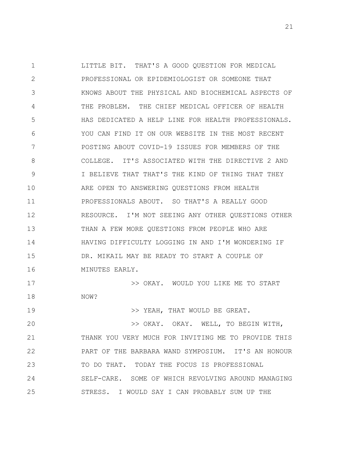1 2 3 4 5 6 7 8 9 10 11 12 13 14 15 16 17 18 19 20 21 LITTLE BIT. THAT'S A GOOD QUESTION FOR MEDICAL PROFESSIONAL OR EPIDEMIOLOGIST OR SOMEONE THAT KNOWS ABOUT THE PHYSICAL AND BIOCHEMICAL ASPECTS OF THE PROBLEM. THE CHIEF MEDICAL OFFICER OF HEALTH HAS DEDICATED A HELP LINE FOR HEALTH PROFESSIONALS. YOU CAN FIND IT ON OUR WEBSITE IN THE MOST RECENT POSTING ABOUT COVID-19 ISSUES FOR MEMBERS OF THE COLLEGE. IT'S ASSOCIATED WITH THE DIRECTIVE 2 AND I BELIEVE THAT THAT'S THE KIND OF THING THAT THEY ARE OPEN TO ANSWERING QUESTIONS FROM HEALTH PROFESSIONALS ABOUT. SO THAT'S A REALLY GOOD RESOURCE. I'M NOT SEEING ANY OTHER QUESTIONS OTHER THAN A FEW MORE QUESTIONS FROM PEOPLE WHO ARE HAVING DIFFICULTY LOGGING IN AND I'M WONDERING IF DR. MIKAIL MAY BE READY TO START A COUPLE OF MINUTES EARLY. >> OKAY. WOULD YOU LIKE ME TO START NOW? >> YEAH, THAT WOULD BE GREAT. >> OKAY. OKAY. WELL, TO BEGIN WITH, THANK YOU VERY MUCH FOR INVITING ME TO PROVIDE THIS

22 23 24 25 PART OF THE BARBARA WAND SYMPOSIUM. IT'S AN HONOUR TO DO THAT. TODAY THE FOCUS IS PROFESSIONAL SELF-CARE. SOME OF WHICH REVOLVING AROUND MANAGING STRESS. I WOULD SAY I CAN PROBABLY SUM UP THE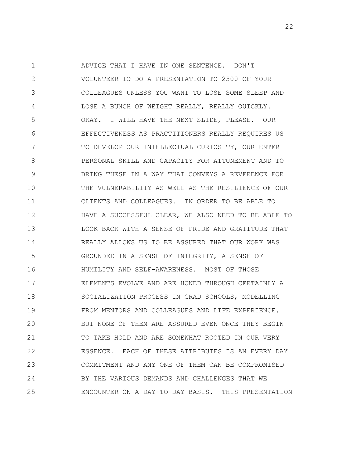1 2 3 4 5 6 7 8 9 10 11 12 13 14 15 16 17 18 19 20 21 22 23 24 25 ADVICE THAT I HAVE IN ONE SENTENCE. DON'T VOLUNTEER TO DO A PRESENTATION TO 2500 OF YOUR COLLEAGUES UNLESS YOU WANT TO LOSE SOME SLEEP AND LOSE A BUNCH OF WEIGHT REALLY, REALLY QUICKLY. OKAY. I WILL HAVE THE NEXT SLIDE, PLEASE. OUR EFFECTIVENESS AS PRACTITIONERS REALLY REQUIRES US TO DEVELOP OUR INTELLECTUAL CURIOSITY, OUR ENTER PERSONAL SKILL AND CAPACITY FOR ATTUNEMENT AND TO BRING THESE IN A WAY THAT CONVEYS A REVERENCE FOR THE VULNERABILITY AS WELL AS THE RESILIENCE OF OUR CLIENTS AND COLLEAGUES. IN ORDER TO BE ABLE TO HAVE A SUCCESSFUL CLEAR, WE ALSO NEED TO BE ABLE TO LOOK BACK WITH A SENSE OF PRIDE AND GRATITUDE THAT REALLY ALLOWS US TO BE ASSURED THAT OUR WORK WAS GROUNDED IN A SENSE OF INTEGRITY, A SENSE OF HUMILITY AND SELF-AWARENESS. MOST OF THOSE ELEMENTS EVOLVE AND ARE HONED THROUGH CERTAINLY A SOCIALIZATION PROCESS IN GRAD SCHOOLS, MODELLING FROM MENTORS AND COLLEAGUES AND LIFE EXPERIENCE. BUT NONE OF THEM ARE ASSURED EVEN ONCE THEY BEGIN TO TAKE HOLD AND ARE SOMEWHAT ROOTED IN OUR VERY ESSENCE. EACH OF THESE ATTRIBUTES IS AN EVERY DAY COMMITMENT AND ANY ONE OF THEM CAN BE COMPROMISED BY THE VARIOUS DEMANDS AND CHALLENGES THAT WE ENCOUNTER ON A DAY-TO-DAY BASIS. THIS PRESENTATION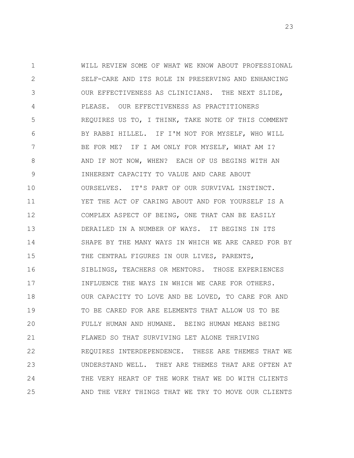1 2 3 4 5 6 7 8 9 10 11 12 13 14 15 16 17 18 19 20 21 22 23 24 25 WILL REVIEW SOME OF WHAT WE KNOW ABOUT PROFESSIONAL SELF-CARE AND ITS ROLE IN PRESERVING AND ENHANCING OUR EFFECTIVENESS AS CLINICIANS. THE NEXT SLIDE, PLEASE. OUR EFFECTIVENESS AS PRACTITIONERS REQUIRES US TO, I THINK, TAKE NOTE OF THIS COMMENT BY RABBI HILLEL. IF I'M NOT FOR MYSELF, WHO WILL BE FOR ME? IF I AM ONLY FOR MYSELF, WHAT AM I? AND IF NOT NOW, WHEN? EACH OF US BEGINS WITH AN INHERENT CAPACITY TO VALUE AND CARE ABOUT OURSELVES. IT'S PART OF OUR SURVIVAL INSTINCT. YET THE ACT OF CARING ABOUT AND FOR YOURSELF IS A COMPLEX ASPECT OF BEING, ONE THAT CAN BE EASILY DERAILED IN A NUMBER OF WAYS. IT BEGINS IN ITS SHAPE BY THE MANY WAYS IN WHICH WE ARE CARED FOR BY THE CENTRAL FIGURES IN OUR LIVES, PARENTS, SIBLINGS, TEACHERS OR MENTORS. THOSE EXPERIENCES INFLUENCE THE WAYS IN WHICH WE CARE FOR OTHERS. OUR CAPACITY TO LOVE AND BE LOVED, TO CARE FOR AND TO BE CARED FOR ARE ELEMENTS THAT ALLOW US TO BE FULLY HUMAN AND HUMANE. BEING HUMAN MEANS BEING FLAWED SO THAT SURVIVING LET ALONE THRIVING REQUIRES INTERDEPENDENCE. THESE ARE THEMES THAT WE UNDERSTAND WELL. THEY ARE THEMES THAT ARE OFTEN AT THE VERY HEART OF THE WORK THAT WE DO WITH CLIENTS AND THE VERY THINGS THAT WE TRY TO MOVE OUR CLIENTS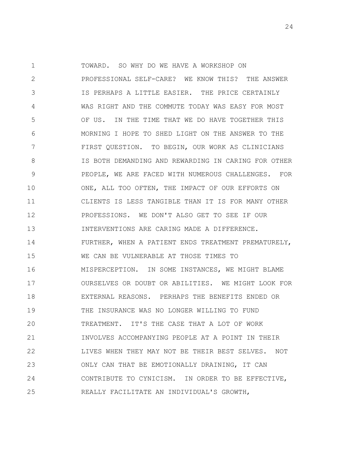1 2 3 4 5 6 7 8 9 10 11 12 13 14 15 16 17 18 19 20 21 22 23 24 25 TOWARD. SO WHY DO WE HAVE A WORKSHOP ON PROFESSIONAL SELF-CARE? WE KNOW THIS? THE ANSWER IS PERHAPS A LITTLE EASIER. THE PRICE CERTAINLY WAS RIGHT AND THE COMMUTE TODAY WAS EASY FOR MOST OF US. IN THE TIME THAT WE DO HAVE TOGETHER THIS MORNING I HOPE TO SHED LIGHT ON THE ANSWER TO THE FIRST QUESTION. TO BEGIN, OUR WORK AS CLINICIANS IS BOTH DEMANDING AND REWARDING IN CARING FOR OTHER PEOPLE, WE ARE FACED WITH NUMEROUS CHALLENGES. FOR ONE, ALL TOO OFTEN, THE IMPACT OF OUR EFFORTS ON CLIENTS IS LESS TANGIBLE THAN IT IS FOR MANY OTHER PROFESSIONS. WE DON'T ALSO GET TO SEE IF OUR INTERVENTIONS ARE CARING MADE A DIFFERENCE. FURTHER, WHEN A PATIENT ENDS TREATMENT PREMATURELY, WE CAN BE VULNERABLE AT THOSE TIMES TO MISPERCEPTION. IN SOME INSTANCES, WE MIGHT BLAME OURSELVES OR DOUBT OR ABILITIES. WE MIGHT LOOK FOR EXTERNAL REASONS. PERHAPS THE BENEFITS ENDED OR THE INSURANCE WAS NO LONGER WILLING TO FUND TREATMENT. IT'S THE CASE THAT A LOT OF WORK INVOLVES ACCOMPANYING PEOPLE AT A POINT IN THEIR LIVES WHEN THEY MAY NOT BE THEIR BEST SELVES. NOT ONLY CAN THAT BE EMOTIONALLY DRAINING, IT CAN CONTRIBUTE TO CYNICISM. IN ORDER TO BE EFFECTIVE, REALLY FACILITATE AN INDIVIDUAL'S GROWTH,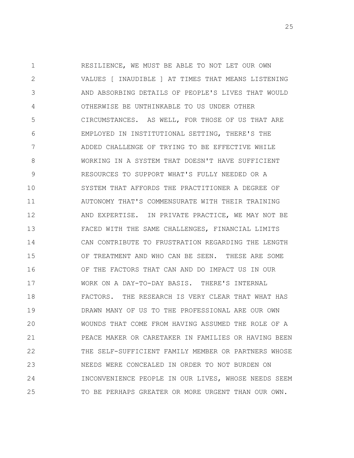1 2 3 4 5 6 7 8 9 10 11 12 13 14 15 16 17 18 19 20 21 22 23 24 25 RESILIENCE, WE MUST BE ABLE TO NOT LET OUR OWN VALUES [ INAUDIBLE ] AT TIMES THAT MEANS LISTENING AND ABSORBING DETAILS OF PEOPLE'S LIVES THAT WOULD OTHERWISE BE UNTHINKABLE TO US UNDER OTHER CIRCUMSTANCES. AS WELL, FOR THOSE OF US THAT ARE EMPLOYED IN INSTITUTIONAL SETTING, THERE'S THE ADDED CHALLENGE OF TRYING TO BE EFFECTIVE WHILE WORKING IN A SYSTEM THAT DOESN'T HAVE SUFFICIENT RESOURCES TO SUPPORT WHAT'S FULLY NEEDED OR A SYSTEM THAT AFFORDS THE PRACTITIONER A DEGREE OF AUTONOMY THAT'S COMMENSURATE WITH THEIR TRAINING AND EXPERTISE. IN PRIVATE PRACTICE, WE MAY NOT BE FACED WITH THE SAME CHALLENGES, FINANCIAL LIMITS CAN CONTRIBUTE TO FRUSTRATION REGARDING THE LENGTH OF TREATMENT AND WHO CAN BE SEEN. THESE ARE SOME OF THE FACTORS THAT CAN AND DO IMPACT US IN OUR WORK ON A DAY-TO-DAY BASIS. THERE'S INTERNAL FACTORS. THE RESEARCH IS VERY CLEAR THAT WHAT HAS DRAWN MANY OF US TO THE PROFESSIONAL ARE OUR OWN WOUNDS THAT COME FROM HAVING ASSUMED THE ROLE OF A PEACE MAKER OR CARETAKER IN FAMILIES OR HAVING BEEN THE SELF-SUFFICIENT FAMILY MEMBER OR PARTNERS WHOSE NEEDS WERE CONCEALED IN ORDER TO NOT BURDEN ON INCONVENIENCE PEOPLE IN OUR LIVES, WHOSE NEEDS SEEM TO BE PERHAPS GREATER OR MORE URGENT THAN OUR OWN.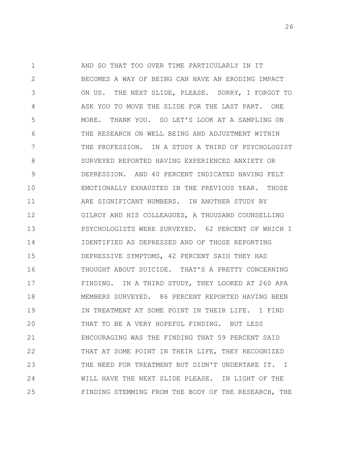1 2 3 4 5 6 7 8 9 10 11 12 13 14 15 16 17 18 19 20 21 22 23 24 25 AND SO THAT TOO OVER TIME PARTICULARLY IN IT BECOMES A WAY OF BEING CAN HAVE AN ERODING IMPACT ON US. THE NEXT SLIDE, PLEASE. SORRY, I FORGOT TO ASK YOU TO MOVE THE SLIDE FOR THE LAST PART. ONE MORE. THANK YOU. SO LET'S LOOK AT A SAMPLING ON THE RESEARCH ON WELL BEING AND ADJUSTMENT WITHIN THE PROFESSION. IN A STUDY A THIRD OF PSYCHOLOGIST SURVEYED REPORTED HAVING EXPERIENCED ANXIETY OR DEPRESSION. AND 40 PERCENT INDICATED HAVING FELT EMOTIONALLY EXHAUSTED IN THE PREVIOUS YEAR. THOSE ARE SIGNIFICANT NUMBERS. IN ANOTHER STUDY BY GILROY AND HIS COLLEAGUES, A THOUSAND COUNSELLING PSYCHOLOGISTS WERE SURVEYED. 62 PERCENT OF WHICH I IDENTIFIED AS DEPRESSED AND OF THOSE REPORTING DEPRESSIVE SYMPTOMS, 42 PERCENT SAID THEY HAD THOUGHT ABOUT SUICIDE. THAT'S A PRETTY CONCERNING FINDING. IN A THIRD STUDY, THEY LOOKED AT 260 APA MEMBERS SURVEYED. 86 PERCENT REPORTED HAVING BEEN IN TREATMENT AT SOME POINT IN THEIR LIFE. I FIND THAT TO BE A VERY HOPEFUL FINDING. BUT LESS ENCOURAGING WAS THE FINDING THAT 59 PERCENT SAID THAT AT SOME POINT IN THEIR LIFE, THEY RECOGNIZED THE NEED FOR TREATMENT BUT DIDN'T UNDERTAKE IT. I WILL HAVE THE NEXT SLIDE PLEASE. IN LIGHT OF THE FINDING STEMMING FROM THE BODY OF THE RESEARCH, THE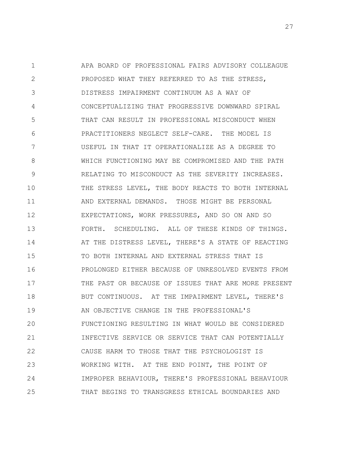1 2 3 4 5 6 7 8 9 10 11 12 13 14 15 16 17 18 19 20 21 22 23 24 25 APA BOARD OF PROFESSIONAL FAIRS ADVISORY COLLEAGUE PROPOSED WHAT THEY REFERRED TO AS THE STRESS, DISTRESS IMPAIRMENT CONTINUUM AS A WAY OF CONCEPTUALIZING THAT PROGRESSIVE DOWNWARD SPIRAL THAT CAN RESULT IN PROFESSIONAL MISCONDUCT WHEN PRACTITIONERS NEGLECT SELF-CARE. THE MODEL IS USEFUL IN THAT IT OPERATIONALIZE AS A DEGREE TO WHICH FUNCTIONING MAY BE COMPROMISED AND THE PATH RELATING TO MISCONDUCT AS THE SEVERITY INCREASES. THE STRESS LEVEL, THE BODY REACTS TO BOTH INTERNAL AND EXTERNAL DEMANDS. THOSE MIGHT BE PERSONAL EXPECTATIONS, WORK PRESSURES, AND SO ON AND SO FORTH. SCHEDULING. ALL OF THESE KINDS OF THINGS. AT THE DISTRESS LEVEL, THERE'S A STATE OF REACTING TO BOTH INTERNAL AND EXTERNAL STRESS THAT IS PROLONGED EITHER BECAUSE OF UNRESOLVED EVENTS FROM THE PAST OR BECAUSE OF ISSUES THAT ARE MORE PRESENT BUT CONTINUOUS. AT THE IMPAIRMENT LEVEL, THERE'S AN OBJECTIVE CHANGE IN THE PROFESSIONAL'S FUNCTIONING RESULTING IN WHAT WOULD BE CONSIDERED INFECTIVE SERVICE OR SERVICE THAT CAN POTENTIALLY CAUSE HARM TO THOSE THAT THE PSYCHOLOGIST IS WORKING WITH. AT THE END POINT, THE POINT OF IMPROPER BEHAVIOUR, THERE'S PROFESSIONAL BEHAVIOUR THAT BEGINS TO TRANSGRESS ETHICAL BOUNDARIES AND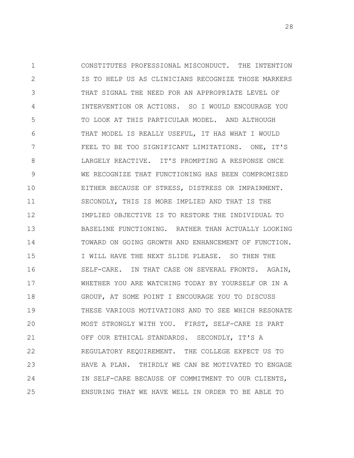1 2 3 4 5 6 7 8 9 10 11 12 13 14 15 16 17 18 19 20 21 22 23 24 25 CONSTITUTES PROFESSIONAL MISCONDUCT. THE INTENTION IS TO HELP US AS CLINICIANS RECOGNIZE THOSE MARKERS THAT SIGNAL THE NEED FOR AN APPROPRIATE LEVEL OF INTERVENTION OR ACTIONS. SO I WOULD ENCOURAGE YOU TO LOOK AT THIS PARTICULAR MODEL. AND ALTHOUGH THAT MODEL IS REALLY USEFUL, IT HAS WHAT I WOULD FEEL TO BE TOO SIGNIFICANT LIMITATIONS. ONE, IT'S LARGELY REACTIVE. IT'S PROMPTING A RESPONSE ONCE WE RECOGNIZE THAT FUNCTIONING HAS BEEN COMPROMISED EITHER BECAUSE OF STRESS, DISTRESS OR IMPAIRMENT. SECONDLY, THIS IS MORE IMPLIED AND THAT IS THE IMPLIED OBJECTIVE IS TO RESTORE THE INDIVIDUAL TO BASELINE FUNCTIONING. RATHER THAN ACTUALLY LOOKING TOWARD ON GOING GROWTH AND ENHANCEMENT OF FUNCTION. I WILL HAVE THE NEXT SLIDE PLEASE. SO THEN THE SELF-CARE. IN THAT CASE ON SEVERAL FRONTS. AGAIN, WHETHER YOU ARE WATCHING TODAY BY YOURSELF OR IN A GROUP, AT SOME POINT I ENCOURAGE YOU TO DISCUSS THESE VARIOUS MOTIVATIONS AND TO SEE WHICH RESONATE MOST STRONGLY WITH YOU. FIRST, SELF-CARE IS PART OFF OUR ETHICAL STANDARDS. SECONDLY, IT'S A REGULATORY REQUIREMENT. THE COLLEGE EXPECT US TO HAVE A PLAN. THIRDLY WE CAN BE MOTIVATED TO ENGAGE IN SELF-CARE BECAUSE OF COMMITMENT TO OUR CLIENTS, ENSURING THAT WE HAVE WELL IN ORDER TO BE ABLE TO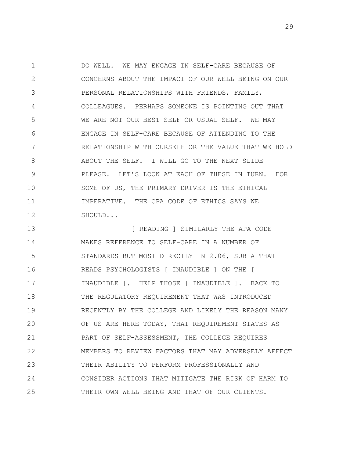1 2 3 4 5 6 7 8 9 10 11 12 DO WELL. WE MAY ENGAGE IN SELF-CARE BECAUSE OF CONCERNS ABOUT THE IMPACT OF OUR WELL BEING ON OUR PERSONAL RELATIONSHIPS WITH FRIENDS, FAMILY, COLLEAGUES. PERHAPS SOMEONE IS POINTING OUT THAT WE ARE NOT OUR BEST SELF OR USUAL SELF. WE MAY ENGAGE IN SELF-CARE BECAUSE OF ATTENDING TO THE RELATIONSHIP WITH OURSELF OR THE VALUE THAT WE HOLD ABOUT THE SELF. I WILL GO TO THE NEXT SLIDE PLEASE. LET'S LOOK AT EACH OF THESE IN TURN. FOR SOME OF US, THE PRIMARY DRIVER IS THE ETHICAL IMPERATIVE. THE CPA CODE OF ETHICS SAYS WE SHOULD...

13 14 15 16 17 18 19 20 21 22 23 24 25 [ READING ] SIMILARLY THE APA CODE MAKES REFERENCE TO SELF-CARE IN A NUMBER OF STANDARDS BUT MOST DIRECTLY IN 2.06, SUB A THAT READS PSYCHOLOGISTS [ INAUDIBLE ] ON THE [ INAUDIBLE ]. HELP THOSE [ INAUDIBLE ]. BACK TO THE REGULATORY REQUIREMENT THAT WAS INTRODUCED RECENTLY BY THE COLLEGE AND LIKELY THE REASON MANY OF US ARE HERE TODAY, THAT REQUIREMENT STATES AS PART OF SELF-ASSESSMENT, THE COLLEGE REQUIRES MEMBERS TO REVIEW FACTORS THAT MAY ADVERSELY AFFECT THEIR ABILITY TO PERFORM PROFESSIONALLY AND CONSIDER ACTIONS THAT MITIGATE THE RISK OF HARM TO THEIR OWN WELL BEING AND THAT OF OUR CLIENTS.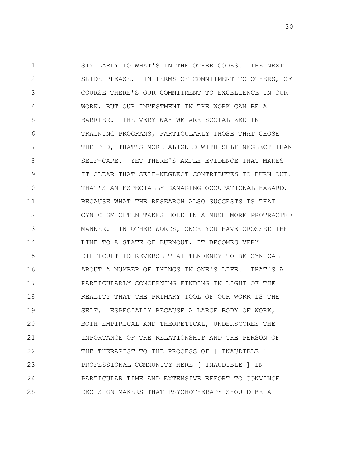1 2 3 4 5 6 7 8 9 10 11 12 13 14 15 16 17 18 19 20 21 22 23 24 25 SIMILARLY TO WHAT'S IN THE OTHER CODES. THE NEXT SLIDE PLEASE. IN TERMS OF COMMITMENT TO OTHERS, OF COURSE THERE'S OUR COMMITMENT TO EXCELLENCE IN OUR WORK, BUT OUR INVESTMENT IN THE WORK CAN BE A BARRIER. THE VERY WAY WE ARE SOCIALIZED IN TRAINING PROGRAMS, PARTICULARLY THOSE THAT CHOSE THE PHD, THAT'S MORE ALIGNED WITH SELF-NEGLECT THAN SELF-CARE. YET THERE'S AMPLE EVIDENCE THAT MAKES IT CLEAR THAT SELF-NEGLECT CONTRIBUTES TO BURN OUT. THAT'S AN ESPECIALLY DAMAGING OCCUPATIONAL HAZARD. BECAUSE WHAT THE RESEARCH ALSO SUGGESTS IS THAT CYNICISM OFTEN TAKES HOLD IN A MUCH MORE PROTRACTED MANNER. IN OTHER WORDS, ONCE YOU HAVE CROSSED THE LINE TO A STATE OF BURNOUT, IT BECOMES VERY DIFFICULT TO REVERSE THAT TENDENCY TO BE CYNICAL ABOUT A NUMBER OF THINGS IN ONE'S LIFE. THAT'S A PARTICULARLY CONCERNING FINDING IN LIGHT OF THE REALITY THAT THE PRIMARY TOOL OF OUR WORK IS THE SELF. ESPECIALLY BECAUSE A LARGE BODY OF WORK, BOTH EMPIRICAL AND THEORETICAL, UNDERSCORES THE IMPORTANCE OF THE RELATIONSHIP AND THE PERSON OF THE THERAPIST TO THE PROCESS OF [ INAUDIBLE ] PROFESSIONAL COMMUNITY HERE [ INAUDIBLE ] IN PARTICULAR TIME AND EXTENSIVE EFFORT TO CONVINCE DECISION MAKERS THAT PSYCHOTHERAPY SHOULD BE A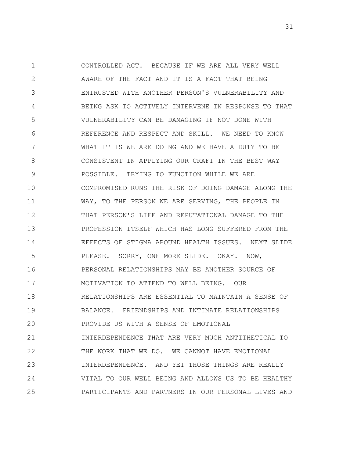1 2 3 4 5 6 7 8 9 10 11 12 13 14 15 16 17 18 19 20 21 22 23 24 25 CONTROLLED ACT. BECAUSE IF WE ARE ALL VERY WELL AWARE OF THE FACT AND IT IS A FACT THAT BEING ENTRUSTED WITH ANOTHER PERSON'S VULNERABILITY AND BEING ASK TO ACTIVELY INTERVENE IN RESPONSE TO THAT VULNERABILITY CAN BE DAMAGING IF NOT DONE WITH REFERENCE AND RESPECT AND SKILL. WE NEED TO KNOW WHAT IT IS WE ARE DOING AND WE HAVE A DUTY TO BE CONSISTENT IN APPLYING OUR CRAFT IN THE BEST WAY POSSIBLE. TRYING TO FUNCTION WHILE WE ARE COMPROMISED RUNS THE RISK OF DOING DAMAGE ALONG THE WAY, TO THE PERSON WE ARE SERVING, THE PEOPLE IN THAT PERSON'S LIFE AND REPUTATIONAL DAMAGE TO THE PROFESSION ITSELF WHICH HAS LONG SUFFERED FROM THE EFFECTS OF STIGMA AROUND HEALTH ISSUES. NEXT SLIDE PLEASE. SORRY, ONE MORE SLIDE. OKAY. NOW, PERSONAL RELATIONSHIPS MAY BE ANOTHER SOURCE OF MOTIVATION TO ATTEND TO WELL BEING. OUR RELATIONSHIPS ARE ESSENTIAL TO MAINTAIN A SENSE OF BALANCE. FRIENDSHIPS AND INTIMATE RELATIONSHIPS PROVIDE US WITH A SENSE OF EMOTIONAL INTERDEPENDENCE THAT ARE VERY MUCH ANTITHETICAL TO THE WORK THAT WE DO. WE CANNOT HAVE EMOTIONAL INTERDEPENDENCE. AND YET THOSE THINGS ARE REALLY VITAL TO OUR WELL BEING AND ALLOWS US TO BE HEALTHY PARTICIPANTS AND PARTNERS IN OUR PERSONAL LIVES AND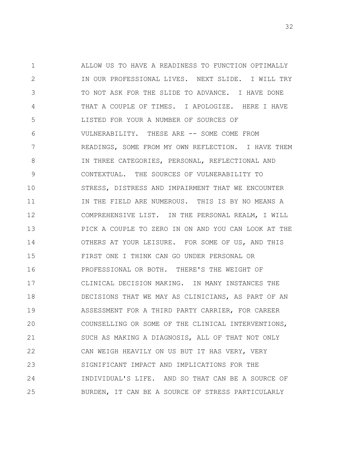1 2 3 4 5 6 7 8 9 10 11 12 13 14 15 16 17 18 19 20 21 22 23 24 25 ALLOW US TO HAVE A READINESS TO FUNCTION OPTIMALLY IN OUR PROFESSIONAL LIVES. NEXT SLIDE. I WILL TRY TO NOT ASK FOR THE SLIDE TO ADVANCE. I HAVE DONE THAT A COUPLE OF TIMES. I APOLOGIZE. HERE I HAVE LISTED FOR YOUR A NUMBER OF SOURCES OF VULNERABILITY. THESE ARE -- SOME COME FROM READINGS, SOME FROM MY OWN REFLECTION. I HAVE THEM IN THREE CATEGORIES, PERSONAL, REFLECTIONAL AND CONTEXTUAL. THE SOURCES OF VULNERABILITY TO STRESS, DISTRESS AND IMPAIRMENT THAT WE ENCOUNTER IN THE FIELD ARE NUMEROUS. THIS IS BY NO MEANS A COMPREHENSIVE LIST. IN THE PERSONAL REALM, I WILL PICK A COUPLE TO ZERO IN ON AND YOU CAN LOOK AT THE OTHERS AT YOUR LEISURE. FOR SOME OF US, AND THIS FIRST ONE I THINK CAN GO UNDER PERSONAL OR PROFESSIONAL OR BOTH. THERE'S THE WEIGHT OF CLINICAL DECISION MAKING. IN MANY INSTANCES THE DECISIONS THAT WE MAY AS CLINICIANS, AS PART OF AN ASSESSMENT FOR A THIRD PARTY CARRIER, FOR CAREER COUNSELLING OR SOME OF THE CLINICAL INTERVENTIONS, SUCH AS MAKING A DIAGNOSIS, ALL OF THAT NOT ONLY CAN WEIGH HEAVILY ON US BUT IT HAS VERY, VERY SIGNIFICANT IMPACT AND IMPLICATIONS FOR THE INDIVIDUAL'S LIFE. AND SO THAT CAN BE A SOURCE OF BURDEN, IT CAN BE A SOURCE OF STRESS PARTICULARLY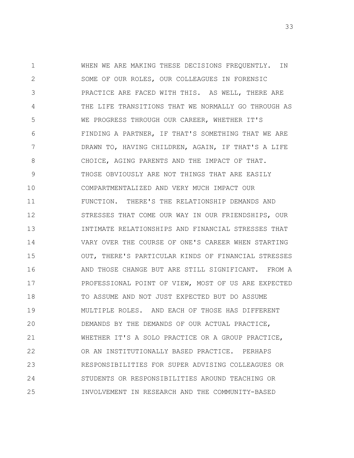1 2 3 4 5 6 7 8 9 10 11 12 13 14 15 16 17 18 19 20 21 22 23 24 25 WHEN WE ARE MAKING THESE DECISIONS FREQUENTLY. IN SOME OF OUR ROLES, OUR COLLEAGUES IN FORENSIC PRACTICE ARE FACED WITH THIS. AS WELL, THERE ARE THE LIFE TRANSITIONS THAT WE NORMALLY GO THROUGH AS WE PROGRESS THROUGH OUR CAREER, WHETHER IT'S FINDING A PARTNER, IF THAT'S SOMETHING THAT WE ARE DRAWN TO, HAVING CHILDREN, AGAIN, IF THAT'S A LIFE CHOICE, AGING PARENTS AND THE IMPACT OF THAT. THOSE OBVIOUSLY ARE NOT THINGS THAT ARE EASILY COMPARTMENTALIZED AND VERY MUCH IMPACT OUR FUNCTION. THERE'S THE RELATIONSHIP DEMANDS AND STRESSES THAT COME OUR WAY IN OUR FRIENDSHIPS, OUR INTIMATE RELATIONSHIPS AND FINANCIAL STRESSES THAT VARY OVER THE COURSE OF ONE'S CAREER WHEN STARTING OUT, THERE'S PARTICULAR KINDS OF FINANCIAL STRESSES AND THOSE CHANGE BUT ARE STILL SIGNIFICANT. FROM A PROFESSIONAL POINT OF VIEW, MOST OF US ARE EXPECTED TO ASSUME AND NOT JUST EXPECTED BUT DO ASSUME MULTIPLE ROLES. AND EACH OF THOSE HAS DIFFERENT DEMANDS BY THE DEMANDS OF OUR ACTUAL PRACTICE, WHETHER IT'S A SOLO PRACTICE OR A GROUP PRACTICE, OR AN INSTITUTIONALLY BASED PRACTICE. PERHAPS RESPONSIBILITIES FOR SUPER ADVISING COLLEAGUES OR STUDENTS OR RESPONSIBILITIES AROUND TEACHING OR INVOLVEMENT IN RESEARCH AND THE COMMUNITY-BASED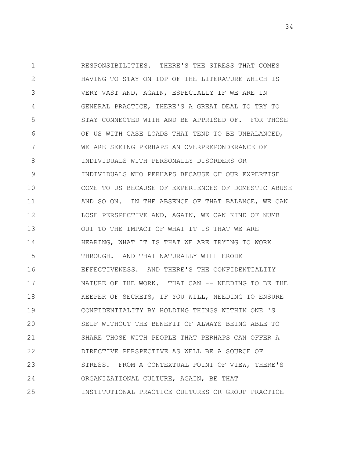1 2 3 4 5 6 7 8 9 10 11 12 13 14 15 16 17 18 19 20 21 22 23 24 25 RESPONSIBILITIES. THERE'S THE STRESS THAT COMES HAVING TO STAY ON TOP OF THE LITERATURE WHICH IS VERY VAST AND, AGAIN, ESPECIALLY IF WE ARE IN GENERAL PRACTICE, THERE'S A GREAT DEAL TO TRY TO STAY CONNECTED WITH AND BE APPRISED OF. FOR THOSE OF US WITH CASE LOADS THAT TEND TO BE UNBALANCED, WE ARE SEEING PERHAPS AN OVERPREPONDERANCE OF INDIVIDUALS WITH PERSONALLY DISORDERS OR INDIVIDUALS WHO PERHAPS BECAUSE OF OUR EXPERTISE COME TO US BECAUSE OF EXPERIENCES OF DOMESTIC ABUSE AND SO ON. IN THE ABSENCE OF THAT BALANCE, WE CAN LOSE PERSPECTIVE AND, AGAIN, WE CAN KIND OF NUMB OUT TO THE IMPACT OF WHAT IT IS THAT WE ARE HEARING, WHAT IT IS THAT WE ARE TRYING TO WORK THROUGH. AND THAT NATURALLY WILL ERODE EFFECTIVENESS. AND THERE'S THE CONFIDENTIALITY NATURE OF THE WORK. THAT CAN -- NEEDING TO BE THE KEEPER OF SECRETS, IF YOU WILL, NEEDING TO ENSURE CONFIDENTIALITY BY HOLDING THINGS WITHIN ONE 'S SELF WITHOUT THE BENEFIT OF ALWAYS BEING ABLE TO SHARE THOSE WITH PEOPLE THAT PERHAPS CAN OFFER A DIRECTIVE PERSPECTIVE AS WELL BE A SOURCE OF STRESS. FROM A CONTEXTUAL POINT OF VIEW, THERE'S ORGANIZATIONAL CULTURE, AGAIN, BE THAT INSTITUTIONAL PRACTICE CULTURES OR GROUP PRACTICE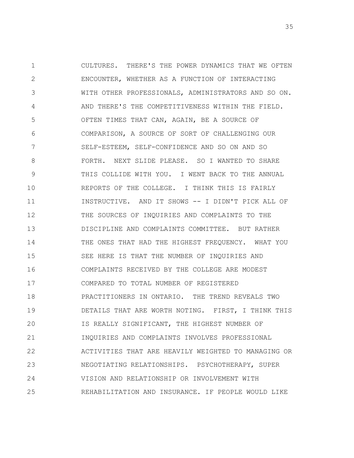1 2 3 4 5 6 7 8 9 10 11 12 13 14 15 16 17 18 19 20 21 22 23 24 25 CULTURES. THERE'S THE POWER DYNAMICS THAT WE OFTEN ENCOUNTER, WHETHER AS A FUNCTION OF INTERACTING WITH OTHER PROFESSIONALS, ADMINISTRATORS AND SO ON. AND THERE'S THE COMPETITIVENESS WITHIN THE FIELD. OFTEN TIMES THAT CAN, AGAIN, BE A SOURCE OF COMPARISON, A SOURCE OF SORT OF CHALLENGING OUR SELF-ESTEEM, SELF-CONFIDENCE AND SO ON AND SO FORTH. NEXT SLIDE PLEASE. SO I WANTED TO SHARE THIS COLLIDE WITH YOU. I WENT BACK TO THE ANNUAL REPORTS OF THE COLLEGE. I THINK THIS IS FAIRLY INSTRUCTIVE. AND IT SHOWS -- I DIDN'T PICK ALL OF THE SOURCES OF INQUIRIES AND COMPLAINTS TO THE DISCIPLINE AND COMPLAINTS COMMITTEE. BUT RATHER THE ONES THAT HAD THE HIGHEST FREQUENCY. WHAT YOU SEE HERE IS THAT THE NUMBER OF INQUIRIES AND COMPLAINTS RECEIVED BY THE COLLEGE ARE MODEST COMPARED TO TOTAL NUMBER OF REGISTERED PRACTITIONERS IN ONTARIO. THE TREND REVEALS TWO DETAILS THAT ARE WORTH NOTING. FIRST, I THINK THIS IS REALLY SIGNIFICANT, THE HIGHEST NUMBER OF INQUIRIES AND COMPLAINTS INVOLVES PROFESSIONAL ACTIVITIES THAT ARE HEAVILY WEIGHTED TO MANAGING OR NEGOTIATING RELATIONSHIPS. PSYCHOTHERAPY, SUPER VISION AND RELATIONSHIP OR INVOLVEMENT WITH REHABILITATION AND INSURANCE. IF PEOPLE WOULD LIKE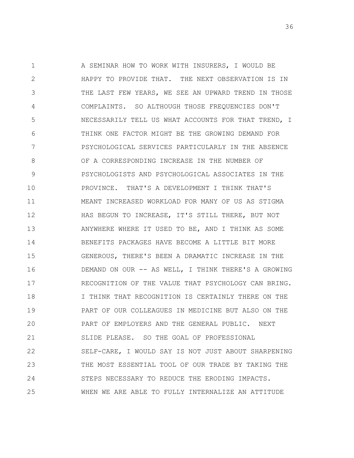1 2 3 4 5 6 7 8 9 10 11 12 13 14 15 16 17 18 19 20 21 22 23 24 25 A SEMINAR HOW TO WORK WITH INSURERS, I WOULD BE HAPPY TO PROVIDE THAT. THE NEXT OBSERVATION IS IN THE LAST FEW YEARS, WE SEE AN UPWARD TREND IN THOSE COMPLAINTS. SO ALTHOUGH THOSE FREQUENCIES DON'T NECESSARILY TELL US WHAT ACCOUNTS FOR THAT TREND, I THINK ONE FACTOR MIGHT BE THE GROWING DEMAND FOR PSYCHOLOGICAL SERVICES PARTICULARLY IN THE ABSENCE OF A CORRESPONDING INCREASE IN THE NUMBER OF PSYCHOLOGISTS AND PSYCHOLOGICAL ASSOCIATES IN THE PROVINCE. THAT'S A DEVELOPMENT I THINK THAT'S MEANT INCREASED WORKLOAD FOR MANY OF US AS STIGMA HAS BEGUN TO INCREASE, IT'S STILL THERE, BUT NOT ANYWHERE WHERE IT USED TO BE, AND I THINK AS SOME BENEFITS PACKAGES HAVE BECOME A LITTLE BIT MORE GENEROUS, THERE'S BEEN A DRAMATIC INCREASE IN THE DEMAND ON OUR -- AS WELL, I THINK THERE'S A GROWING RECOGNITION OF THE VALUE THAT PSYCHOLOGY CAN BRING. I THINK THAT RECOGNITION IS CERTAINLY THERE ON THE PART OF OUR COLLEAGUES IN MEDICINE BUT ALSO ON THE PART OF EMPLOYERS AND THE GENERAL PUBLIC. NEXT SLIDE PLEASE. SO THE GOAL OF PROFESSIONAL SELF-CARE, I WOULD SAY IS NOT JUST ABOUT SHARPENING THE MOST ESSENTIAL TOOL OF OUR TRADE BY TAKING THE STEPS NECESSARY TO REDUCE THE ERODING IMPACTS. WHEN WE ARE ABLE TO FULLY INTERNALIZE AN ATTITUDE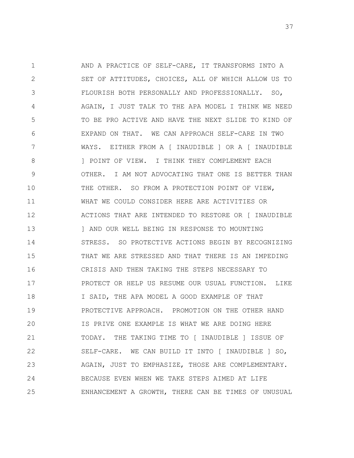1 2 3 4 5 6 7 8 9 10 11 12 13 14 15 16 17 18 19 20 21 22 23 24 25 AND A PRACTICE OF SELF-CARE, IT TRANSFORMS INTO A SET OF ATTITUDES, CHOICES, ALL OF WHICH ALLOW US TO FLOURISH BOTH PERSONALLY AND PROFESSIONALLY. SO, AGAIN, I JUST TALK TO THE APA MODEL I THINK WE NEED TO BE PRO ACTIVE AND HAVE THE NEXT SLIDE TO KIND OF EXPAND ON THAT. WE CAN APPROACH SELF-CARE IN TWO WAYS. EITHER FROM A [ INAUDIBLE ] OR A [ INAUDIBLE ] POINT OF VIEW. I THINK THEY COMPLEMENT EACH OTHER. I AM NOT ADVOCATING THAT ONE IS BETTER THAN THE OTHER. SO FROM A PROTECTION POINT OF VIEW, WHAT WE COULD CONSIDER HERE ARE ACTIVITIES OR ACTIONS THAT ARE INTENDED TO RESTORE OR [ INAUDIBLE ] AND OUR WELL BEING IN RESPONSE TO MOUNTING STRESS. SO PROTECTIVE ACTIONS BEGIN BY RECOGNIZING THAT WE ARE STRESSED AND THAT THERE IS AN IMPEDING CRISIS AND THEN TAKING THE STEPS NECESSARY TO PROTECT OR HELP US RESUME OUR USUAL FUNCTION. LIKE I SAID, THE APA MODEL A GOOD EXAMPLE OF THAT PROTECTIVE APPROACH. PROMOTION ON THE OTHER HAND IS PRIVE ONE EXAMPLE IS WHAT WE ARE DOING HERE TODAY. THE TAKING TIME TO [ INAUDIBLE ] ISSUE OF SELF-CARE. WE CAN BUILD IT INTO [ INAUDIBLE ] SO, AGAIN, JUST TO EMPHASIZE, THOSE ARE COMPLEMENTARY. BECAUSE EVEN WHEN WE TAKE STEPS AIMED AT LIFE ENHANCEMENT A GROWTH, THERE CAN BE TIMES OF UNUSUAL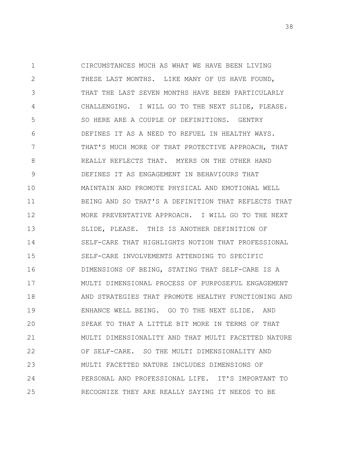1 2 3 4 5 6 7 8 9 10 11 12 13 14 15 16 17 18 19 20 21 22 23 24 25 CIRCUMSTANCES MUCH AS WHAT WE HAVE BEEN LIVING THESE LAST MONTHS. LIKE MANY OF US HAVE FOUND, THAT THE LAST SEVEN MONTHS HAVE BEEN PARTICULARLY CHALLENGING. I WILL GO TO THE NEXT SLIDE, PLEASE. SO HERE ARE A COUPLE OF DEFINITIONS. GENTRY DEFINES IT AS A NEED TO REFUEL IN HEALTHY WAYS. THAT'S MUCH MORE OF THAT PROTECTIVE APPROACH, THAT REALLY REFLECTS THAT. MYERS ON THE OTHER HAND DEFINES IT AS ENGAGEMENT IN BEHAVIOURS THAT MAINTAIN AND PROMOTE PHYSICAL AND EMOTIONAL WELL BEING AND SO THAT'S A DEFINITION THAT REFLECTS THAT MORE PREVENTATIVE APPROACH. I WILL GO TO THE NEXT SLIDE, PLEASE. THIS IS ANOTHER DEFINITION OF SELF-CARE THAT HIGHLIGHTS NOTION THAT PROFESSIONAL SELF-CARE INVOLVEMENTS ATTENDING TO SPECIFIC DIMENSIONS OF BEING, STATING THAT SELF-CARE IS A MULTI DIMENSIONAL PROCESS OF PURPOSEFUL ENGAGEMENT AND STRATEGIES THAT PROMOTE HEALTHY FUNCTIONING AND ENHANCE WELL BEING. GO TO THE NEXT SLIDE. AND SPEAK TO THAT A LITTLE BIT MORE IN TERMS OF THAT MULTI DIMENSIONALITY AND THAT MULTI FACETTED NATURE OF SELF-CARE. SO THE MULTI DIMENSIONALITY AND MULTI FACETTED NATURE INCLUDES DIMENSIONS OF PERSONAL AND PROFESSIONAL LIFE. IT'S IMPORTANT TO RECOGNIZE THEY ARE REALLY SAYING IT NEEDS TO BE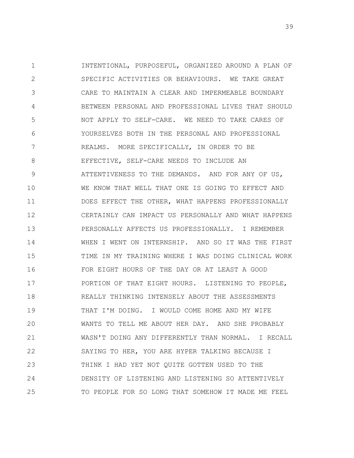1 2 3 4 5 6 7 8 9 10 11 12 13 14 15 16 17 18 19 20 21 22 23 24 25 INTENTIONAL, PURPOSEFUL, ORGANIZED AROUND A PLAN OF SPECIFIC ACTIVITIES OR BEHAVIOURS. WE TAKE GREAT CARE TO MAINTAIN A CLEAR AND IMPERMEABLE BOUNDARY BETWEEN PERSONAL AND PROFESSIONAL LIVES THAT SHOULD NOT APPLY TO SELF-CARE. WE NEED TO TAKE CARES OF YOURSELVES BOTH IN THE PERSONAL AND PROFESSIONAL REALMS. MORE SPECIFICALLY, IN ORDER TO BE EFFECTIVE, SELF-CARE NEEDS TO INCLUDE AN ATTENTIVENESS TO THE DEMANDS. AND FOR ANY OF US, WE KNOW THAT WELL THAT ONE IS GOING TO EFFECT AND DOES EFFECT THE OTHER, WHAT HAPPENS PROFESSIONALLY CERTAINLY CAN IMPACT US PERSONALLY AND WHAT HAPPENS PERSONALLY AFFECTS US PROFESSIONALLY. I REMEMBER WHEN I WENT ON INTERNSHIP. AND SO IT WAS THE FIRST TIME IN MY TRAINING WHERE I WAS DOING CLINICAL WORK FOR EIGHT HOURS OF THE DAY OR AT LEAST A GOOD PORTION OF THAT EIGHT HOURS. LISTENING TO PEOPLE, REALLY THINKING INTENSELY ABOUT THE ASSESSMENTS THAT I'M DOING. I WOULD COME HOME AND MY WIFE WANTS TO TELL ME ABOUT HER DAY. AND SHE PROBABLY WASN'T DOING ANY DIFFERENTLY THAN NORMAL. I RECALL SAYING TO HER, YOU ARE HYPER TALKING BECAUSE I THINK I HAD YET NOT QUITE GOTTEN USED TO THE DENSITY OF LISTENING AND LISTENING SO ATTENTIVELY TO PEOPLE FOR SO LONG THAT SOMEHOW IT MADE ME FEEL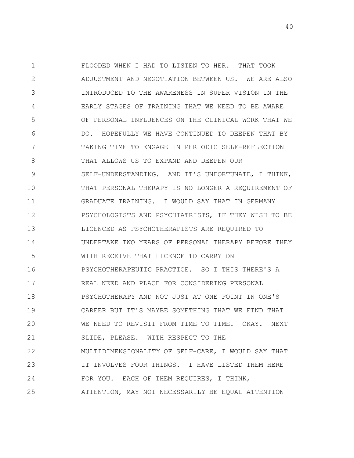1 2 3 4 5 6 7 8 9 10 11 12 13 14 15 16 17 18 19 20 21 22 23 24 25 FLOODED WHEN I HAD TO LISTEN TO HER. THAT TOOK ADJUSTMENT AND NEGOTIATION BETWEEN US. WE ARE ALSO INTRODUCED TO THE AWARENESS IN SUPER VISION IN THE EARLY STAGES OF TRAINING THAT WE NEED TO BE AWARE OF PERSONAL INFLUENCES ON THE CLINICAL WORK THAT WE DO. HOPEFULLY WE HAVE CONTINUED TO DEEPEN THAT BY TAKING TIME TO ENGAGE IN PERIODIC SELF-REFLECTION THAT ALLOWS US TO EXPAND AND DEEPEN OUR SELF-UNDERSTANDING. AND IT'S UNFORTUNATE, I THINK, THAT PERSONAL THERAPY IS NO LONGER A REQUIREMENT OF GRADUATE TRAINING. I WOULD SAY THAT IN GERMANY PSYCHOLOGISTS AND PSYCHIATRISTS, IF THEY WISH TO BE LICENCED AS PSYCHOTHERAPISTS ARE REQUIRED TO UNDERTAKE TWO YEARS OF PERSONAL THERAPY BEFORE THEY WITH RECEIVE THAT LICENCE TO CARRY ON PSYCHOTHERAPEUTIC PRACTICE. SO I THIS THERE'S A REAL NEED AND PLACE FOR CONSIDERING PERSONAL PSYCHOTHERAPY AND NOT JUST AT ONE POINT IN ONE'S CAREER BUT IT'S MAYBE SOMETHING THAT WE FIND THAT WE NEED TO REVISIT FROM TIME TO TIME. OKAY. NEXT SLIDE, PLEASE. WITH RESPECT TO THE MULTIDIMENSIONALITY OF SELF-CARE, I WOULD SAY THAT IT INVOLVES FOUR THINGS. I HAVE LISTED THEM HERE FOR YOU. EACH OF THEM REQUIRES, I THINK, ATTENTION, MAY NOT NECESSARILY BE EQUAL ATTENTION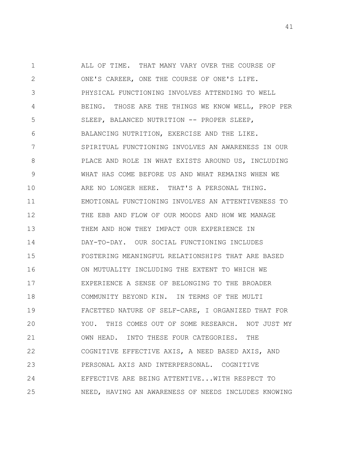1 2 3 4 5 6 7 8 9 10 11 12 13 14 15 16 17 18 19 20 21 22 23 24 25 ALL OF TIME. THAT MANY VARY OVER THE COURSE OF ONE'S CAREER, ONE THE COURSE OF ONE'S LIFE. PHYSICAL FUNCTIONING INVOLVES ATTENDING TO WELL BEING. THOSE ARE THE THINGS WE KNOW WELL, PROP PER SLEEP, BALANCED NUTRITION -- PROPER SLEEP, BALANCING NUTRITION, EXERCISE AND THE LIKE. SPIRITUAL FUNCTIONING INVOLVES AN AWARENESS IN OUR PLACE AND ROLE IN WHAT EXISTS AROUND US, INCLUDING WHAT HAS COME BEFORE US AND WHAT REMAINS WHEN WE ARE NO LONGER HERE. THAT'S A PERSONAL THING. EMOTIONAL FUNCTIONING INVOLVES AN ATTENTIVENESS TO THE EBB AND FLOW OF OUR MOODS AND HOW WE MANAGE THEM AND HOW THEY IMPACT OUR EXPERIENCE IN DAY-TO-DAY. OUR SOCIAL FUNCTIONING INCLUDES FOSTERING MEANINGFUL RELATIONSHIPS THAT ARE BASED ON MUTUALITY INCLUDING THE EXTENT TO WHICH WE EXPERIENCE A SENSE OF BELONGING TO THE BROADER COMMUNITY BEYOND KIN. IN TERMS OF THE MULTI FACETTED NATURE OF SELF-CARE, I ORGANIZED THAT FOR YOU. THIS COMES OUT OF SOME RESEARCH. NOT JUST MY OWN HEAD. INTO THESE FOUR CATEGORIES. THE COGNITIVE EFFECTIVE AXIS, A NEED BASED AXIS, AND PERSONAL AXIS AND INTERPERSONAL. COGNITIVE EFFECTIVE ARE BEING ATTENTIVE...WITH RESPECT TO NEED, HAVING AN AWARENESS OF NEEDS INCLUDES KNOWING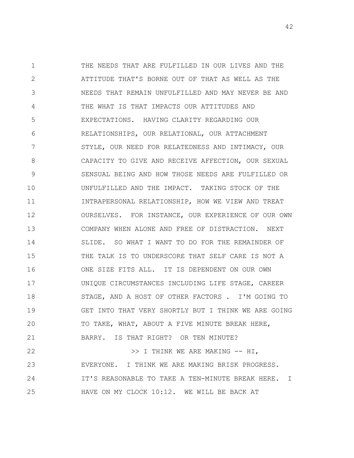1 2 3 4 5 6 7 8 9 10 11 12 13 14 15 16 17 18 19 20 21 22 23 THE NEEDS THAT ARE FULFILLED IN OUR LIVES AND THE ATTITUDE THAT'S BORNE OUT OF THAT AS WELL AS THE NEEDS THAT REMAIN UNFULFILLED AND MAY NEVER BE AND THE WHAT IS THAT IMPACTS OUR ATTITUDES AND EXPECTATIONS. HAVING CLARITY REGARDING OUR RELATIONSHIPS, OUR RELATIONAL, OUR ATTACHMENT STYLE, OUR NEED FOR RELATEDNESS AND INTIMACY, OUR CAPACITY TO GIVE AND RECEIVE AFFECTION, OUR SEXUAL SENSUAL BEING AND HOW THOSE NEEDS ARE FULFILLED OR UNFULFILLED AND THE IMPACT. TAKING STOCK OF THE INTRAPERSONAL RELATIONSHIP, HOW WE VIEW AND TREAT OURSELVES. FOR INSTANCE, OUR EXPERIENCE OF OUR OWN COMPANY WHEN ALONE AND FREE OF DISTRACTION. NEXT SLIDE. SO WHAT I WANT TO DO FOR THE REMAINDER OF THE TALK IS TO UNDERSCORE THAT SELF CARE IS NOT A ONE SIZE FITS ALL. IT IS DEPENDENT ON OUR OWN UNIQUE CIRCUMSTANCES INCLUDING LIFE STAGE, CAREER STAGE, AND A HOST OF OTHER FACTORS . I'M GOING TO GET INTO THAT VERY SHORTLY BUT I THINK WE ARE GOING TO TAKE, WHAT, ABOUT A FIVE MINUTE BREAK HERE, BARRY. IS THAT RIGHT? OR TEN MINUTE? >> I THINK WE ARE MAKING -- HI, EVERYONE. I THINK WE ARE MAKING BRISK PROGRESS. IT'S REASONABLE TO TAKE A TEN-MINUTE BREAK HERE. I

HAVE ON MY CLOCK 10:12. WE WILL BE BACK AT

24

25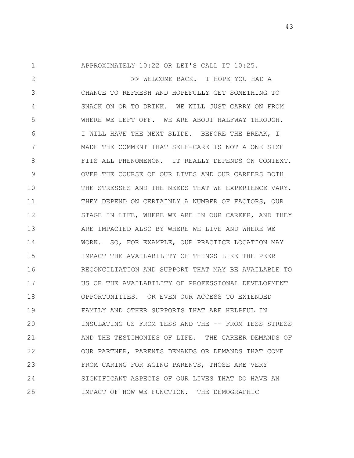1 2 3 4 5 6 7 8 9 10 11 12 13 14 15 16 17 18 19 20 21 22 23 24 25 APPROXIMATELY 10:22 OR LET'S CALL IT 10:25. >> WELCOME BACK. I HOPE YOU HAD A CHANCE TO REFRESH AND HOPEFULLY GET SOMETHING TO SNACK ON OR TO DRINK. WE WILL JUST CARRY ON FROM WHERE WE LEFT OFF. WE ARE ABOUT HALFWAY THROUGH. I WILL HAVE THE NEXT SLIDE. BEFORE THE BREAK, I MADE THE COMMENT THAT SELF-CARE IS NOT A ONE SIZE FITS ALL PHENOMENON. IT REALLY DEPENDS ON CONTEXT. OVER THE COURSE OF OUR LIVES AND OUR CAREERS BOTH THE STRESSES AND THE NEEDS THAT WE EXPERIENCE VARY. THEY DEPEND ON CERTAINLY A NUMBER OF FACTORS, OUR STAGE IN LIFE, WHERE WE ARE IN OUR CAREER, AND THEY ARE IMPACTED ALSO BY WHERE WE LIVE AND WHERE WE WORK. SO, FOR EXAMPLE, OUR PRACTICE LOCATION MAY IMPACT THE AVAILABILITY OF THINGS LIKE THE PEER RECONCILIATION AND SUPPORT THAT MAY BE AVAILABLE TO US OR THE AVAILABILITY OF PROFESSIONAL DEVELOPMENT OPPORTUNITIES. OR EVEN OUR ACCESS TO EXTENDED FAMILY AND OTHER SUPPORTS THAT ARE HELPFUL IN INSULATING US FROM TESS AND THE -- FROM TESS STRESS AND THE TESTIMONIES OF LIFE. THE CAREER DEMANDS OF OUR PARTNER, PARENTS DEMANDS OR DEMANDS THAT COME FROM CARING FOR AGING PARENTS, THOSE ARE VERY SIGNIFICANT ASPECTS OF OUR LIVES THAT DO HAVE AN IMPACT OF HOW WE FUNCTION. THE DEMOGRAPHIC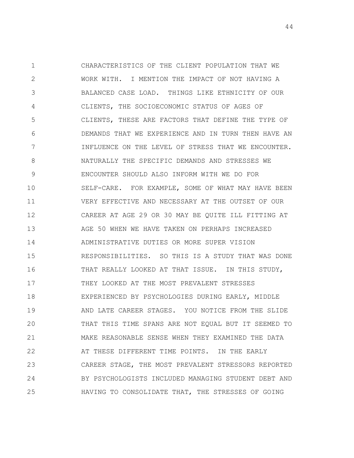1 2 3 4 5 6 7 8 9 10 11 12 13 14 15 16 17 18 19 20 21 22 23 24 25 CHARACTERISTICS OF THE CLIENT POPULATION THAT WE WORK WITH. I MENTION THE IMPACT OF NOT HAVING A BALANCED CASE LOAD. THINGS LIKE ETHNICITY OF OUR CLIENTS, THE SOCIOECONOMIC STATUS OF AGES OF CLIENTS, THESE ARE FACTORS THAT DEFINE THE TYPE OF DEMANDS THAT WE EXPERIENCE AND IN TURN THEN HAVE AN INFLUENCE ON THE LEVEL OF STRESS THAT WE ENCOUNTER. NATURALLY THE SPECIFIC DEMANDS AND STRESSES WE ENCOUNTER SHOULD ALSO INFORM WITH WE DO FOR SELF-CARE. FOR EXAMPLE, SOME OF WHAT MAY HAVE BEEN VERY EFFECTIVE AND NECESSARY AT THE OUTSET OF OUR CAREER AT AGE 29 OR 30 MAY BE QUITE ILL FITTING AT AGE 50 WHEN WE HAVE TAKEN ON PERHAPS INCREASED ADMINISTRATIVE DUTIES OR MORE SUPER VISION RESPONSIBILITIES. SO THIS IS A STUDY THAT WAS DONE THAT REALLY LOOKED AT THAT ISSUE. IN THIS STUDY, THEY LOOKED AT THE MOST PREVALENT STRESSES EXPERIENCED BY PSYCHOLOGIES DURING EARLY, MIDDLE AND LATE CAREER STAGES. YOU NOTICE FROM THE SLIDE THAT THIS TIME SPANS ARE NOT EQUAL BUT IT SEEMED TO MAKE REASONABLE SENSE WHEN THEY EXAMINED THE DATA AT THESE DIFFERENT TIME POINTS. IN THE EARLY CAREER STAGE, THE MOST PREVALENT STRESSORS REPORTED BY PSYCHOLOGISTS INCLUDED MANAGING STUDENT DEBT AND HAVING TO CONSOLIDATE THAT, THE STRESSES OF GOING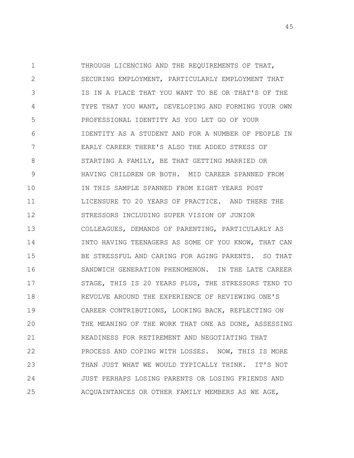1 2 3 4 5 6 7 8 9 10 11 12 13 14 15 16 17 18 19 20 21 22 23 24 25 THROUGH LICENCING AND THE REQUIREMENTS OF THAT, SECURING EMPLOYMENT, PARTICULARLY EMPLOYMENT THAT IS IN A PLACE THAT YOU WANT TO BE OR THAT'S OF THE TYPE THAT YOU WANT, DEVELOPING AND FORMING YOUR OWN PROFESSIONAL IDENTITY AS YOU LET GO OF YOUR IDENTITY AS A STUDENT AND FOR A NUMBER OF PEOPLE IN EARLY CAREER THERE'S ALSO THE ADDED STRESS OF STARTING A FAMILY, BE THAT GETTING MARRIED OR HAVING CHILDREN OR BOTH. MID CAREER SPANNED FROM IN THIS SAMPLE SPANNED FROM EIGHT YEARS POST LICENSURE TO 20 YEARS OF PRACTICE. AND THERE THE STRESSORS INCLUDING SUPER VISION OF JUNIOR COLLEAGUES, DEMANDS OF PARENTING, PARTICULARLY AS INTO HAVING TEENAGERS AS SOME OF YOU KNOW, THAT CAN BE STRESSFUL AND CARING FOR AGING PARENTS. SO THAT SANDWICH GENERATION PHENOMENON. IN THE LATE CAREER STAGE, THIS IS 20 YEARS PLUS, THE STRESSORS TEND TO REVOLVE AROUND THE EXPERIENCE OF REVIEWING ONE'S CAREER CONTRIBUTIONS, LOOKING BACK, REFLECTING ON THE MEANING OF THE WORK THAT ONE AS DONE, ASSESSING READINESS FOR RETIREMENT AND NEGOTIATING THAT PROCESS AND COPING WITH LOSSES. NOW, THIS IS MORE THAN JUST WHAT WE WOULD TYPICALLY THINK. IT'S NOT JUST PERHAPS LOSING PARENTS OR LOSING FRIENDS AND ACQUAINTANCES OR OTHER FAMILY MEMBERS AS WE AGE,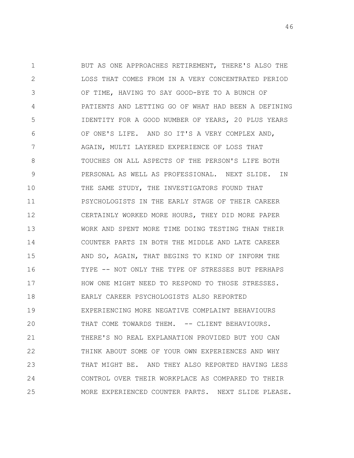1 2 3 4 5 6 7 8 9 10 11 12 13 14 15 16 17 18 19 20 21 22 23 24 25 BUT AS ONE APPROACHES RETIREMENT, THERE'S ALSO THE LOSS THAT COMES FROM IN A VERY CONCENTRATED PERIOD OF TIME, HAVING TO SAY GOOD-BYE TO A BUNCH OF PATIENTS AND LETTING GO OF WHAT HAD BEEN A DEFINING IDENTITY FOR A GOOD NUMBER OF YEARS, 20 PLUS YEARS OF ONE'S LIFE. AND SO IT'S A VERY COMPLEX AND, AGAIN, MULTI LAYERED EXPERIENCE OF LOSS THAT TOUCHES ON ALL ASPECTS OF THE PERSON'S LIFE BOTH PERSONAL AS WELL AS PROFESSIONAL. NEXT SLIDE. IN THE SAME STUDY, THE INVESTIGATORS FOUND THAT PSYCHOLOGISTS IN THE EARLY STAGE OF THEIR CAREER CERTAINLY WORKED MORE HOURS, THEY DID MORE PAPER WORK AND SPENT MORE TIME DOING TESTING THAN THEIR COUNTER PARTS IN BOTH THE MIDDLE AND LATE CAREER AND SO, AGAIN, THAT BEGINS TO KIND OF INFORM THE TYPE -- NOT ONLY THE TYPE OF STRESSES BUT PERHAPS HOW ONE MIGHT NEED TO RESPOND TO THOSE STRESSES. EARLY CAREER PSYCHOLOGISTS ALSO REPORTED EXPERIENCING MORE NEGATIVE COMPLAINT BEHAVIOURS THAT COME TOWARDS THEM. -- CLIENT BEHAVIOURS. THERE'S NO REAL EXPLANATION PROVIDED BUT YOU CAN THINK ABOUT SOME OF YOUR OWN EXPERIENCES AND WHY THAT MIGHT BE. AND THEY ALSO REPORTED HAVING LESS CONTROL OVER THEIR WORKPLACE AS COMPARED TO THEIR MORE EXPERIENCED COUNTER PARTS. NEXT SLIDE PLEASE.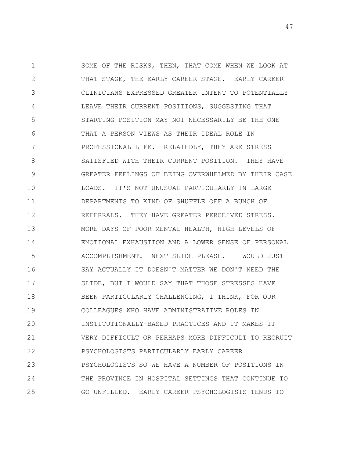1 2 3 4 5 6 7 8 9 10 11 12 13 14 15 16 17 18 19 20 21 22 23 24 25 SOME OF THE RISKS, THEN, THAT COME WHEN WE LOOK AT THAT STAGE, THE EARLY CAREER STAGE. EARLY CAREER CLINICIANS EXPRESSED GREATER INTENT TO POTENTIALLY LEAVE THEIR CURRENT POSITIONS, SUGGESTING THAT STARTING POSITION MAY NOT NECESSARILY BE THE ONE THAT A PERSON VIEWS AS THEIR IDEAL ROLE IN PROFESSIONAL LIFE. RELATEDLY, THEY ARE STRESS SATISFIED WITH THEIR CURRENT POSITION. THEY HAVE GREATER FEELINGS OF BEING OVERWHELMED BY THEIR CASE LOADS. IT'S NOT UNUSUAL PARTICULARLY IN LARGE DEPARTMENTS TO KIND OF SHUFFLE OFF A BUNCH OF REFERRALS. THEY HAVE GREATER PERCEIVED STRESS. MORE DAYS OF POOR MENTAL HEALTH, HIGH LEVELS OF EMOTIONAL EXHAUSTION AND A LOWER SENSE OF PERSONAL ACCOMPLISHMENT. NEXT SLIDE PLEASE. I WOULD JUST SAY ACTUALLY IT DOESN'T MATTER WE DON'T NEED THE SLIDE, BUT I WOULD SAY THAT THOSE STRESSES HAVE BEEN PARTICULARLY CHALLENGING, I THINK, FOR OUR COLLEAGUES WHO HAVE ADMINISTRATIVE ROLES IN INSTITUTIONALLY-BASED PRACTICES AND IT MAKES IT VERY DIFFICULT OR PERHAPS MORE DIFFICULT TO RECRUIT PSYCHOLOGISTS PARTICULARLY EARLY CAREER PSYCHOLOGISTS SO WE HAVE A NUMBER OF POSITIONS IN THE PROVINCE IN HOSPITAL SETTINGS THAT CONTINUE TO GO UNFILLED. EARLY CAREER PSYCHOLOGISTS TENDS TO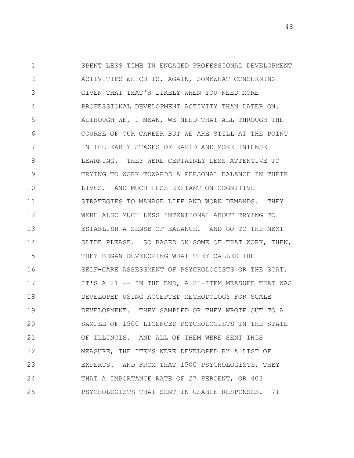1 2 3 4 5 6 7 8 9 10 11 12 13 14 15 16 17 18 19 20 21 22 23 24 25 SPENT LESS TIME IN ENGAGED PROFESSIONAL DEVELOPMENT ACTIVITIES WHICH IS, AGAIN, SOMEWHAT CONCERNING GIVEN THAT THAT'S LIKELY WHEN YOU NEED MORE PROFESSIONAL DEVELOPMENT ACTIVITY THAN LATER ON. ALTHOUGH WE, I MEAN, WE NEED THAT ALL THROUGH THE COURSE OF OUR CAREER BUT WE ARE STILL AT THE POINT IN THE EARLY STAGES OF RAPID AND MORE INTENSE LEARNING. THEY WERE CERTAINLY LESS ATTENTIVE TO TRYING TO WORK TOWARDS A PERSONAL BALANCE IN THEIR LIVES. AND MUCH LESS RELIANT ON COGNITIVE STRATEGIES TO MANAGE LIFE AND WORK DEMANDS. THEY WERE ALSO MUCH LESS INTENTIONAL ABOUT TRYING TO ESTABLISH A SENSE OF BALANCE. AND GO TO THE NEXT SLIDE PLEASE. SO BASED ON SOME OF THAT WORK, THEN, THEY BEGAN DEVELOPING WHAT THEY CALLED THE SELF-CARE ASSESSMENT OF PSYCHOLOGISTS OR THE SCAT. IT'S A 21 -- IN THE END, A 21-ITEM MEASURE THAT WAS DEVELOPED USING ACCEPTED METHODOLOGY FOR SCALE DEVELOPMENT. THEY SAMPLED OR THEY WROTE OUT TO A SAMPLE OF 1500 LICENCED PSYCHOLOGISTS IN THE STATE OF ILLINOIS. AND ALL OF THEM WERE SENT THIS MEASURE, THE ITEMS WERE DEVELOPED BY A LIST OF EXPERTS. AND FROM THAT 1500 PSYCHOLOGISTS, THEY THAT A IMPORTANCE RATE OF 27 PERCENT, OR 403 PSYCHOLOGISTS THAT SENT IN USABLE RESPONSES. 71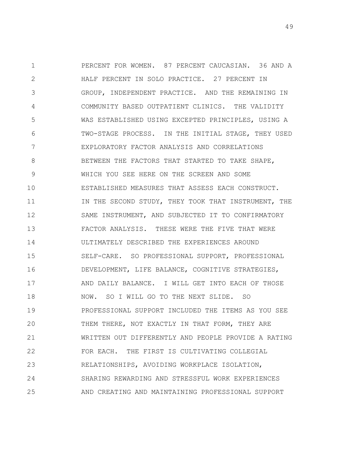1 2 3 4 5 6 7 8 9 10 11 12 13 14 15 16 17 18 19 20 21 22 23 24 25 PERCENT FOR WOMEN. 87 PERCENT CAUCASIAN. 36 AND A HALF PERCENT IN SOLO PRACTICE. 27 PERCENT IN GROUP, INDEPENDENT PRACTICE. AND THE REMAINING IN COMMUNITY BASED OUTPATIENT CLINICS. THE VALIDITY WAS ESTABLISHED USING EXCEPTED PRINCIPLES, USING A TWO-STAGE PROCESS. IN THE INITIAL STAGE, THEY USED EXPLORATORY FACTOR ANALYSIS AND CORRELATIONS BETWEEN THE FACTORS THAT STARTED TO TAKE SHAPE, WHICH YOU SEE HERE ON THE SCREEN AND SOME ESTABLISHED MEASURES THAT ASSESS EACH CONSTRUCT. IN THE SECOND STUDY, THEY TOOK THAT INSTRUMENT, THE SAME INSTRUMENT, AND SUBJECTED IT TO CONFIRMATORY FACTOR ANALYSIS. THESE WERE THE FIVE THAT WERE ULTIMATELY DESCRIBED THE EXPERIENCES AROUND SELF-CARE. SO PROFESSIONAL SUPPORT, PROFESSIONAL DEVELOPMENT, LIFE BALANCE, COGNITIVE STRATEGIES, AND DAILY BALANCE. I WILL GET INTO EACH OF THOSE NOW. SO I WILL GO TO THE NEXT SLIDE. SO PROFESSIONAL SUPPORT INCLUDED THE ITEMS AS YOU SEE THEM THERE, NOT EXACTLY IN THAT FORM, THEY ARE WRITTEN OUT DIFFERENTLY AND PEOPLE PROVIDE A RATING FOR EACH. THE FIRST IS CULTIVATING COLLEGIAL RELATIONSHIPS, AVOIDING WORKPLACE ISOLATION, SHARING REWARDING AND STRESSFUL WORK EXPERIENCES AND CREATING AND MAINTAINING PROFESSIONAL SUPPORT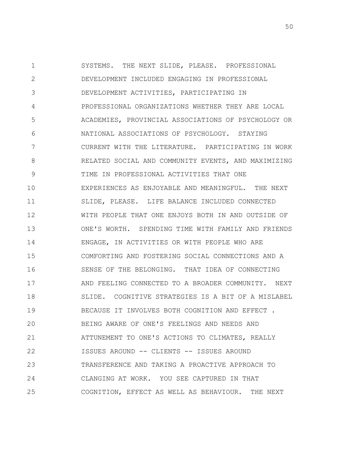1 2 3 4 5 6 7 8 9 10 11 12 13 14 15 16 17 18 19 20 21 22 23 24 25 SYSTEMS. THE NEXT SLIDE, PLEASE. PROFESSIONAL DEVELOPMENT INCLUDED ENGAGING IN PROFESSIONAL DEVELOPMENT ACTIVITIES, PARTICIPATING IN PROFESSIONAL ORGANIZATIONS WHETHER THEY ARE LOCAL ACADEMIES, PROVINCIAL ASSOCIATIONS OF PSYCHOLOGY OR NATIONAL ASSOCIATIONS OF PSYCHOLOGY. STAYING CURRENT WITH THE LITERATURE. PARTICIPATING IN WORK RELATED SOCIAL AND COMMUNITY EVENTS, AND MAXIMIZING TIME IN PROFESSIONAL ACTIVITIES THAT ONE EXPERIENCES AS ENJOYABLE AND MEANINGFUL. THE NEXT SLIDE, PLEASE. LIFE BALANCE INCLUDED CONNECTED WITH PEOPLE THAT ONE ENJOYS BOTH IN AND OUTSIDE OF ONE'S WORTH. SPENDING TIME WITH FAMILY AND FRIENDS ENGAGE, IN ACTIVITIES OR WITH PEOPLE WHO ARE COMFORTING AND FOSTERING SOCIAL CONNECTIONS AND A SENSE OF THE BELONGING. THAT IDEA OF CONNECTING AND FEELING CONNECTED TO A BROADER COMMUNITY. NEXT SLIDE. COGNITIVE STRATEGIES IS A BIT OF A MISLABEL BECAUSE IT INVOLVES BOTH COGNITION AND EFFECT . BEING AWARE OF ONE'S FEELINGS AND NEEDS AND ATTUNEMENT TO ONE'S ACTIONS TO CLIMATES, REALLY ISSUES AROUND -- CLIENTS -- ISSUES AROUND TRANSFERENCE AND TAKING A PROACTIVE APPROACH TO CLANGING AT WORK. YOU SEE CAPTURED IN THAT COGNITION, EFFECT AS WELL AS BEHAVIOUR. THE NEXT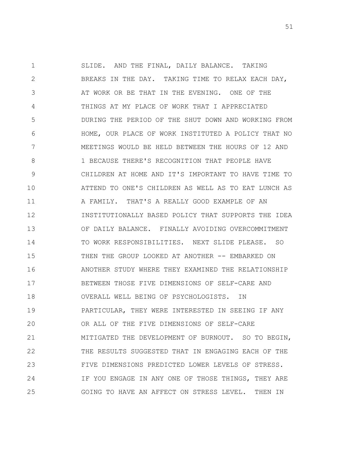1 2 3 4 5 6 7 8 9 10 11 12 13 14 15 16 17 18 19 20 21 22 23 24 25 SLIDE. AND THE FINAL, DAILY BALANCE. TAKING BREAKS IN THE DAY. TAKING TIME TO RELAX EACH DAY, AT WORK OR BE THAT IN THE EVENING. ONE OF THE THINGS AT MY PLACE OF WORK THAT I APPRECIATED DURING THE PERIOD OF THE SHUT DOWN AND WORKING FROM HOME, OUR PLACE OF WORK INSTITUTED A POLICY THAT NO MEETINGS WOULD BE HELD BETWEEN THE HOURS OF 12 AND 1 BECAUSE THERE'S RECOGNITION THAT PEOPLE HAVE CHILDREN AT HOME AND IT'S IMPORTANT TO HAVE TIME TO ATTEND TO ONE'S CHILDREN AS WELL AS TO EAT LUNCH AS A FAMILY. THAT'S A REALLY GOOD EXAMPLE OF AN INSTITUTIONALLY BASED POLICY THAT SUPPORTS THE IDEA OF DAILY BALANCE. FINALLY AVOIDING OVERCOMMITMENT TO WORK RESPONSIBILITIES. NEXT SLIDE PLEASE. SO THEN THE GROUP LOOKED AT ANOTHER -- EMBARKED ON ANOTHER STUDY WHERE THEY EXAMINED THE RELATIONSHIP BETWEEN THOSE FIVE DIMENSIONS OF SELF-CARE AND OVERALL WELL BEING OF PSYCHOLOGISTS. IN PARTICULAR, THEY WERE INTERESTED IN SEEING IF ANY OR ALL OF THE FIVE DIMENSIONS OF SELF-CARE MITIGATED THE DEVELOPMENT OF BURNOUT. SO TO BEGIN, THE RESULTS SUGGESTED THAT IN ENGAGING EACH OF THE FIVE DIMENSIONS PREDICTED LOWER LEVELS OF STRESS. IF YOU ENGAGE IN ANY ONE OF THOSE THINGS, THEY ARE GOING TO HAVE AN AFFECT ON STRESS LEVEL. THEN IN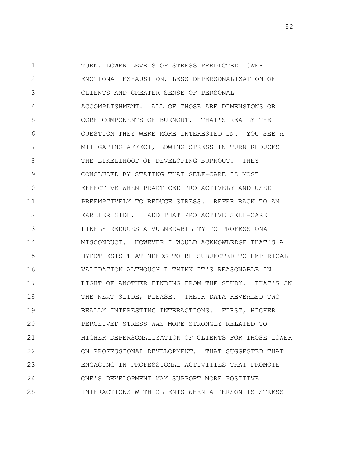1 2 3 4 5 6 7 8 9 10 11 12 13 14 15 16 17 18 19 20 21 22 23 24 25 TURN, LOWER LEVELS OF STRESS PREDICTED LOWER EMOTIONAL EXHAUSTION, LESS DEPERSONALIZATION OF CLIENTS AND GREATER SENSE OF PERSONAL ACCOMPLISHMENT. ALL OF THOSE ARE DIMENSIONS OR CORE COMPONENTS OF BURNOUT. THAT'S REALLY THE QUESTION THEY WERE MORE INTERESTED IN. YOU SEE A MITIGATING AFFECT, LOWING STRESS IN TURN REDUCES THE LIKELIHOOD OF DEVELOPING BURNOUT. THEY CONCLUDED BY STATING THAT SELF-CARE IS MOST EFFECTIVE WHEN PRACTICED PRO ACTIVELY AND USED PREEMPTIVELY TO REDUCE STRESS. REFER BACK TO AN EARLIER SIDE, I ADD THAT PRO ACTIVE SELF-CARE LIKELY REDUCES A VULNERABILITY TO PROFESSIONAL MISCONDUCT. HOWEVER I WOULD ACKNOWLEDGE THAT'S A HYPOTHESIS THAT NEEDS TO BE SUBJECTED TO EMPIRICAL VALIDATION ALTHOUGH I THINK IT'S REASONABLE IN LIGHT OF ANOTHER FINDING FROM THE STUDY. THAT'S ON THE NEXT SLIDE, PLEASE. THEIR DATA REVEALED TWO REALLY INTERESTING INTERACTIONS. FIRST, HIGHER PERCEIVED STRESS WAS MORE STRONGLY RELATED TO HIGHER DEPERSONALIZATION OF CLIENTS FOR THOSE LOWER ON PROFESSIONAL DEVELOPMENT. THAT SUGGESTED THAT ENGAGING IN PROFESSIONAL ACTIVITIES THAT PROMOTE ONE'S DEVELOPMENT MAY SUPPORT MORE POSITIVE INTERACTIONS WITH CLIENTS WHEN A PERSON IS STRESS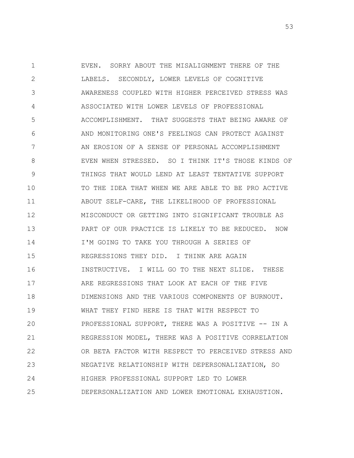1 2 3 4 5 6 7 8 9 10 11 12 13 14 15 16 17 18 19 20 21 22 23 24 25 EVEN. SORRY ABOUT THE MISALIGNMENT THERE OF THE LABELS. SECONDLY, LOWER LEVELS OF COGNITIVE AWARENESS COUPLED WITH HIGHER PERCEIVED STRESS WAS ASSOCIATED WITH LOWER LEVELS OF PROFESSIONAL ACCOMPLISHMENT. THAT SUGGESTS THAT BEING AWARE OF AND MONITORING ONE'S FEELINGS CAN PROTECT AGAINST AN EROSION OF A SENSE OF PERSONAL ACCOMPLISHMENT EVEN WHEN STRESSED. SO I THINK IT'S THOSE KINDS OF THINGS THAT WOULD LEND AT LEAST TENTATIVE SUPPORT TO THE IDEA THAT WHEN WE ARE ABLE TO BE PRO ACTIVE ABOUT SELF-CARE, THE LIKELIHOOD OF PROFESSIONAL MISCONDUCT OR GETTING INTO SIGNIFICANT TROUBLE AS PART OF OUR PRACTICE IS LIKELY TO BE REDUCED. NOW I'M GOING TO TAKE YOU THROUGH A SERIES OF REGRESSIONS THEY DID. I THINK ARE AGAIN INSTRUCTIVE. I WILL GO TO THE NEXT SLIDE. THESE ARE REGRESSIONS THAT LOOK AT EACH OF THE FIVE DIMENSIONS AND THE VARIOUS COMPONENTS OF BURNOUT. WHAT THEY FIND HERE IS THAT WITH RESPECT TO PROFESSIONAL SUPPORT, THERE WAS A POSITIVE -- IN A REGRESSION MODEL, THERE WAS A POSITIVE CORRELATION OR BETA FACTOR WITH RESPECT TO PERCEIVED STRESS AND NEGATIVE RELATIONSHIP WITH DEPERSONALIZATION, SO HIGHER PROFESSIONAL SUPPORT LED TO LOWER DEPERSONALIZATION AND LOWER EMOTIONAL EXHAUSTION.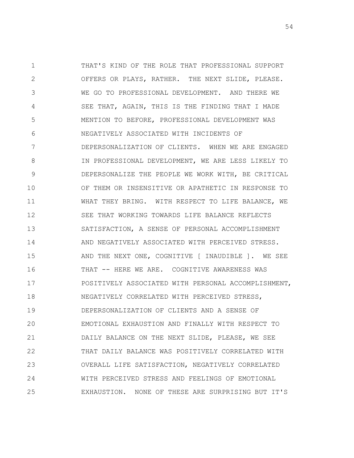1 2 3 4 5 6 7 8 9 10 11 12 13 14 15 16 17 18 19 20 21 22 23 24 25 THAT'S KIND OF THE ROLE THAT PROFESSIONAL SUPPORT OFFERS OR PLAYS, RATHER. THE NEXT SLIDE, PLEASE. WE GO TO PROFESSIONAL DEVELOPMENT. AND THERE WE SEE THAT, AGAIN, THIS IS THE FINDING THAT I MADE MENTION TO BEFORE, PROFESSIONAL DEVELOPMENT WAS NEGATIVELY ASSOCIATED WITH INCIDENTS OF DEPERSONALIZATION OF CLIENTS. WHEN WE ARE ENGAGED IN PROFESSIONAL DEVELOPMENT, WE ARE LESS LIKELY TO DEPERSONALIZE THE PEOPLE WE WORK WITH, BE CRITICAL OF THEM OR INSENSITIVE OR APATHETIC IN RESPONSE TO WHAT THEY BRING. WITH RESPECT TO LIFE BALANCE, WE SEE THAT WORKING TOWARDS LIFE BALANCE REFLECTS SATISFACTION, A SENSE OF PERSONAL ACCOMPLISHMENT AND NEGATIVELY ASSOCIATED WITH PERCEIVED STRESS. AND THE NEXT ONE, COGNITIVE [ INAUDIBLE ]. WE SEE THAT -- HERE WE ARE. COGNITIVE AWARENESS WAS POSITIVELY ASSOCIATED WITH PERSONAL ACCOMPLISHMENT, NEGATIVELY CORRELATED WITH PERCEIVED STRESS, DEPERSONALIZATION OF CLIENTS AND A SENSE OF EMOTIONAL EXHAUSTION AND FINALLY WITH RESPECT TO DAILY BALANCE ON THE NEXT SLIDE, PLEASE, WE SEE THAT DAILY BALANCE WAS POSITIVELY CORRELATED WITH OVERALL LIFE SATISFACTION, NEGATIVELY CORRELATED WITH PERCEIVED STRESS AND FEELINGS OF EMOTIONAL EXHAUSTION. NONE OF THESE ARE SURPRISING BUT IT'S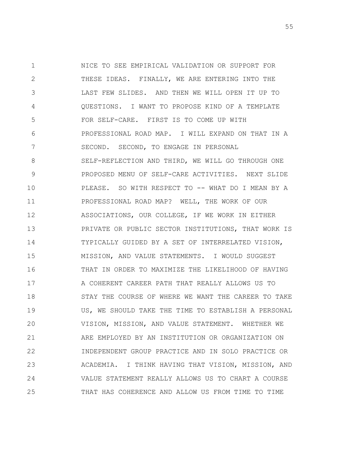1 2 3 4 5 6 7 8 9 10 11 12 13 14 15 16 17 18 19 20 21 22 23 24 25 NICE TO SEE EMPIRICAL VALIDATION OR SUPPORT FOR THESE IDEAS. FINALLY, WE ARE ENTERING INTO THE LAST FEW SLIDES. AND THEN WE WILL OPEN IT UP TO QUESTIONS. I WANT TO PROPOSE KIND OF A TEMPLATE FOR SELF-CARE. FIRST IS TO COME UP WITH PROFESSIONAL ROAD MAP. I WILL EXPAND ON THAT IN A SECOND. SECOND, TO ENGAGE IN PERSONAL SELF-REFLECTION AND THIRD, WE WILL GO THROUGH ONE PROPOSED MENU OF SELF-CARE ACTIVITIES. NEXT SLIDE PLEASE. SO WITH RESPECT TO -- WHAT DO I MEAN BY A PROFESSIONAL ROAD MAP? WELL, THE WORK OF OUR ASSOCIATIONS, OUR COLLEGE, IF WE WORK IN EITHER PRIVATE OR PUBLIC SECTOR INSTITUTIONS, THAT WORK IS TYPICALLY GUIDED BY A SET OF INTERRELATED VISION, MISSION, AND VALUE STATEMENTS. I WOULD SUGGEST THAT IN ORDER TO MAXIMIZE THE LIKELIHOOD OF HAVING A COHERENT CAREER PATH THAT REALLY ALLOWS US TO STAY THE COURSE OF WHERE WE WANT THE CAREER TO TAKE US, WE SHOULD TAKE THE TIME TO ESTABLISH A PERSONAL VISION, MISSION, AND VALUE STATEMENT. WHETHER WE ARE EMPLOYED BY AN INSTITUTION OR ORGANIZATION ON INDEPENDENT GROUP PRACTICE AND IN SOLO PRACTICE OR ACADEMIA. I THINK HAVING THAT VISION, MISSION, AND VALUE STATEMENT REALLY ALLOWS US TO CHART A COURSE THAT HAS COHERENCE AND ALLOW US FROM TIME TO TIME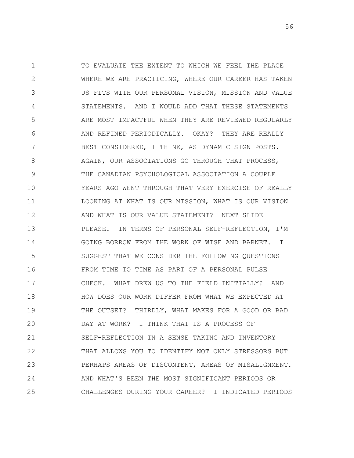1 2 3 4 5 6 7 8 9 10 11 12 13 14 15 16 17 18 19 20 21 22 23 24 25 TO EVALUATE THE EXTENT TO WHICH WE FEEL THE PLACE WHERE WE ARE PRACTICING, WHERE OUR CAREER HAS TAKEN US FITS WITH OUR PERSONAL VISION, MISSION AND VALUE STATEMENTS. AND I WOULD ADD THAT THESE STATEMENTS ARE MOST IMPACTFUL WHEN THEY ARE REVIEWED REGULARLY AND REFINED PERIODICALLY. OKAY? THEY ARE REALLY BEST CONSIDERED, I THINK, AS DYNAMIC SIGN POSTS. AGAIN, OUR ASSOCIATIONS GO THROUGH THAT PROCESS, THE CANADIAN PSYCHOLOGICAL ASSOCIATION A COUPLE YEARS AGO WENT THROUGH THAT VERY EXERCISE OF REALLY LOOKING AT WHAT IS OUR MISSION, WHAT IS OUR VISION AND WHAT IS OUR VALUE STATEMENT? NEXT SLIDE PLEASE. IN TERMS OF PERSONAL SELF-REFLECTION, I'M GOING BORROW FROM THE WORK OF WISE AND BARNET. I SUGGEST THAT WE CONSIDER THE FOLLOWING QUESTIONS FROM TIME TO TIME AS PART OF A PERSONAL PULSE CHECK. WHAT DREW US TO THE FIELD INITIALLY? AND HOW DOES OUR WORK DIFFER FROM WHAT WE EXPECTED AT THE OUTSET? THIRDLY, WHAT MAKES FOR A GOOD OR BAD DAY AT WORK? I THINK THAT IS A PROCESS OF SELF-REFLECTION IN A SENSE TAKING AND INVENTORY THAT ALLOWS YOU TO IDENTIFY NOT ONLY STRESSORS BUT PERHAPS AREAS OF DISCONTENT, AREAS OF MISALIGNMENT. AND WHAT'S BEEN THE MOST SIGNIFICANT PERIODS OR CHALLENGES DURING YOUR CAREER? I INDICATED PERIODS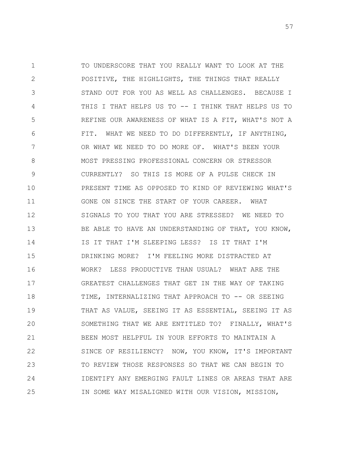1 2 3 4 5 6 7 8 9 10 11 12 13 14 15 16 17 18 19 20 21 22 23 24 25 TO UNDERSCORE THAT YOU REALLY WANT TO LOOK AT THE POSITIVE, THE HIGHLIGHTS, THE THINGS THAT REALLY STAND OUT FOR YOU AS WELL AS CHALLENGES. BECAUSE I THIS I THAT HELPS US TO -- I THINK THAT HELPS US TO REFINE OUR AWARENESS OF WHAT IS A FIT, WHAT'S NOT A FIT. WHAT WE NEED TO DO DIFFERENTLY, IF ANYTHING, OR WHAT WE NEED TO DO MORE OF. WHAT'S BEEN YOUR MOST PRESSING PROFESSIONAL CONCERN OR STRESSOR CURRENTLY? SO THIS IS MORE OF A PULSE CHECK IN PRESENT TIME AS OPPOSED TO KIND OF REVIEWING WHAT'S GONE ON SINCE THE START OF YOUR CAREER. WHAT SIGNALS TO YOU THAT YOU ARE STRESSED? WE NEED TO BE ABLE TO HAVE AN UNDERSTANDING OF THAT, YOU KNOW, IS IT THAT I'M SLEEPING LESS? IS IT THAT I'M DRINKING MORE? I'M FEELING MORE DISTRACTED AT WORK? LESS PRODUCTIVE THAN USUAL? WHAT ARE THE GREATEST CHALLENGES THAT GET IN THE WAY OF TAKING TIME, INTERNALIZING THAT APPROACH TO -- OR SEEING THAT AS VALUE, SEEING IT AS ESSENTIAL, SEEING IT AS SOMETHING THAT WE ARE ENTITLED TO? FINALLY, WHAT'S BEEN MOST HELPFUL IN YOUR EFFORTS TO MAINTAIN A SINCE OF RESILIENCY? NOW, YOU KNOW, IT'S IMPORTANT TO REVIEW THOSE RESPONSES SO THAT WE CAN BEGIN TO IDENTIFY ANY EMERGING FAULT LINES OR AREAS THAT ARE IN SOME WAY MISALIGNED WITH OUR VISION, MISSION,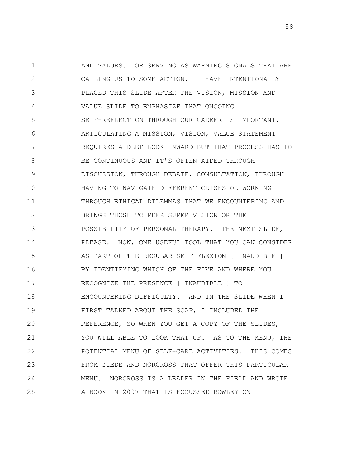1 2 3 4 5 6 7 8 9 10 11 12 13 14 15 16 17 18 19 20 21 22 23 24 25 AND VALUES. OR SERVING AS WARNING SIGNALS THAT ARE CALLING US TO SOME ACTION. I HAVE INTENTIONALLY PLACED THIS SLIDE AFTER THE VISION, MISSION AND VALUE SLIDE TO EMPHASIZE THAT ONGOING SELF-REFLECTION THROUGH OUR CAREER IS IMPORTANT. ARTICULATING A MISSION, VISION, VALUE STATEMENT REQUIRES A DEEP LOOK INWARD BUT THAT PROCESS HAS TO BE CONTINUOUS AND IT'S OFTEN AIDED THROUGH DISCUSSION, THROUGH DEBATE, CONSULTATION, THROUGH HAVING TO NAVIGATE DIFFERENT CRISES OR WORKING THROUGH ETHICAL DILEMMAS THAT WE ENCOUNTERING AND BRINGS THOSE TO PEER SUPER VISION OR THE POSSIBILITY OF PERSONAL THERAPY. THE NEXT SLIDE, PLEASE. NOW, ONE USEFUL TOOL THAT YOU CAN CONSIDER AS PART OF THE REGULAR SELF-FLEXION [ INAUDIBLE ] BY IDENTIFYING WHICH OF THE FIVE AND WHERE YOU RECOGNIZE THE PRESENCE [ INAUDIBLE ] TO ENCOUNTERING DIFFICULTY. AND IN THE SLIDE WHEN I FIRST TALKED ABOUT THE SCAP, I INCLUDED THE REFERENCE, SO WHEN YOU GET A COPY OF THE SLIDES, YOU WILL ABLE TO LOOK THAT UP. AS TO THE MENU, THE POTENTIAL MENU OF SELF-CARE ACTIVITIES. THIS COMES FROM ZIEDE AND NORCROSS THAT OFFER THIS PARTICULAR MENU. NORCROSS IS A LEADER IN THE FIELD AND WROTE A BOOK IN 2007 THAT IS FOCUSSED ROWLEY ON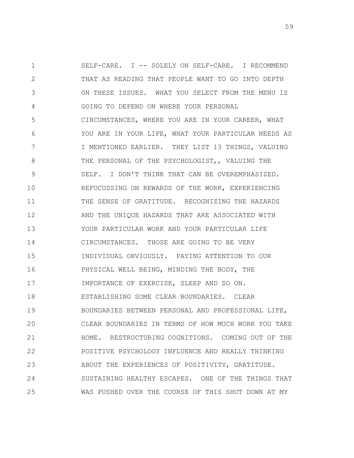1 2 3 4 5 6 7 8 9 10 11 12 13 14 15 16 17 18 19 20 21 22 23 24 25 SELF-CARE. I -- SOLELY ON SELF-CARE. I RECOMMEND THAT AS READING THAT PEOPLE WANT TO GO INTO DEPTH ON THESE ISSUES. WHAT YOU SELECT FROM THE MENU IS GOING TO DEPEND ON WHERE YOUR PERSONAL CIRCUMSTANCES, WHERE YOU ARE IN YOUR CAREER, WHAT YOU ARE IN YOUR LIFE, WHAT YOUR PARTICULAR NEEDS AS I MENTIONED EARLIER. THEY LIST 13 THINGS, VALUING THE PERSONAL OF THE PSYCHOLOGIST,, VALUING THE SELF. I DON'T THINK THAT CAN BE OVEREMPHASIZED. REFOCUSSING ON REWARDS OF THE WORK, EXPERIENCING THE SENSE OF GRATITUDE. RECOGNIZING THE HAZARDS AND THE UNIQUE HAZARDS THAT ARE ASSOCIATED WITH YOUR PARTICULAR WORK AND YOUR PARTICULAR LIFE CIRCUMSTANCES. THOSE ARE GOING TO BE VERY INDIVIDUAL OBVIOUSLY. PAYING ATTENTION TO OUR PHYSICAL WELL BEING, MINDING THE BODY, THE IMPORTANCE OF EXERCISE, SLEEP AND SO ON. ESTABLISHING SOME CLEAR BOUNDARIES. CLEAR BOUNDARIES BETWEEN PERSONAL AND PROFESSIONAL LIFE, CLEAR BOUNDARIES IN TERMS OF HOW MUCH WORK YOU TAKE HOME. RESTRUCTURING COGNITIONS. COMING OUT OF THE POSITIVE PSYCHOLOGY INFLUENCE AND REALLY THINKING ABOUT THE EXPERIENCES OF POSITIVITY, GRATITUDE. SUSTAINING HEALTHY ESCAPES. ONE OF THE THINGS THAT WAS PUSHED OVER THE COURSE OF THIS SHUT DOWN AT MY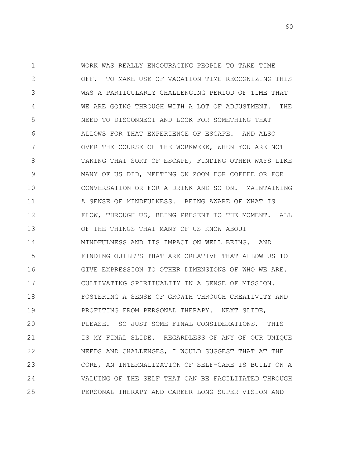1 2 3 4 5 6 7 8 9 10 11 12 13 14 15 16 17 18 19 20 21 22 23 24 25 WORK WAS REALLY ENCOURAGING PEOPLE TO TAKE TIME OFF. TO MAKE USE OF VACATION TIME RECOGNIZING THIS WAS A PARTICULARLY CHALLENGING PERIOD OF TIME THAT WE ARE GOING THROUGH WITH A LOT OF ADJUSTMENT. THE NEED TO DISCONNECT AND LOOK FOR SOMETHING THAT ALLOWS FOR THAT EXPERIENCE OF ESCAPE. AND ALSO OVER THE COURSE OF THE WORKWEEK, WHEN YOU ARE NOT TAKING THAT SORT OF ESCAPE, FINDING OTHER WAYS LIKE MANY OF US DID, MEETING ON ZOOM FOR COFFEE OR FOR CONVERSATION OR FOR A DRINK AND SO ON. MAINTAINING A SENSE OF MINDFULNESS. BEING AWARE OF WHAT IS FLOW, THROUGH US, BEING PRESENT TO THE MOMENT. ALL OF THE THINGS THAT MANY OF US KNOW ABOUT MINDFULNESS AND ITS IMPACT ON WELL BEING. AND FINDING OUTLETS THAT ARE CREATIVE THAT ALLOW US TO GIVE EXPRESSION TO OTHER DIMENSIONS OF WHO WE ARE. CULTIVATING SPIRITUALITY IN A SENSE OF MISSION. FOSTERING A SENSE OF GROWTH THROUGH CREATIVITY AND PROFITING FROM PERSONAL THERAPY. NEXT SLIDE, PLEASE. SO JUST SOME FINAL CONSIDERATIONS. THIS IS MY FINAL SLIDE. REGARDLESS OF ANY OF OUR UNIQUE NEEDS AND CHALLENGES, I WOULD SUGGEST THAT AT THE CORE, AN INTERNALIZATION OF SELF-CARE IS BUILT ON A VALUING OF THE SELF THAT CAN BE FACILITATED THROUGH PERSONAL THERAPY AND CAREER-LONG SUPER VISION AND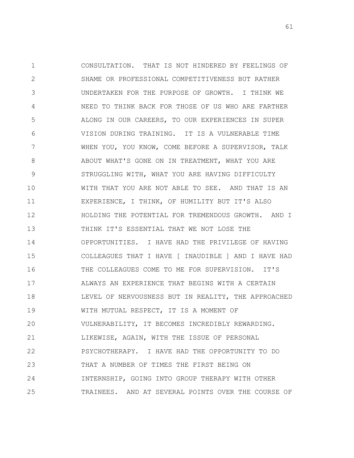1 2 3 4 5 6 7 8 9 10 11 12 13 14 15 16 17 18 19 20 21 22 23 24 25 CONSULTATION. THAT IS NOT HINDERED BY FEELINGS OF SHAME OR PROFESSIONAL COMPETITIVENESS BUT RATHER UNDERTAKEN FOR THE PURPOSE OF GROWTH. I THINK WE NEED TO THINK BACK FOR THOSE OF US WHO ARE FARTHER ALONG IN OUR CAREERS, TO OUR EXPERIENCES IN SUPER VISION DURING TRAINING. IT IS A VULNERABLE TIME WHEN YOU, YOU KNOW, COME BEFORE A SUPERVISOR, TALK ABOUT WHAT'S GONE ON IN TREATMENT, WHAT YOU ARE STRUGGLING WITH, WHAT YOU ARE HAVING DIFFICULTY WITH THAT YOU ARE NOT ABLE TO SEE. AND THAT IS AN EXPERIENCE, I THINK, OF HUMILITY BUT IT'S ALSO HOLDING THE POTENTIAL FOR TREMENDOUS GROWTH. AND I THINK IT'S ESSENTIAL THAT WE NOT LOSE THE OPPORTUNITIES. I HAVE HAD THE PRIVILEGE OF HAVING COLLEAGUES THAT I HAVE [ INAUDIBLE ] AND I HAVE HAD THE COLLEAGUES COME TO ME FOR SUPERVISION. IT'S ALWAYS AN EXPERIENCE THAT BEGINS WITH A CERTAIN LEVEL OF NERVOUSNESS BUT IN REALITY, THE APPROACHED WITH MUTUAL RESPECT, IT IS A MOMENT OF VULNERABILITY, IT BECOMES INCREDIBLY REWARDING. LIKEWISE, AGAIN, WITH THE ISSUE OF PERSONAL PSYCHOTHERAPY. I HAVE HAD THE OPPORTUNITY TO DO THAT A NUMBER OF TIMES THE FIRST BEING ON INTERNSHIP, GOING INTO GROUP THERAPY WITH OTHER TRAINEES. AND AT SEVERAL POINTS OVER THE COURSE OF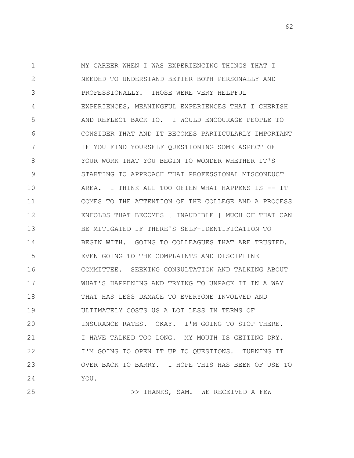1 2 3 4 5 6 7 8 9 10 11 12 13 14 15 16 17 18 19 20 21 22 23 24 MY CAREER WHEN I WAS EXPERIENCING THINGS THAT I NEEDED TO UNDERSTAND BETTER BOTH PERSONALLY AND PROFESSIONALLY. THOSE WERE VERY HELPFUL EXPERIENCES, MEANINGFUL EXPERIENCES THAT I CHERISH AND REFLECT BACK TO. I WOULD ENCOURAGE PEOPLE TO CONSIDER THAT AND IT BECOMES PARTICULARLY IMPORTANT IF YOU FIND YOURSELF QUESTIONING SOME ASPECT OF YOUR WORK THAT YOU BEGIN TO WONDER WHETHER IT'S STARTING TO APPROACH THAT PROFESSIONAL MISCONDUCT AREA. I THINK ALL TOO OFTEN WHAT HAPPENS IS -- IT COMES TO THE ATTENTION OF THE COLLEGE AND A PROCESS ENFOLDS THAT BECOMES [ INAUDIBLE ] MUCH OF THAT CAN BE MITIGATED IF THERE'S SELF-IDENTIFICATION TO BEGIN WITH. GOING TO COLLEAGUES THAT ARE TRUSTED. EVEN GOING TO THE COMPLAINTS AND DISCIPLINE COMMITTEE. SEEKING CONSULTATION AND TALKING ABOUT WHAT'S HAPPENING AND TRYING TO UNPACK IT IN A WAY THAT HAS LESS DAMAGE TO EVERYONE INVOLVED AND ULTIMATELY COSTS US A LOT LESS IN TERMS OF INSURANCE RATES. OKAY. I'M GOING TO STOP THERE. I HAVE TALKED TOO LONG. MY MOUTH IS GETTING DRY. I'M GOING TO OPEN IT UP TO QUESTIONS. TURNING IT OVER BACK TO BARRY. I HOPE THIS HAS BEEN OF USE TO YOU.

25

>> THANKS, SAM. WE RECEIVED A FEW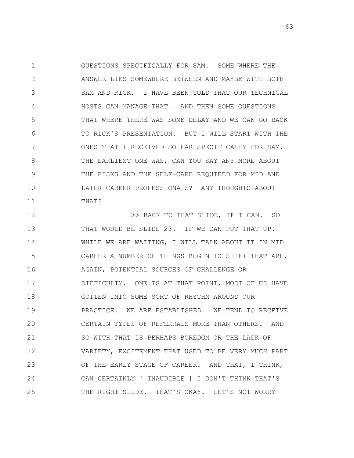1 2 3 4 5 6 7 8 9 10 11 QUESTIONS SPECIFICALLY FOR SAM. SOME WHERE THE ANSWER LIES SOMEWHERE BETWEEN AND MAYBE WITH BOTH SAM AND RICK. I HAVE BEEN TOLD THAT OUR TECHNICAL HOSTS CAN MANAGE THAT. AND THEN SOME QUESTIONS THAT WHERE THERE WAS SOME DELAY AND WE CAN GO BACK TO RICK'S PRESENTATION. BUT I WILL START WITH THE ONES THAT I RECEIVED SO FAR SPECIFICALLY FOR SAM. THE EARLIEST ONE WAS, CAN YOU SAY ANY MORE ABOUT THE RISKS AND THE SELF-CARE REQUIRED FOR MID AND LATER CAREER PROFESSIONALS? ANY THOUGHTS ABOUT THAT?

12 13 14 15 16 17 18 19 20 21 22 23 24 25 >> BACK TO THAT SLIDE, IF I CAN. SO THAT WOULD BE SLIDE 23. IF WE CAN PUT THAT UP. WHILE WE ARE WAITING, I WILL TALK ABOUT IT IN MID CAREER A NUMBER OF THINGS BEGIN TO SHIFT THAT ARE, AGAIN, POTENTIAL SOURCES OF CHALLENGE OR DIFFICULTY. ONE IS AT THAT POINT, MOST OF US HAVE GOTTEN INTO SOME SORT OF RHYTHM AROUND OUR PRACTICE. WE ARE ESTABLISHED. WE TEND TO RECEIVE CERTAIN TYPES OF REFERRALS MORE THAN OTHERS. AND SO WITH THAT IS PERHAPS BOREDOM OR THE LACK OF VARIETY, EXCITEMENT THAT USED TO BE VERY MUCH PART OF THE EARLY STAGE OF CAREER. AND THAT, I THINK, CAN CERTAINLY [ INAUDIBLE ] I DON'T THINK THAT'S THE RIGHT SLIDE. THAT'S OKAY. LET'S NOT WORRY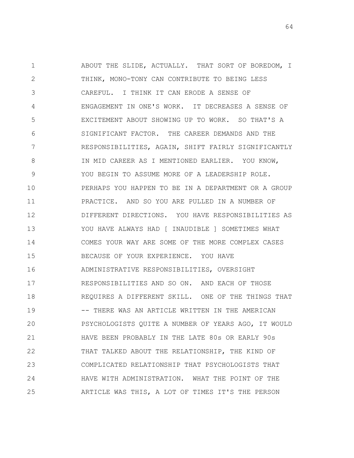1 2 3 4 5 6 7 8 9 10 11 12 13 14 15 16 17 18 19 20 21 22 23 24 25 ABOUT THE SLIDE, ACTUALLY. THAT SORT OF BOREDOM, I THINK, MONO-TONY CAN CONTRIBUTE TO BEING LESS CAREFUL. I THINK IT CAN ERODE A SENSE OF ENGAGEMENT IN ONE'S WORK. IT DECREASES A SENSE OF EXCITEMENT ABOUT SHOWING UP TO WORK. SO THAT'S A SIGNIFICANT FACTOR. THE CAREER DEMANDS AND THE RESPONSIBILITIES, AGAIN, SHIFT FAIRLY SIGNIFICANTLY IN MID CAREER AS I MENTIONED EARLIER. YOU KNOW, YOU BEGIN TO ASSUME MORE OF A LEADERSHIP ROLE. PERHAPS YOU HAPPEN TO BE IN A DEPARTMENT OR A GROUP PRACTICE. AND SO YOU ARE PULLED IN A NUMBER OF DIFFERENT DIRECTIONS. YOU HAVE RESPONSIBILITIES AS YOU HAVE ALWAYS HAD [ INAUDIBLE ] SOMETIMES WHAT COMES YOUR WAY ARE SOME OF THE MORE COMPLEX CASES BECAUSE OF YOUR EXPERIENCE. YOU HAVE ADMINISTRATIVE RESPONSIBILITIES, OVERSIGHT RESPONSIBILITIES AND SO ON. AND EACH OF THOSE REQUIRES A DIFFERENT SKILL. ONE OF THE THINGS THAT -- THERE WAS AN ARTICLE WRITTEN IN THE AMERICAN PSYCHOLOGISTS QUITE A NUMBER OF YEARS AGO, IT WOULD HAVE BEEN PROBABLY IN THE LATE 80s OR EARLY 90s THAT TALKED ABOUT THE RELATIONSHIP, THE KIND OF COMPLICATED RELATIONSHIP THAT PSYCHOLOGISTS THAT HAVE WITH ADMINISTRATION. WHAT THE POINT OF THE ARTICLE WAS THIS, A LOT OF TIMES IT'S THE PERSON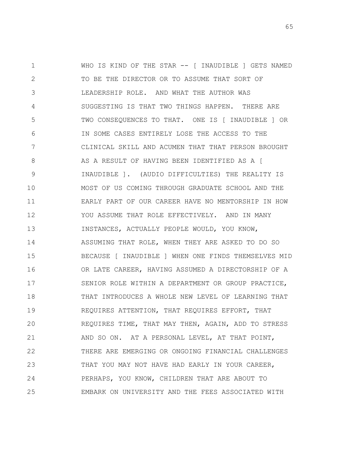1 2 3 4 5 6 7 8 9 10 11 12 13 14 15 16 17 18 19 20 21 22 23 24 25 WHO IS KIND OF THE STAR -- [ INAUDIBLE ] GETS NAMED TO BE THE DIRECTOR OR TO ASSUME THAT SORT OF LEADERSHIP ROLE. AND WHAT THE AUTHOR WAS SUGGESTING IS THAT TWO THINGS HAPPEN. THERE ARE TWO CONSEQUENCES TO THAT. ONE IS [ INAUDIBLE ] OR IN SOME CASES ENTIRELY LOSE THE ACCESS TO THE CLINICAL SKILL AND ACUMEN THAT THAT PERSON BROUGHT AS A RESULT OF HAVING BEEN IDENTIFIED AS A [ INAUDIBLE ]. (AUDIO DIFFICULTIES) THE REALITY IS MOST OF US COMING THROUGH GRADUATE SCHOOL AND THE EARLY PART OF OUR CAREER HAVE NO MENTORSHIP IN HOW YOU ASSUME THAT ROLE EFFECTIVELY. AND IN MANY INSTANCES, ACTUALLY PEOPLE WOULD, YOU KNOW, ASSUMING THAT ROLE, WHEN THEY ARE ASKED TO DO SO BECAUSE [ INAUDIBLE ] WHEN ONE FINDS THEMSELVES MID OR LATE CAREER, HAVING ASSUMED A DIRECTORSHIP OF A SENIOR ROLE WITHIN A DEPARTMENT OR GROUP PRACTICE, THAT INTRODUCES A WHOLE NEW LEVEL OF LEARNING THAT REQUIRES ATTENTION, THAT REQUIRES EFFORT, THAT REQUIRES TIME, THAT MAY THEN, AGAIN, ADD TO STRESS AND SO ON. AT A PERSONAL LEVEL, AT THAT POINT, THERE ARE EMERGING OR ONGOING FINANCIAL CHALLENGES THAT YOU MAY NOT HAVE HAD EARLY IN YOUR CAREER, PERHAPS, YOU KNOW, CHILDREN THAT ARE ABOUT TO EMBARK ON UNIVERSITY AND THE FEES ASSOCIATED WITH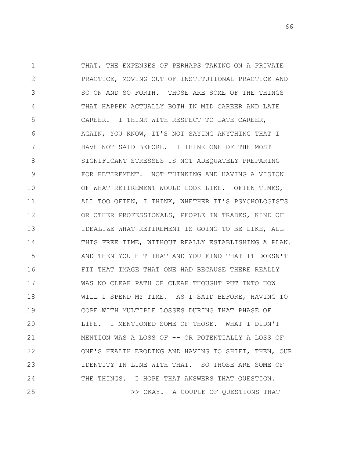1 2 3 4 5 6 7 8 9 10 11 12 13 14 15 16 17 18 19 20 21 22 23 24 25 THAT, THE EXPENSES OF PERHAPS TAKING ON A PRIVATE PRACTICE, MOVING OUT OF INSTITUTIONAL PRACTICE AND SO ON AND SO FORTH. THOSE ARE SOME OF THE THINGS THAT HAPPEN ACTUALLY BOTH IN MID CAREER AND LATE CAREER. I THINK WITH RESPECT TO LATE CAREER, AGAIN, YOU KNOW, IT'S NOT SAYING ANYTHING THAT I HAVE NOT SAID BEFORE. I THINK ONE OF THE MOST SIGNIFICANT STRESSES IS NOT ADEQUATELY PREPARING FOR RETIREMENT. NOT THINKING AND HAVING A VISION OF WHAT RETIREMENT WOULD LOOK LIKE. OFTEN TIMES, ALL TOO OFTEN, I THINK, WHETHER IT'S PSYCHOLOGISTS OR OTHER PROFESSIONALS, PEOPLE IN TRADES, KIND OF IDEALIZE WHAT RETIREMENT IS GOING TO BE LIKE, ALL THIS FREE TIME, WITHOUT REALLY ESTABLISHING A PLAN. AND THEN YOU HIT THAT AND YOU FIND THAT IT DOESN'T FIT THAT IMAGE THAT ONE HAD BECAUSE THERE REALLY WAS NO CLEAR PATH OR CLEAR THOUGHT PUT INTO HOW WILL I SPEND MY TIME. AS I SAID BEFORE, HAVING TO COPE WITH MULTIPLE LOSSES DURING THAT PHASE OF LIFE. I MENTIONED SOME OF THOSE. WHAT I DIDN'T MENTION WAS A LOSS OF -- OR POTENTIALLY A LOSS OF ONE'S HEALTH ERODING AND HAVING TO SHIFT, THEN, OUR IDENTITY IN LINE WITH THAT. SO THOSE ARE SOME OF THE THINGS. I HOPE THAT ANSWERS THAT QUESTION. >> OKAY. A COUPLE OF QUESTIONS THAT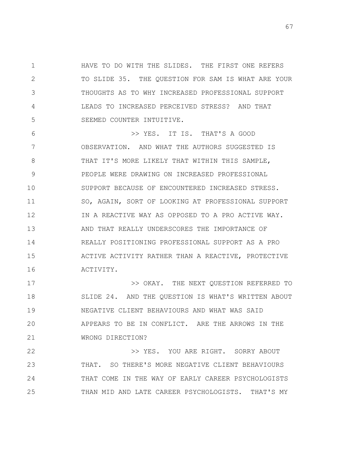1 2 3 4 5 HAVE TO DO WITH THE SLIDES. THE FIRST ONE REFERS TO SLIDE 35. THE QUESTION FOR SAM IS WHAT ARE YOUR THOUGHTS AS TO WHY INCREASED PROFESSIONAL SUPPORT LEADS TO INCREASED PERCEIVED STRESS? AND THAT SEEMED COUNTER INTUITIVE.

6 7 8 9 10 11 12 13 14 15 16 >> YES. IT IS. THAT'S A GOOD OBSERVATION. AND WHAT THE AUTHORS SUGGESTED IS THAT IT'S MORE LIKELY THAT WITHIN THIS SAMPLE, PEOPLE WERE DRAWING ON INCREASED PROFESSIONAL SUPPORT BECAUSE OF ENCOUNTERED INCREASED STRESS. SO, AGAIN, SORT OF LOOKING AT PROFESSIONAL SUPPORT IN A REACTIVE WAY AS OPPOSED TO A PRO ACTIVE WAY. AND THAT REALLY UNDERSCORES THE IMPORTANCE OF REALLY POSITIONING PROFESSIONAL SUPPORT AS A PRO ACTIVE ACTIVITY RATHER THAN A REACTIVE, PROTECTIVE ACTIVITY.

17 18 19 20 21 >> OKAY. THE NEXT QUESTION REFERRED TO SLIDE 24. AND THE QUESTION IS WHAT'S WRITTEN ABOUT NEGATIVE CLIENT BEHAVIOURS AND WHAT WAS SAID APPEARS TO BE IN CONFLICT. ARE THE ARROWS IN THE WRONG DIRECTION?

22 23 24 25 >> YES. YOU ARE RIGHT. SORRY ABOUT THAT. SO THERE'S MORE NEGATIVE CLIENT BEHAVIOURS THAT COME IN THE WAY OF EARLY CAREER PSYCHOLOGISTS THAN MID AND LATE CAREER PSYCHOLOGISTS. THAT'S MY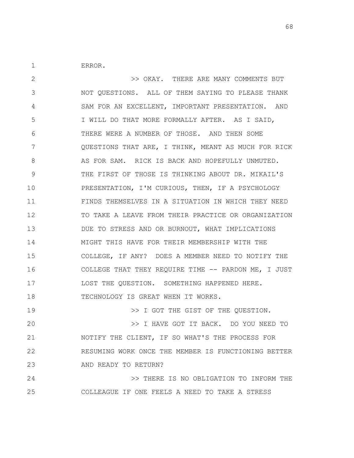ERROR.

1

25

2 3 4 5 6 7 8 9 10 11 12 13 14 15 16 17 18 19 20 21 22 23 24 >> OKAY. THERE ARE MANY COMMENTS BUT NOT QUESTIONS. ALL OF THEM SAYING TO PLEASE THANK SAM FOR AN EXCELLENT, IMPORTANT PRESENTATION. AND I WILL DO THAT MORE FORMALLY AFTER. AS I SAID, THERE WERE A NUMBER OF THOSE. AND THEN SOME QUESTIONS THAT ARE, I THINK, MEANT AS MUCH FOR RICK AS FOR SAM. RICK IS BACK AND HOPEFULLY UNMUTED. THE FIRST OF THOSE IS THINKING ABOUT DR. MIKAIL'S PRESENTATION, I'M CURIOUS, THEN, IF A PSYCHOLOGY FINDS THEMSELVES IN A SITUATION IN WHICH THEY NEED TO TAKE A LEAVE FROM THEIR PRACTICE OR ORGANIZATION DUE TO STRESS AND OR BURNOUT, WHAT IMPLICATIONS MIGHT THIS HAVE FOR THEIR MEMBERSHIP WITH THE COLLEGE, IF ANY? DOES A MEMBER NEED TO NOTIFY THE COLLEGE THAT THEY REQUIRE TIME -- PARDON ME, I JUST LOST THE QUESTION. SOMETHING HAPPENED HERE. TECHNOLOGY IS GREAT WHEN IT WORKS. >> I GOT THE GIST OF THE QUESTION. >> I HAVE GOT IT BACK. DO YOU NEED TO NOTIFY THE CLIENT, IF SO WHAT'S THE PROCESS FOR RESUMING WORK ONCE THE MEMBER IS FUNCTIONING BETTER AND READY TO RETURN? >> THERE IS NO OBLIGATION TO INFORM THE

COLLEAGUE IF ONE FEELS A NEED TO TAKE A STRESS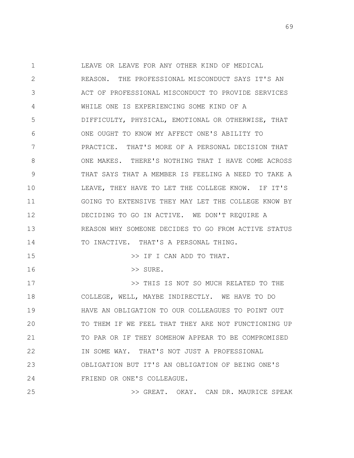1 2 3 4 5 6 7 8 9 10 11 12 13 14 15 16 17 18 19 20 21 LEAVE OR LEAVE FOR ANY OTHER KIND OF MEDICAL REASON. THE PROFESSIONAL MISCONDUCT SAYS IT'S AN ACT OF PROFESSIONAL MISCONDUCT TO PROVIDE SERVICES WHILE ONE IS EXPERIENCING SOME KIND OF A DIFFICULTY, PHYSICAL, EMOTIONAL OR OTHERWISE, THAT ONE OUGHT TO KNOW MY AFFECT ONE'S ABILITY TO PRACTICE. THAT'S MORE OF A PERSONAL DECISION THAT ONE MAKES. THERE'S NOTHING THAT I HAVE COME ACROSS THAT SAYS THAT A MEMBER IS FEELING A NEED TO TAKE A LEAVE, THEY HAVE TO LET THE COLLEGE KNOW. IF IT'S GOING TO EXTENSIVE THEY MAY LET THE COLLEGE KNOW BY DECIDING TO GO IN ACTIVE. WE DON'T REQUIRE A REASON WHY SOMEONE DECIDES TO GO FROM ACTIVE STATUS TO INACTIVE. THAT'S A PERSONAL THING. >> IF I CAN ADD TO THAT. >> SURE. >> THIS IS NOT SO MUCH RELATED TO THE COLLEGE, WELL, MAYBE INDIRECTLY. WE HAVE TO DO HAVE AN OBLIGATION TO OUR COLLEAGUES TO POINT OUT TO THEM IF WE FEEL THAT THEY ARE NOT FUNCTIONING UP TO PAR OR IF THEY SOMEHOW APPEAR TO BE COMPROMISED

23 24 OBLIGATION BUT IT'S AN OBLIGATION OF BEING ONE'S FRIEND OR ONE'S COLLEAGUE.

22

25

>> GREAT. OKAY. CAN DR. MAURICE SPEAK

IN SOME WAY. THAT'S NOT JUST A PROFESSIONAL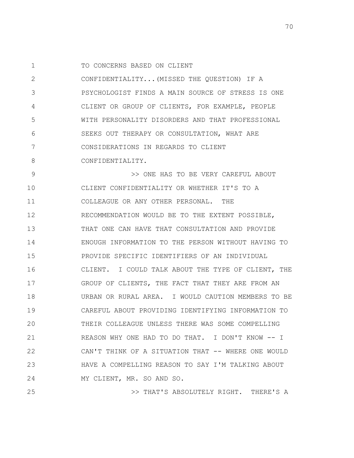1 TO CONCERNS BASED ON CLIENT

2 3 4 5 6 7 8 CONFIDENTIALITY...(MISSED THE QUESTION) IF A PSYCHOLOGIST FINDS A MAIN SOURCE OF STRESS IS ONE CLIENT OR GROUP OF CLIENTS, FOR EXAMPLE, PEOPLE WITH PERSONALITY DISORDERS AND THAT PROFESSIONAL SEEKS OUT THERAPY OR CONSULTATION, WHAT ARE CONSIDERATIONS IN REGARDS TO CLIENT CONFIDENTIALITY.

9 10 11 12 13 14 15 16 17 18 19 20 21 22 23 24 >> ONE HAS TO BE VERY CAREFUL ABOUT CLIENT CONFIDENTIALITY OR WHETHER IT'S TO A COLLEAGUE OR ANY OTHER PERSONAL. THE RECOMMENDATION WOULD BE TO THE EXTENT POSSIBLE, THAT ONE CAN HAVE THAT CONSULTATION AND PROVIDE ENOUGH INFORMATION TO THE PERSON WITHOUT HAVING TO PROVIDE SPECIFIC IDENTIFIERS OF AN INDIVIDUAL CLIENT. I COULD TALK ABOUT THE TYPE OF CLIENT, THE GROUP OF CLIENTS, THE FACT THAT THEY ARE FROM AN URBAN OR RURAL AREA. I WOULD CAUTION MEMBERS TO BE CAREFUL ABOUT PROVIDING IDENTIFYING INFORMATION TO THEIR COLLEAGUE UNLESS THERE WAS SOME COMPELLING REASON WHY ONE HAD TO DO THAT. I DON'T KNOW -- I CAN'T THINK OF A SITUATION THAT -- WHERE ONE WOULD HAVE A COMPELLING REASON TO SAY I'M TALKING ABOUT MY CLIENT, MR. SO AND SO.

25

>> THAT'S ABSOLUTELY RIGHT. THERE'S A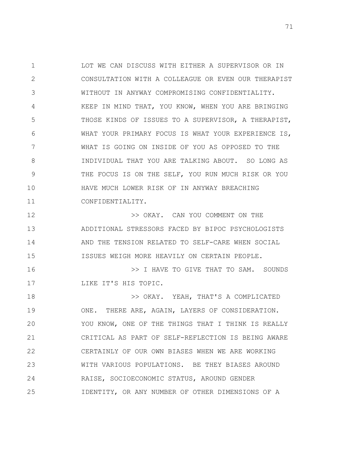1 2 3 4 5 6 7 8 9 10 11 LOT WE CAN DISCUSS WITH EITHER A SUPERVISOR OR IN CONSULTATION WITH A COLLEAGUE OR EVEN OUR THERAPIST WITHOUT IN ANYWAY COMPROMISING CONFIDENTIALITY. KEEP IN MIND THAT, YOU KNOW, WHEN YOU ARE BRINGING THOSE KINDS OF ISSUES TO A SUPERVISOR, A THERAPIST, WHAT YOUR PRIMARY FOCUS IS WHAT YOUR EXPERIENCE IS, WHAT IS GOING ON INSIDE OF YOU AS OPPOSED TO THE INDIVIDUAL THAT YOU ARE TALKING ABOUT. SO LONG AS THE FOCUS IS ON THE SELF, YOU RUN MUCH RISK OR YOU HAVE MUCH LOWER RISK OF IN ANYWAY BREACHING CONFIDENTIALITY.

12 13 14 15 >> OKAY. CAN YOU COMMENT ON THE ADDITIONAL STRESSORS FACED BY BIPOC PSYCHOLOGISTS AND THE TENSION RELATED TO SELF-CARE WHEN SOCIAL ISSUES WEIGH MORE HEAVILY ON CERTAIN PEOPLE.

16 17 >> I HAVE TO GIVE THAT TO SAM. SOUNDS LIKE IT'S HIS TOPIC.

18 19 20 21 22 23 24 25 >> OKAY. YEAH, THAT'S A COMPLICATED ONE. THERE ARE, AGAIN, LAYERS OF CONSIDERATION. YOU KNOW, ONE OF THE THINGS THAT I THINK IS REALLY CRITICAL AS PART OF SELF-REFLECTION IS BEING AWARE CERTAINLY OF OUR OWN BIASES WHEN WE ARE WORKING WITH VARIOUS POPULATIONS. BE THEY BIASES AROUND RAISE, SOCIOECONOMIC STATUS, AROUND GENDER IDENTITY, OR ANY NUMBER OF OTHER DIMENSIONS OF A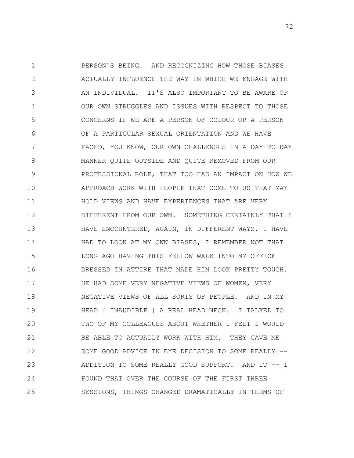1 2 3 4 5 6 7 8 9 10 11 12 13 14 15 16 17 18 19 20 21 22 23 24 25 PERSON'S BEING. AND RECOGNIZING HOW THOSE BIASES ACTUALLY INFLUENCE THE WAY IN WHICH WE ENGAGE WITH AN INDIVIDUAL. IT'S ALSO IMPORTANT TO BE AWARE OF OUR OWN STRUGGLES AND ISSUES WITH RESPECT TO THOSE CONCERNS IF WE ARE A PERSON OF COLOUR OR A PERSON OF A PARTICULAR SEXUAL ORIENTATION AND WE HAVE FACED, YOU KNOW, OUR OWN CHALLENGES IN A DAY-TO-DAY MANNER QUITE OUTSIDE AND QUITE REMOVED FROM OUR PROFESSIONAL ROLE, THAT TOO HAS AN IMPACT ON HOW WE APPROACH WORK WITH PEOPLE THAT COME TO US THAT MAY HOLD VIEWS AND HAVE EXPERIENCES THAT ARE VERY DIFFERENT FROM OUR OWN. SOMETHING CERTAINLY THAT I HAVE ENCOUNTERED, AGAIN, IN DIFFERENT WAYS, I HAVE HAD TO LOOK AT MY OWN BIASES, I REMEMBER NOT THAT LONG AGO HAVING THIS FELLOW WALK INTO MY OFFICE DRESSED IN ATTIRE THAT MADE HIM LOOK PRETTY TOUGH. HE HAD SOME VERY NEGATIVE VIEWS OF WOMEN, VERY NEGATIVE VIEWS OF ALL SORTS OF PEOPLE. AND IN MY HEAD [ INAUDIBLE ] A REAL HEAD NECK. I TALKED TO TWO OF MY COLLEAGUES ABOUT WHETHER I FELT I WOULD BE ABLE TO ACTUALLY WORK WITH HIM. THEY GAVE ME SOME GOOD ADVICE IN EYE DECISION TO SOME REALLY -- ADDITION TO SOME REALLY GOOD SUPPORT. AND IT -- I FOUND THAT OVER THE COURSE OF THE FIRST THREE SESSIONS, THINGS CHANGED DRAMATICALLY IN TERMS OF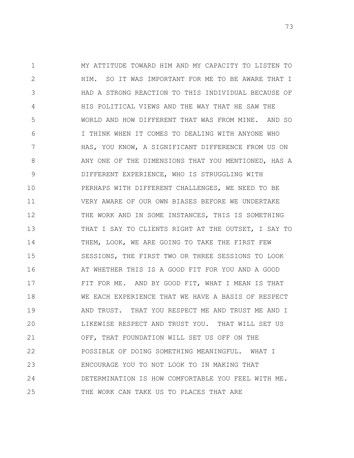1 2 3 4 5 6 7 8 9 10 11 12 13 14 15 16 17 18 19 20 21 22 23 24 25 MY ATTITUDE TOWARD HIM AND MY CAPACITY TO LISTEN TO HIM. SO IT WAS IMPORTANT FOR ME TO BE AWARE THAT I HAD A STRONG REACTION TO THIS INDIVIDUAL BECAUSE OF HIS POLITICAL VIEWS AND THE WAY THAT HE SAW THE WORLD AND HOW DIFFERENT THAT WAS FROM MINE. AND SO I THINK WHEN IT COMES TO DEALING WITH ANYONE WHO HAS, YOU KNOW, A SIGNIFICANT DIFFERENCE FROM US ON ANY ONE OF THE DIMENSIONS THAT YOU MENTIONED, HAS A DIFFERENT EXPERIENCE, WHO IS STRUGGLING WITH PERHAPS WITH DIFFERENT CHALLENGES, WE NEED TO BE VERY AWARE OF OUR OWN BIASES BEFORE WE UNDERTAKE THE WORK AND IN SOME INSTANCES, THIS IS SOMETHING THAT I SAY TO CLIENTS RIGHT AT THE OUTSET, I SAY TO THEM, LOOK, WE ARE GOING TO TAKE THE FIRST FEW SESSIONS, THE FIRST TWO OR THREE SESSIONS TO LOOK AT WHETHER THIS IS A GOOD FIT FOR YOU AND A GOOD FIT FOR ME. AND BY GOOD FIT, WHAT I MEAN IS THAT WE EACH EXPERIENCE THAT WE HAVE A BASIS OF RESPECT AND TRUST. THAT YOU RESPECT ME AND TRUST ME AND I LIKEWISE RESPECT AND TRUST YOU. THAT WILL SET US OFF, THAT FOUNDATION WILL SET US OFF ON THE POSSIBLE OF DOING SOMETHING MEANINGFUL. WHAT I ENCOURAGE YOU TO NOT LOOK TO IN MAKING THAT DETERMINATION IS HOW COMFORTABLE YOU FEEL WITH ME. THE WORK CAN TAKE US TO PLACES THAT ARE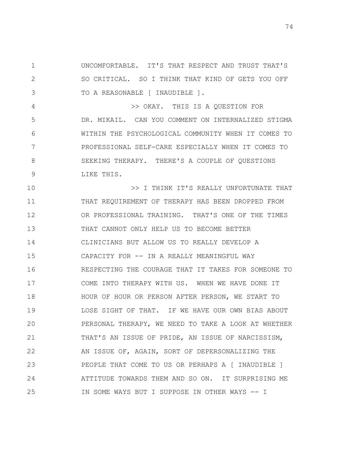1 2 3 UNCOMFORTABLE. IT'S THAT RESPECT AND TRUST THAT'S SO CRITICAL. SO I THINK THAT KIND OF GETS YOU OFF TO A REASONABLE [ INAUDIBLE ].

4 5 6 7 8 9 >> OKAY. THIS IS A QUESTION FOR DR. MIKAIL. CAN YOU COMMENT ON INTERNALIZED STIGMA WITHIN THE PSYCHOLOGICAL COMMUNITY WHEN IT COMES TO PROFESSIONAL SELF-CARE ESPECIALLY WHEN IT COMES TO SEEKING THERAPY. THERE'S A COUPLE OF QUESTIONS LIKE THIS.

10 11 12 13 14 15 16 17 18 19 20 21 22 23 24 25 >> I THINK IT'S REALLY UNFORTUNATE THAT THAT REQUIREMENT OF THERAPY HAS BEEN DROPPED FROM OR PROFESSIONAL TRAINING. THAT'S ONE OF THE TIMES THAT CANNOT ONLY HELP US TO BECOME BETTER CLINICIANS BUT ALLOW US TO REALLY DEVELOP A CAPACITY FOR -- IN A REALLY MEANINGFUL WAY RESPECTING THE COURAGE THAT IT TAKES FOR SOMEONE TO COME INTO THERAPY WITH US. WHEN WE HAVE DONE IT HOUR OF HOUR OR PERSON AFTER PERSON, WE START TO LOSE SIGHT OF THAT. IF WE HAVE OUR OWN BIAS ABOUT PERSONAL THERAPY, WE NEED TO TAKE A LOOK AT WHETHER THAT'S AN ISSUE OF PRIDE, AN ISSUE OF NARCISSISM, AN ISSUE OF, AGAIN, SORT OF DEPERSONALIZING THE PEOPLE THAT COME TO US OR PERHAPS A [ INAUDIBLE ] ATTITUDE TOWARDS THEM AND SO ON. IT SURPRISING ME IN SOME WAYS BUT I SUPPOSE IN OTHER WAYS -- I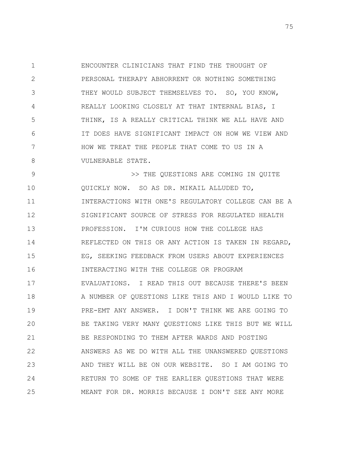1 2 3 4 5 6 7 8 ENCOUNTER CLINICIANS THAT FIND THE THOUGHT OF PERSONAL THERAPY ABHORRENT OR NOTHING SOMETHING THEY WOULD SUBJECT THEMSELVES TO. SO, YOU KNOW, REALLY LOOKING CLOSELY AT THAT INTERNAL BIAS, I THINK, IS A REALLY CRITICAL THINK WE ALL HAVE AND IT DOES HAVE SIGNIFICANT IMPACT ON HOW WE VIEW AND HOW WE TREAT THE PEOPLE THAT COME TO US IN A VULNERABLE STATE.

9 10 11 12 13 14 15 16 17 18 19 20 21 22 23 24 25 >> THE QUESTIONS ARE COMING IN QUITE QUICKLY NOW. SO AS DR. MIKAIL ALLUDED TO, INTERACTIONS WITH ONE'S REGULATORY COLLEGE CAN BE A SIGNIFICANT SOURCE OF STRESS FOR REGULATED HEALTH PROFESSION. I'M CURIOUS HOW THE COLLEGE HAS REFLECTED ON THIS OR ANY ACTION IS TAKEN IN REGARD, EG, SEEKING FEEDBACK FROM USERS ABOUT EXPERIENCES INTERACTING WITH THE COLLEGE OR PROGRAM EVALUATIONS. I READ THIS OUT BECAUSE THERE'S BEEN A NUMBER OF QUESTIONS LIKE THIS AND I WOULD LIKE TO PRE-EMT ANY ANSWER. I DON'T THINK WE ARE GOING TO BE TAKING VERY MANY QUESTIONS LIKE THIS BUT WE WILL BE RESPONDING TO THEM AFTER WARDS AND POSTING ANSWERS AS WE DO WITH ALL THE UNANSWERED QUESTIONS AND THEY WILL BE ON OUR WEBSITE. SO I AM GOING TO RETURN TO SOME OF THE EARLIER QUESTIONS THAT WERE MEANT FOR DR. MORRIS BECAUSE I DON'T SEE ANY MORE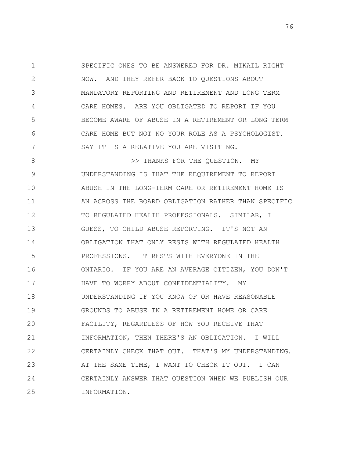1 2 3 4 5 6 7 SPECIFIC ONES TO BE ANSWERED FOR DR. MIKAIL RIGHT NOW. AND THEY REFER BACK TO QUESTIONS ABOUT MANDATORY REPORTING AND RETIREMENT AND LONG TERM CARE HOMES. ARE YOU OBLIGATED TO REPORT IF YOU BECOME AWARE OF ABUSE IN A RETIREMENT OR LONG TERM CARE HOME BUT NOT NO YOUR ROLE AS A PSYCHOLOGIST. SAY IT IS A RELATIVE YOU ARE VISITING.

8 9 10 11 12 13 14 15 16 17 18 19 20 21 22 23 24 25 >> THANKS FOR THE QUESTION. MY UNDERSTANDING IS THAT THE REQUIREMENT TO REPORT ABUSE IN THE LONG-TERM CARE OR RETIREMENT HOME IS AN ACROSS THE BOARD OBLIGATION RATHER THAN SPECIFIC TO REGULATED HEALTH PROFESSIONALS. SIMILAR, I GUESS, TO CHILD ABUSE REPORTING. IT'S NOT AN OBLIGATION THAT ONLY RESTS WITH REGULATED HEALTH PROFESSIONS. IT RESTS WITH EVERYONE IN THE ONTARIO. IF YOU ARE AN AVERAGE CITIZEN, YOU DON'T HAVE TO WORRY ABOUT CONFIDENTIALITY. MY UNDERSTANDING IF YOU KNOW OF OR HAVE REASONABLE GROUNDS TO ABUSE IN A RETIREMENT HOME OR CARE FACILITY, REGARDLESS OF HOW YOU RECEIVE THAT INFORMATION, THEN THERE'S AN OBLIGATION. I WILL CERTAINLY CHECK THAT OUT. THAT'S MY UNDERSTANDING. AT THE SAME TIME, I WANT TO CHECK IT OUT. I CAN CERTAINLY ANSWER THAT QUESTION WHEN WE PUBLISH OUR INFORMATION.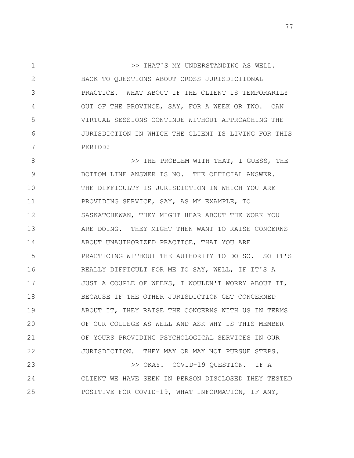1 2 3 4 5 6 7 >> THAT'S MY UNDERSTANDING AS WELL. BACK TO QUESTIONS ABOUT CROSS JURISDICTIONAL PRACTICE. WHAT ABOUT IF THE CLIENT IS TEMPORARILY OUT OF THE PROVINCE, SAY, FOR A WEEK OR TWO. CAN VIRTUAL SESSIONS CONTINUE WITHOUT APPROACHING THE JURISDICTION IN WHICH THE CLIENT IS LIVING FOR THIS PERIOD?

8 9 10 11 12 13 14 15 16 17 18 19 20 21 22 23 >> THE PROBLEM WITH THAT, I GUESS, THE BOTTOM LINE ANSWER IS NO. THE OFFICIAL ANSWER. THE DIFFICULTY IS JURISDICTION IN WHICH YOU ARE PROVIDING SERVICE, SAY, AS MY EXAMPLE, TO SASKATCHEWAN, THEY MIGHT HEAR ABOUT THE WORK YOU ARE DOING. THEY MIGHT THEN WANT TO RAISE CONCERNS ABOUT UNAUTHORIZED PRACTICE, THAT YOU ARE PRACTICING WITHOUT THE AUTHORITY TO DO SO. SO IT'S REALLY DIFFICULT FOR ME TO SAY, WELL, IF IT'S A JUST A COUPLE OF WEEKS, I WOULDN'T WORRY ABOUT IT, BECAUSE IF THE OTHER JURISDICTION GET CONCERNED ABOUT IT, THEY RAISE THE CONCERNS WITH US IN TERMS OF OUR COLLEGE AS WELL AND ASK WHY IS THIS MEMBER OF YOURS PROVIDING PSYCHOLOGICAL SERVICES IN OUR JURISDICTION. THEY MAY OR MAY NOT PURSUE STEPS. >> OKAY. COVID-19 QUESTION. IF A

24 25 CLIENT WE HAVE SEEN IN PERSON DISCLOSED THEY TESTED POSITIVE FOR COVID-19, WHAT INFORMATION, IF ANY,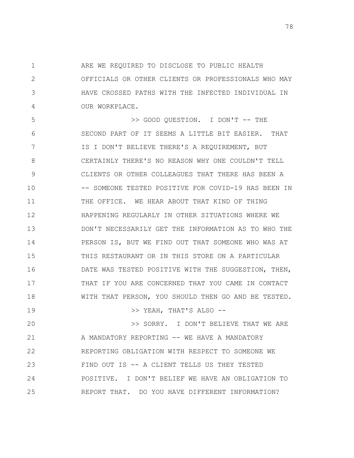1 2 3 4 ARE WE REQUIRED TO DISCLOSE TO PUBLIC HEALTH OFFICIALS OR OTHER CLIENTS OR PROFESSIONALS WHO MAY HAVE CROSSED PATHS WITH THE INFECTED INDIVIDUAL IN OUR WORKPLACE.

5 6 7 8 9 10 11 12 13 14 15 16 17 18 >> GOOD QUESTION. I DON'T -- THE SECOND PART OF IT SEEMS A LITTLE BIT EASIER. THAT IS I DON'T BELIEVE THERE'S A REQUIREMENT, BUT CERTAINLY THERE'S NO REASON WHY ONE COULDN'T TELL CLIENTS OR OTHER COLLEAGUES THAT THERE HAS BEEN A -- SOMEONE TESTED POSITIVE FOR COVID-19 HAS BEEN IN THE OFFICE. WE HEAR ABOUT THAT KIND OF THING HAPPENING REGULARLY IN OTHER SITUATIONS WHERE WE DON'T NECESSARILY GET THE INFORMATION AS TO WHO THE PERSON IS, BUT WE FIND OUT THAT SOMEONE WHO WAS AT THIS RESTAURANT OR IN THIS STORE ON A PARTICULAR DATE WAS TESTED POSITIVE WITH THE SUGGESTION, THEN, THAT IF YOU ARE CONCERNED THAT YOU CAME IN CONTACT WITH THAT PERSON, YOU SHOULD THEN GO AND BE TESTED.

>> YEAH, THAT'S ALSO --

20 21 22 23 24 25 >> SORRY. I DON'T BELIEVE THAT WE ARE A MANDATORY REPORTING -- WE HAVE A MANDATORY REPORTING OBLIGATION WITH RESPECT TO SOMEONE WE FIND OUT IS -- A CLIENT TELLS US THEY TESTED POSITIVE. I DON'T BELIEF WE HAVE AN OBLIGATION TO REPORT THAT. DO YOU HAVE DIFFERENT INFORMATION?

19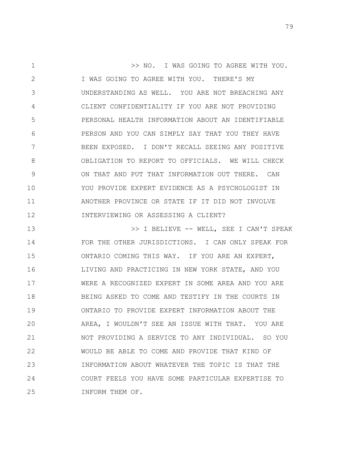1 2 3 4 5 6 7 8 9 10 11 12 >> NO. I WAS GOING TO AGREE WITH YOU. I WAS GOING TO AGREE WITH YOU. THERE'S MY UNDERSTANDING AS WELL. YOU ARE NOT BREACHING ANY CLIENT CONFIDENTIALITY IF YOU ARE NOT PROVIDING PERSONAL HEALTH INFORMATION ABOUT AN IDENTIFIABLE PERSON AND YOU CAN SIMPLY SAY THAT YOU THEY HAVE BEEN EXPOSED. I DON'T RECALL SEEING ANY POSITIVE OBLIGATION TO REPORT TO OFFICIALS. WE WILL CHECK ON THAT AND PUT THAT INFORMATION OUT THERE. CAN YOU PROVIDE EXPERT EVIDENCE AS A PSYCHOLOGIST IN ANOTHER PROVINCE OR STATE IF IT DID NOT INVOLVE INTERVIEWING OR ASSESSING A CLIENT?

13 14 15 16 17 18 19 20 21 22 23 24 25 >> I BELIEVE -- WELL, SEE I CAN'T SPEAK FOR THE OTHER JURISDICTIONS. I CAN ONLY SPEAK FOR ONTARIO COMING THIS WAY. IF YOU ARE AN EXPERT, LIVING AND PRACTICING IN NEW YORK STATE, AND YOU WERE A RECOGNIZED EXPERT IN SOME AREA AND YOU ARE BEING ASKED TO COME AND TESTIFY IN THE COURTS IN ONTARIO TO PROVIDE EXPERT INFORMATION ABOUT THE AREA, I WOULDN'T SEE AN ISSUE WITH THAT. YOU ARE NOT PROVIDING A SERVICE TO ANY INDIVIDUAL. SO YOU WOULD BE ABLE TO COME AND PROVIDE THAT KIND OF INFORMATION ABOUT WHATEVER THE TOPIC IS THAT THE COURT FEELS YOU HAVE SOME PARTICULAR EXPERTISE TO INFORM THEM OF.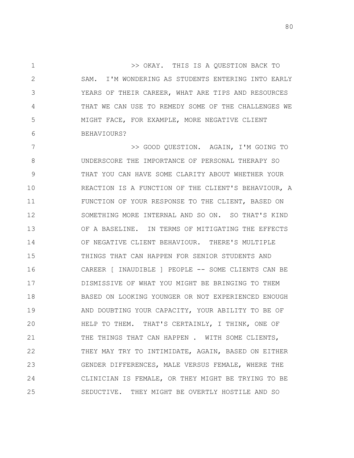1 2 3 4 5 6 >> OKAY. THIS IS A QUESTION BACK TO SAM. I'M WONDERING AS STUDENTS ENTERING INTO EARLY YEARS OF THEIR CAREER, WHAT ARE TIPS AND RESOURCES THAT WE CAN USE TO REMEDY SOME OF THE CHALLENGES WE MIGHT FACE, FOR EXAMPLE, MORE NEGATIVE CLIENT BEHAVIOURS?

7 8 9 10 11 12 13 14 15 16 17 18 19 20 21 22 23 24 25 >> GOOD QUESTION. AGAIN, I'M GOING TO UNDERSCORE THE IMPORTANCE OF PERSONAL THERAPY SO THAT YOU CAN HAVE SOME CLARITY ABOUT WHETHER YOUR REACTION IS A FUNCTION OF THE CLIENT'S BEHAVIOUR, A FUNCTION OF YOUR RESPONSE TO THE CLIENT, BASED ON SOMETHING MORE INTERNAL AND SO ON. SO THAT'S KIND OF A BASELINE. IN TERMS OF MITIGATING THE EFFECTS OF NEGATIVE CLIENT BEHAVIOUR. THERE'S MULTIPLE THINGS THAT CAN HAPPEN FOR SENIOR STUDENTS AND CAREER [ INAUDIBLE ] PEOPLE -- SOME CLIENTS CAN BE DISMISSIVE OF WHAT YOU MIGHT BE BRINGING TO THEM BASED ON LOOKING YOUNGER OR NOT EXPERIENCED ENOUGH AND DOUBTING YOUR CAPACITY, YOUR ABILITY TO BE OF HELP TO THEM. THAT'S CERTAINLY, I THINK, ONE OF THE THINGS THAT CAN HAPPEN . WITH SOME CLIENTS, THEY MAY TRY TO INTIMIDATE, AGAIN, BASED ON EITHER GENDER DIFFERENCES, MALE VERSUS FEMALE, WHERE THE CLINICIAN IS FEMALE, OR THEY MIGHT BE TRYING TO BE SEDUCTIVE. THEY MIGHT BE OVERTLY HOSTILE AND SO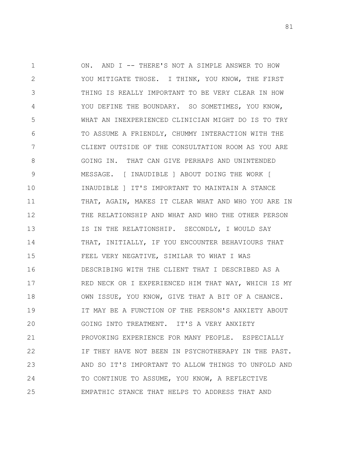1 2 3 4 5 6 7 8 9 10 11 12 13 14 15 16 17 18 19 20 21 22 23 24 25 ON. AND I -- THERE'S NOT A SIMPLE ANSWER TO HOW YOU MITIGATE THOSE. I THINK, YOU KNOW, THE FIRST THING IS REALLY IMPORTANT TO BE VERY CLEAR IN HOW YOU DEFINE THE BOUNDARY. SO SOMETIMES, YOU KNOW, WHAT AN INEXPERIENCED CLINICIAN MIGHT DO IS TO TRY TO ASSUME A FRIENDLY, CHUMMY INTERACTION WITH THE CLIENT OUTSIDE OF THE CONSULTATION ROOM AS YOU ARE GOING IN. THAT CAN GIVE PERHAPS AND UNINTENDED MESSAGE. [ INAUDIBLE ] ABOUT DOING THE WORK [ INAUDIBLE ] IT'S IMPORTANT TO MAINTAIN A STANCE THAT, AGAIN, MAKES IT CLEAR WHAT AND WHO YOU ARE IN THE RELATIONSHIP AND WHAT AND WHO THE OTHER PERSON IS IN THE RELATIONSHIP. SECONDLY, I WOULD SAY THAT, INITIALLY, IF YOU ENCOUNTER BEHAVIOURS THAT FEEL VERY NEGATIVE, SIMILAR TO WHAT I WAS DESCRIBING WITH THE CLIENT THAT I DESCRIBED AS A RED NECK OR I EXPERIENCED HIM THAT WAY, WHICH IS MY OWN ISSUE, YOU KNOW, GIVE THAT A BIT OF A CHANCE. IT MAY BE A FUNCTION OF THE PERSON'S ANXIETY ABOUT GOING INTO TREATMENT. IT'S A VERY ANXIETY PROVOKING EXPERIENCE FOR MANY PEOPLE. ESPECIALLY IF THEY HAVE NOT BEEN IN PSYCHOTHERAPY IN THE PAST. AND SO IT'S IMPORTANT TO ALLOW THINGS TO UNFOLD AND TO CONTINUE TO ASSUME, YOU KNOW, A REFLECTIVE EMPATHIC STANCE THAT HELPS TO ADDRESS THAT AND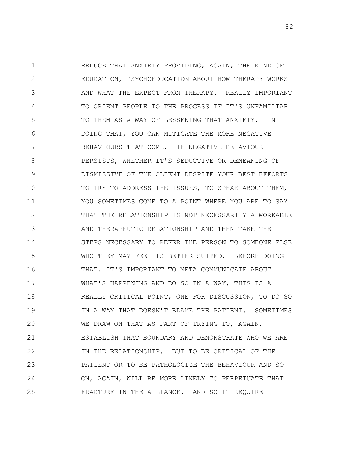1 2 3 4 5 6 7 8 9 10 11 12 13 14 15 16 17 18 19 20 21 22 23 24 25 REDUCE THAT ANXIETY PROVIDING, AGAIN, THE KIND OF EDUCATION, PSYCHOEDUCATION ABOUT HOW THERAPY WORKS AND WHAT THE EXPECT FROM THERAPY. REALLY IMPORTANT TO ORIENT PEOPLE TO THE PROCESS IF IT'S UNFAMILIAR TO THEM AS A WAY OF LESSENING THAT ANXIETY. IN DOING THAT, YOU CAN MITIGATE THE MORE NEGATIVE BEHAVIOURS THAT COME. IF NEGATIVE BEHAVIOUR PERSISTS, WHETHER IT'S SEDUCTIVE OR DEMEANING OF DISMISSIVE OF THE CLIENT DESPITE YOUR BEST EFFORTS TO TRY TO ADDRESS THE ISSUES, TO SPEAK ABOUT THEM, YOU SOMETIMES COME TO A POINT WHERE YOU ARE TO SAY THAT THE RELATIONSHIP IS NOT NECESSARILY A WORKABLE AND THERAPEUTIC RELATIONSHIP AND THEN TAKE THE STEPS NECESSARY TO REFER THE PERSON TO SOMEONE ELSE WHO THEY MAY FEEL IS BETTER SUITED. BEFORE DOING THAT, IT'S IMPORTANT TO META COMMUNICATE ABOUT WHAT'S HAPPENING AND DO SO IN A WAY, THIS IS A REALLY CRITICAL POINT, ONE FOR DISCUSSION, TO DO SO IN A WAY THAT DOESN'T BLAME THE PATIENT. SOMETIMES WE DRAW ON THAT AS PART OF TRYING TO, AGAIN, ESTABLISH THAT BOUNDARY AND DEMONSTRATE WHO WE ARE IN THE RELATIONSHIP. BUT TO BE CRITICAL OF THE PATIENT OR TO BE PATHOLOGIZE THE BEHAVIOUR AND SO ON, AGAIN, WILL BE MORE LIKELY TO PERPETUATE THAT FRACTURE IN THE ALLIANCE. AND SO IT REQUIRE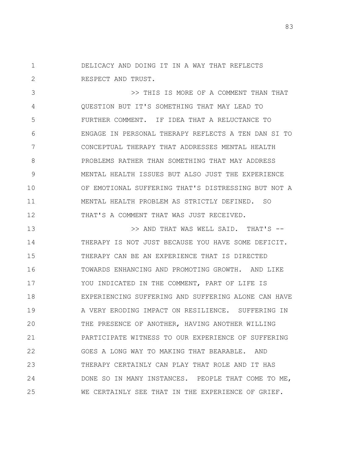1 2 DELICACY AND DOING IT IN A WAY THAT REFLECTS RESPECT AND TRUST.

3 4 5 6 7 8 9 10 11 12 >> THIS IS MORE OF A COMMENT THAN THAT QUESTION BUT IT'S SOMETHING THAT MAY LEAD TO FURTHER COMMENT. IF IDEA THAT A RELUCTANCE TO ENGAGE IN PERSONAL THERAPY REFLECTS A TEN DAN SI TO CONCEPTUAL THERAPY THAT ADDRESSES MENTAL HEALTH PROBLEMS RATHER THAN SOMETHING THAT MAY ADDRESS MENTAL HEALTH ISSUES BUT ALSO JUST THE EXPERIENCE OF EMOTIONAL SUFFERING THAT'S DISTRESSING BUT NOT A MENTAL HEALTH PROBLEM AS STRICTLY DEFINED. SO THAT'S A COMMENT THAT WAS JUST RECEIVED.

13 14 15 16 17 18 19 20 21 22 23 24 25 >> AND THAT WAS WELL SAID. THAT'S -- THERAPY IS NOT JUST BECAUSE YOU HAVE SOME DEFICIT. THERAPY CAN BE AN EXPERIENCE THAT IS DIRECTED TOWARDS ENHANCING AND PROMOTING GROWTH. AND LIKE YOU INDICATED IN THE COMMENT, PART OF LIFE IS EXPERIENCING SUFFERING AND SUFFERING ALONE CAN HAVE A VERY ERODING IMPACT ON RESILIENCE. SUFFERING IN THE PRESENCE OF ANOTHER, HAVING ANOTHER WILLING PARTICIPATE WITNESS TO OUR EXPERIENCE OF SUFFERING GOES A LONG WAY TO MAKING THAT BEARABLE. AND THERAPY CERTAINLY CAN PLAY THAT ROLE AND IT HAS DONE SO IN MANY INSTANCES. PEOPLE THAT COME TO ME, WE CERTAINLY SEE THAT IN THE EXPERIENCE OF GRIEF.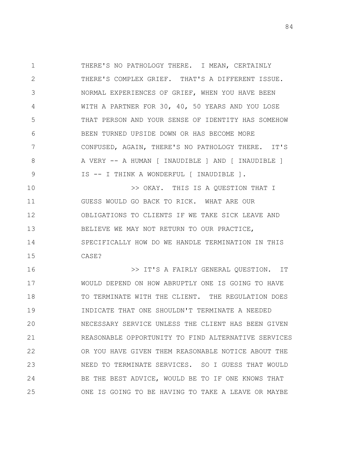1 2 3 4 5 6 7 8 9 THERE'S NO PATHOLOGY THERE. I MEAN, CERTAINLY THERE'S COMPLEX GRIEF. THAT'S A DIFFERENT ISSUE. NORMAL EXPERIENCES OF GRIEF, WHEN YOU HAVE BEEN WITH A PARTNER FOR 30, 40, 50 YEARS AND YOU LOSE THAT PERSON AND YOUR SENSE OF IDENTITY HAS SOMEHOW BEEN TURNED UPSIDE DOWN OR HAS BECOME MORE CONFUSED, AGAIN, THERE'S NO PATHOLOGY THERE. IT'S A VERY -- A HUMAN [ INAUDIBLE ] AND [ INAUDIBLE ] IS -- I THINK A WONDERFUL [ INAUDIBLE ].

10 11 12 13 14 15 >> OKAY. THIS IS A QUESTION THAT I GUESS WOULD GO BACK TO RICK. WHAT ARE OUR OBLIGATIONS TO CLIENTS IF WE TAKE SICK LEAVE AND BELIEVE WE MAY NOT RETURN TO OUR PRACTICE, SPECIFICALLY HOW DO WE HANDLE TERMINATION IN THIS CASE?

16 17 18 19 20 21 22 23 24 25 >> IT'S A FAIRLY GENERAL QUESTION. IT WOULD DEPEND ON HOW ABRUPTLY ONE IS GOING TO HAVE TO TERMINATE WITH THE CLIENT. THE REGULATION DOES INDICATE THAT ONE SHOULDN'T TERMINATE A NEEDED NECESSARY SERVICE UNLESS THE CLIENT HAS BEEN GIVEN REASONABLE OPPORTUNITY TO FIND ALTERNATIVE SERVICES OR YOU HAVE GIVEN THEM REASONABLE NOTICE ABOUT THE NEED TO TERMINATE SERVICES. SO I GUESS THAT WOULD BE THE BEST ADVICE, WOULD BE TO IF ONE KNOWS THAT ONE IS GOING TO BE HAVING TO TAKE A LEAVE OR MAYBE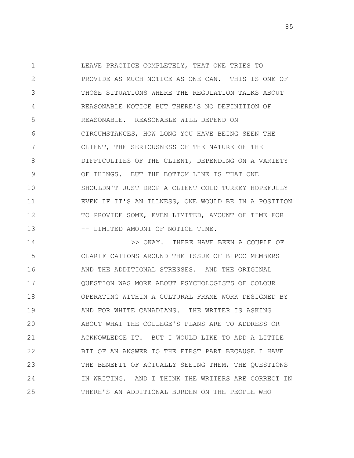1 2 3 4 5 6 7 8 9 10 11 12 13 LEAVE PRACTICE COMPLETELY, THAT ONE TRIES TO PROVIDE AS MUCH NOTICE AS ONE CAN. THIS IS ONE OF THOSE SITUATIONS WHERE THE REGULATION TALKS ABOUT REASONABLE NOTICE BUT THERE'S NO DEFINITION OF REASONABLE. REASONABLE WILL DEPEND ON CIRCUMSTANCES, HOW LONG YOU HAVE BEING SEEN THE CLIENT, THE SERIOUSNESS OF THE NATURE OF THE DIFFICULTIES OF THE CLIENT, DEPENDING ON A VARIETY OF THINGS. BUT THE BOTTOM LINE IS THAT ONE SHOULDN'T JUST DROP A CLIENT COLD TURKEY HOPEFULLY EVEN IF IT'S AN ILLNESS, ONE WOULD BE IN A POSITION TO PROVIDE SOME, EVEN LIMITED, AMOUNT OF TIME FOR -- LIMITED AMOUNT OF NOTICE TIME.

14 15 16 17 18 19 20 21 22 23 24 25 >> OKAY. THERE HAVE BEEN A COUPLE OF CLARIFICATIONS AROUND THE ISSUE OF BIPOC MEMBERS AND THE ADDITIONAL STRESSES. AND THE ORIGINAL QUESTION WAS MORE ABOUT PSYCHOLOGISTS OF COLOUR OPERATING WITHIN A CULTURAL FRAME WORK DESIGNED BY AND FOR WHITE CANADIANS. THE WRITER IS ASKING ABOUT WHAT THE COLLEGE'S PLANS ARE TO ADDRESS OR ACKNOWLEDGE IT. BUT I WOULD LIKE TO ADD A LITTLE BIT OF AN ANSWER TO THE FIRST PART BECAUSE I HAVE THE BENEFIT OF ACTUALLY SEEING THEM, THE QUESTIONS IN WRITING. AND I THINK THE WRITERS ARE CORRECT IN THERE'S AN ADDITIONAL BURDEN ON THE PEOPLE WHO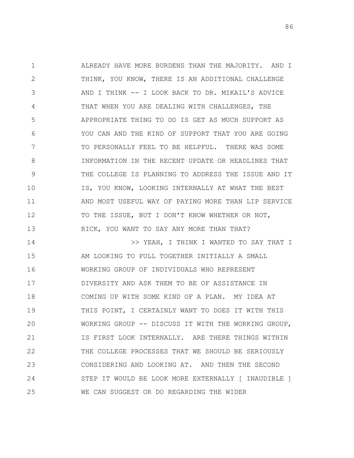1 2 3 4 5 6 7 8 9 10 11 12 13 14 15 ALREADY HAVE MORE BURDENS THAN THE MAJORITY. AND I THINK, YOU KNOW, THERE IS AN ADDITIONAL CHALLENGE AND I THINK -- I LOOK BACK TO DR. MIKAIL'S ADVICE THAT WHEN YOU ARE DEALING WITH CHALLENGES, THE APPROPRIATE THING TO DO IS GET AS MUCH SUPPORT AS YOU CAN AND THE KIND OF SUPPORT THAT YOU ARE GOING TO PERSONALLY FEEL TO BE HELPFUL. THERE WAS SOME INFORMATION IN THE RECENT UPDATE OR HEADLINES THAT THE COLLEGE IS PLANNING TO ADDRESS THE ISSUE AND IT IS, YOU KNOW, LOOKING INTERNALLY AT WHAT THE BEST AND MOST USEFUL WAY OF PAYING MORE THAN LIP SERVICE TO THE ISSUE, BUT I DON'T KNOW WHETHER OR NOT, RICK, YOU WANT TO SAY ANY MORE THAN THAT? >> YEAH, I THINK I WANTED TO SAY THAT I AM LOOKING TO PULL TOGETHER INITIALLY A SMALL

16 17 18 19 20 21 22 23 24 25 WORKING GROUP OF INDIVIDUALS WHO REPRESENT DIVERSITY AND ASK THEM TO BE OF ASSISTANCE IN COMING UP WITH SOME KIND OF A PLAN. MY IDEA AT THIS POINT, I CERTAINLY WANT TO DOES IT WITH THIS WORKING GROUP -- DISCUSS IT WITH THE WORKING GROUP, IS FIRST LOOK INTERNALLY. ARE THERE THINGS WITHIN THE COLLEGE PROCESSES THAT WE SHOULD BE SERIOUSLY CONSIDERING AND LOOKING AT. AND THEN THE SECOND STEP IT WOULD BE LOOK MORE EXTERNALLY [ INAUDIBLE ] WE CAN SUGGEST OR DO REGARDING THE WIDER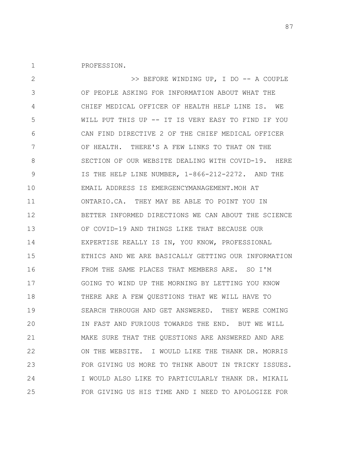1 PROFESSION.

2 3 4 5 6 7 8 9 10 11 12 13 14 15 16 17 18 19 20 21 22 23 24 25 >> BEFORE WINDING UP, I DO -- A COUPLE OF PEOPLE ASKING FOR INFORMATION ABOUT WHAT THE CHIEF MEDICAL OFFICER OF HEALTH HELP LINE IS. WE WILL PUT THIS UP -- IT IS VERY EASY TO FIND IF YOU CAN FIND DIRECTIVE 2 OF THE CHIEF MEDICAL OFFICER OF HEALTH. THERE'S A FEW LINKS TO THAT ON THE SECTION OF OUR WEBSITE DEALING WITH COVID-19. HERE IS THE HELP LINE NUMBER, 1-866-212-2272. AND THE EMAIL ADDRESS IS EMERGENCYMANAGEMENT.MOH AT ONTARIO.CA. THEY MAY BE ABLE TO POINT YOU IN BETTER INFORMED DIRECTIONS WE CAN ABOUT THE SCIENCE OF COVID-19 AND THINGS LIKE THAT BECAUSE OUR EXPERTISE REALLY IS IN, YOU KNOW, PROFESSIONAL ETHICS AND WE ARE BASICALLY GETTING OUR INFORMATION FROM THE SAME PLACES THAT MEMBERS ARE. SO I'M GOING TO WIND UP THE MORNING BY LETTING YOU KNOW THERE ARE A FEW QUESTIONS THAT WE WILL HAVE TO SEARCH THROUGH AND GET ANSWERED. THEY WERE COMING IN FAST AND FURIOUS TOWARDS THE END. BUT WE WILL MAKE SURE THAT THE QUESTIONS ARE ANSWERED AND ARE ON THE WEBSITE. I WOULD LIKE THE THANK DR. MORRIS FOR GIVING US MORE TO THINK ABOUT IN TRICKY ISSUES. I WOULD ALSO LIKE TO PARTICULARLY THANK DR. MIKAIL FOR GIVING US HIS TIME AND I NEED TO APOLOGIZE FOR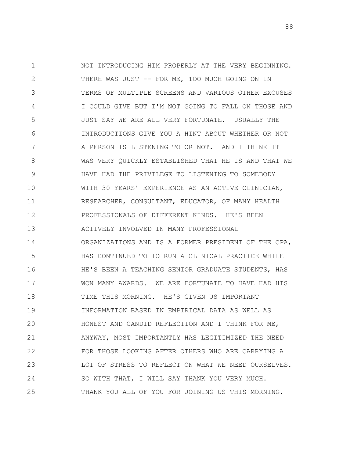1 2 3 4 5 6 7 8 9 10 11 12 13 14 15 16 17 18 19 20 21 22 23 24 25 NOT INTRODUCING HIM PROPERLY AT THE VERY BEGINNING. THERE WAS JUST -- FOR ME, TOO MUCH GOING ON IN TERMS OF MULTIPLE SCREENS AND VARIOUS OTHER EXCUSES I COULD GIVE BUT I'M NOT GOING TO FALL ON THOSE AND JUST SAY WE ARE ALL VERY FORTUNATE. USUALLY THE INTRODUCTIONS GIVE YOU A HINT ABOUT WHETHER OR NOT A PERSON IS LISTENING TO OR NOT. AND I THINK IT WAS VERY QUICKLY ESTABLISHED THAT HE IS AND THAT WE HAVE HAD THE PRIVILEGE TO LISTENING TO SOMEBODY WITH 30 YEARS' EXPERIENCE AS AN ACTIVE CLINICIAN, RESEARCHER, CONSULTANT, EDUCATOR, OF MANY HEALTH PROFESSIONALS OF DIFFERENT KINDS. HE'S BEEN ACTIVELY INVOLVED IN MANY PROFESSIONAL ORGANIZATIONS AND IS A FORMER PRESIDENT OF THE CPA, HAS CONTINUED TO TO RUN A CLINICAL PRACTICE WHILE HE'S BEEN A TEACHING SENIOR GRADUATE STUDENTS, HAS WON MANY AWARDS. WE ARE FORTUNATE TO HAVE HAD HIS TIME THIS MORNING. HE'S GIVEN US IMPORTANT INFORMATION BASED IN EMPIRICAL DATA AS WELL AS HONEST AND CANDID REFLECTION AND I THINK FOR ME, ANYWAY, MOST IMPORTANTLY HAS LEGITIMIZED THE NEED FOR THOSE LOOKING AFTER OTHERS WHO ARE CARRYING A LOT OF STRESS TO REFLECT ON WHAT WE NEED OURSELVES. SO WITH THAT, I WILL SAY THANK YOU VERY MUCH. THANK YOU ALL OF YOU FOR JOINING US THIS MORNING.